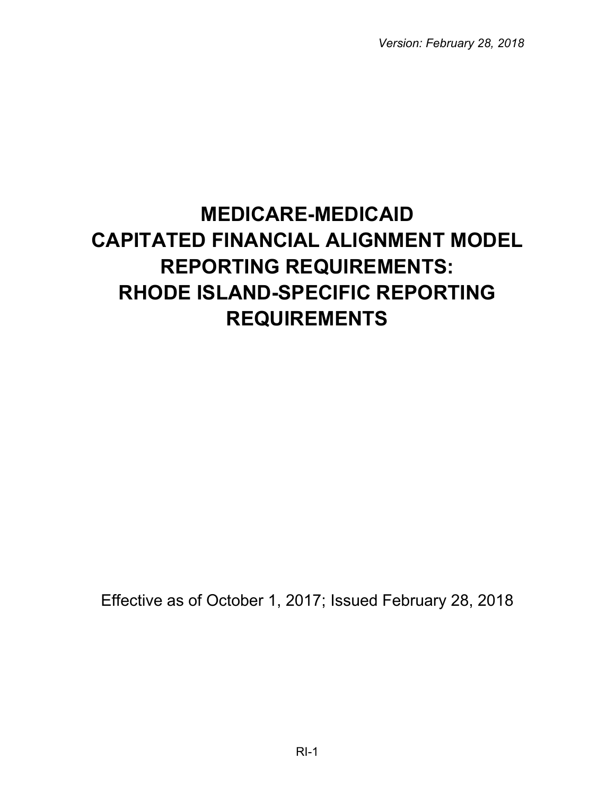*Version: February 28, 2018*

# **MEDICARE-MEDICAID CAPITATED FINANCIAL ALIGNMENT MODEL REPORTING REQUIREMENTS: RHODE ISLAND-SPECIFIC REPORTING REQUIREMENTS**

Effective as of October 1, 2017; Issued February 28, 2018

RI-1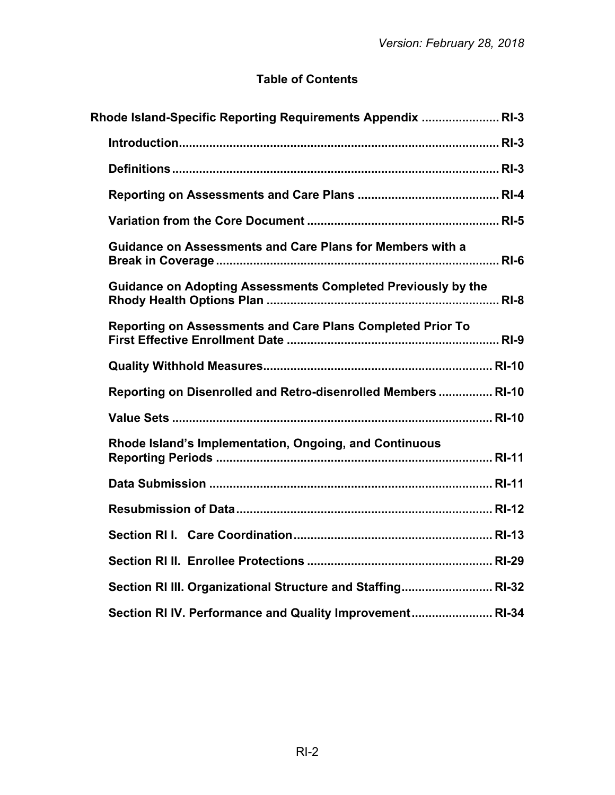# **Table of Contents**

| Rhode Island-Specific Reporting Requirements Appendix  RI-3      |  |
|------------------------------------------------------------------|--|
|                                                                  |  |
|                                                                  |  |
|                                                                  |  |
|                                                                  |  |
| <b>Guidance on Assessments and Care Plans for Members with a</b> |  |
| Guidance on Adopting Assessments Completed Previously by the     |  |
| Reporting on Assessments and Care Plans Completed Prior To       |  |
|                                                                  |  |
| Reporting on Disenrolled and Retro-disenrolled Members  RI-10    |  |
|                                                                  |  |
| Rhode Island's Implementation, Ongoing, and Continuous           |  |
|                                                                  |  |
|                                                                  |  |
|                                                                  |  |
|                                                                  |  |
| Section RI III. Organizational Structure and Staffing RI-32      |  |
| Section RI IV. Performance and Quality Improvement RI-34         |  |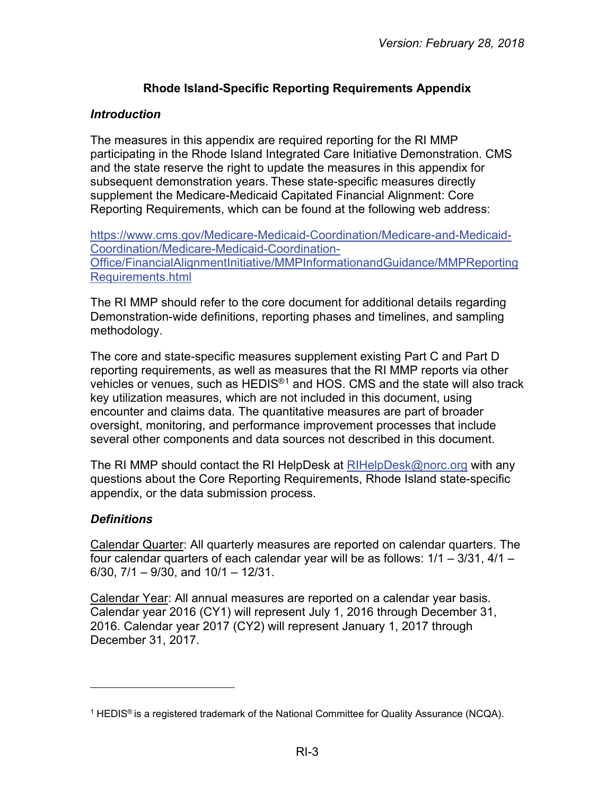# **Rhode Island-Specific Reporting Requirements Appendix**

#### <span id="page-2-1"></span><span id="page-2-0"></span>*Introduction*

The measures in this appendix are required reporting for the RI MMP participating in the Rhode Island Integrated Care Initiative Demonstration. CMS and the state reserve the right to update the measures in this appendix for subsequent demonstration years. These state-specific measures directly supplement the Medicare-Medicaid Capitated Financial Alignment: Core Reporting Requirements, which can be found at the following web address:

[https://www.cms.gov/Medicare-Medicaid-Coordination/Medicare-and-Medicaid-](https://www.cms.gov/Medicare-Medicaid-Coordination/Medicare-and-Medicaid-Coordination/Medicare-Medicaid-Coordination-Office/FinancialAlignmentInitiative/MMPInformationandGuidance/MMPReportingRequirements.html)[Coordination/Medicare-Medicaid-Coordination-](https://www.cms.gov/Medicare-Medicaid-Coordination/Medicare-and-Medicaid-Coordination/Medicare-Medicaid-Coordination-Office/FinancialAlignmentInitiative/MMPInformationandGuidance/MMPReportingRequirements.html)[Office/FinancialAlignmentInitiative/MMPInformationandGuidance/MMPReporting](https://www.cms.gov/Medicare-Medicaid-Coordination/Medicare-and-Medicaid-Coordination/Medicare-Medicaid-Coordination-Office/FinancialAlignmentInitiative/MMPInformationandGuidance/MMPReportingRequirements.html) [Requirements.html](https://www.cms.gov/Medicare-Medicaid-Coordination/Medicare-and-Medicaid-Coordination/Medicare-Medicaid-Coordination-Office/FinancialAlignmentInitiative/MMPInformationandGuidance/MMPReportingRequirements.html)

The RI MMP should refer to the core document for additional details regarding Demonstration-wide definitions, reporting phases and timelines, and sampling methodology.

The core and state-specific measures supplement existing Part C and Part D reporting requirements, as well as measures that the RI MMP reports via other vehicles or venues, such as HEDIS®[1](#page-2-3) and HOS. CMS and the state will also track key utilization measures, which are not included in this document, using encounter and claims data. The quantitative measures are part of broader oversight, monitoring, and performance improvement processes that include several other components and data sources not described in this document.

The RI MMP should contact the RI HelpDesk at [RIHelpDesk@norc.org](mailto:RIHelpDesk@norc.org) with any questions about the Core Reporting Requirements, Rhode Island state-specific appendix, or the data submission process.

## <span id="page-2-2"></span>*Definitions*

 $\overline{a}$ 

Calendar Quarter: All quarterly measures are reported on calendar quarters. The four calendar quarters of each calendar year will be as follows: 1/1 – 3/31, 4/1 – 6/30, 7/1 – 9/30, and 10/1 – 12/31.

Calendar Year: All annual measures are reported on a calendar year basis. Calendar year 2016 (CY1) will represent July 1, 2016 through December 31, 2016. Calendar year 2017 (CY2) will represent January 1, 2017 through December 31, 2017.

<span id="page-2-3"></span><sup>&</sup>lt;sup>1</sup> HEDIS<sup>®</sup> is a registered trademark of the National Committee for Quality Assurance (NCQA).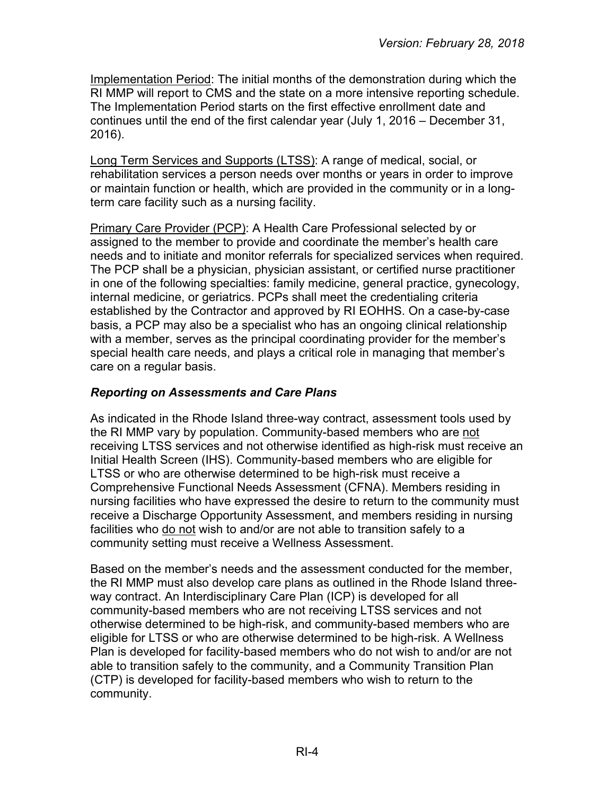Implementation Period: The initial months of the demonstration during which the RI MMP will report to CMS and the state on a more intensive reporting schedule. The Implementation Period starts on the first effective enrollment date and continues until the end of the first calendar year (July 1, 2016 – December 31, 2016).

Long Term Services and Supports (LTSS): A range of medical, social, or rehabilitation services a person needs over months or years in order to improve or maintain function or health, which are provided in the community or in a longterm care facility such as a nursing facility.

Primary Care Provider (PCP): A Health Care Professional selected by or assigned to the member to provide and coordinate the member's health care needs and to initiate and monitor referrals for specialized services when required. The PCP shall be a physician, physician assistant, or certified nurse practitioner in one of the following specialties: family medicine, general practice, gynecology, internal medicine, or geriatrics. PCPs shall meet the credentialing criteria established by the Contractor and approved by RI EOHHS. On a case-by-case basis, a PCP may also be a specialist who has an ongoing clinical relationship with a member, serves as the principal coordinating provider for the member's special health care needs, and plays a critical role in managing that member's care on a regular basis.

# <span id="page-3-0"></span>*Reporting on Assessments and Care Plans*

As indicated in the Rhode Island three-way contract, assessment tools used by the RI MMP vary by population. Community-based members who are not receiving LTSS services and not otherwise identified as high-risk must receive an Initial Health Screen (IHS). Community-based members who are eligible for LTSS or who are otherwise determined to be high-risk must receive a Comprehensive Functional Needs Assessment (CFNA). Members residing in nursing facilities who have expressed the desire to return to the community must receive a Discharge Opportunity Assessment, and members residing in nursing facilities who do not wish to and/or are not able to transition safely to a community setting must receive a Wellness Assessment.

Based on the member's needs and the assessment conducted for the member, the RI MMP must also develop care plans as outlined in the Rhode Island threeway contract. An Interdisciplinary Care Plan (ICP) is developed for all community-based members who are not receiving LTSS services and not otherwise determined to be high-risk, and community-based members who are eligible for LTSS or who are otherwise determined to be high-risk. A Wellness Plan is developed for facility-based members who do not wish to and/or are not able to transition safely to the community, and a Community Transition Plan (CTP) is developed for facility-based members who wish to return to the community.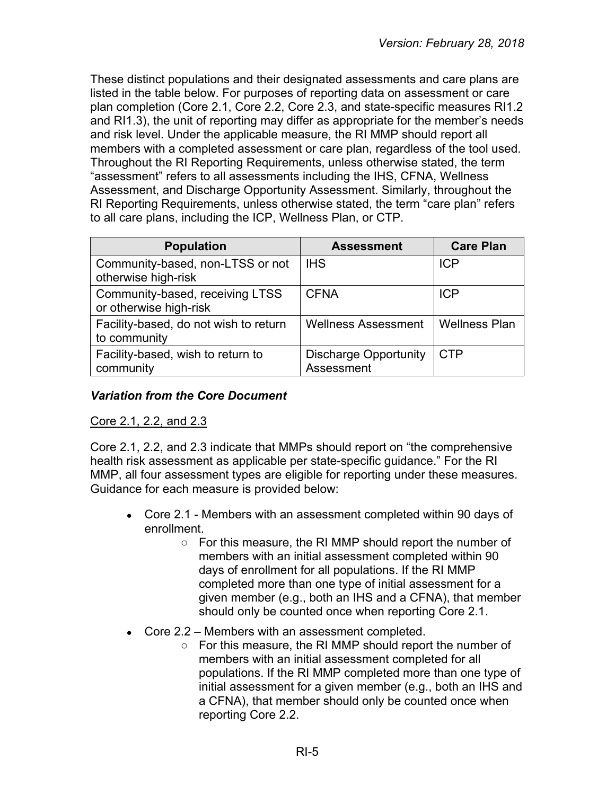These distinct populations and their designated assessments and care plans are listed in the table below. For purposes of reporting data on assessment or care plan completion (Core 2.1, Core 2.2, Core 2.3, and state-specific measures RI1.2 and RI1.3), the unit of reporting may differ as appropriate for the member's needs and risk level. Under the applicable measure, the RI MMP should report all members with a completed assessment or care plan, regardless of the tool used. Throughout the RI Reporting Requirements, unless otherwise stated, the term "assessment" refers to all assessments including the IHS, CFNA, Wellness Assessment, and Discharge Opportunity Assessment. Similarly, throughout the RI Reporting Requirements, unless otherwise stated, the term "care plan" refers to all care plans, including the ICP, Wellness Plan, or CTP.

| <b>Population</b>                                         | <b>Assessment</b>                          | <b>Care Plan</b>     |
|-----------------------------------------------------------|--------------------------------------------|----------------------|
| Community-based, non-LTSS or not<br>otherwise high-risk   | <b>IHS</b>                                 | <b>ICP</b>           |
| Community-based, receiving LTSS<br>or otherwise high-risk | <b>CFNA</b>                                | <b>ICP</b>           |
| Facility-based, do not wish to return<br>to community     | <b>Wellness Assessment</b>                 | <b>Wellness Plan</b> |
| Facility-based, wish to return to<br>community            | <b>Discharge Opportunity</b><br>Assessment | <b>CTP</b>           |

# <span id="page-4-0"></span>*Variation from the Core Document*

## Core 2.1, 2.2, and 2.3

Core 2.1, 2.2, and 2.3 indicate that MMPs should report on "the comprehensive health risk assessment as applicable per state-specific guidance." For the RI MMP, all four assessment types are eligible for reporting under these measures. Guidance for each measure is provided below:

- Core 2.1 Members with an assessment completed within 90 days of enrollment.
	- For this measure, the RI MMP should report the number of members with an initial assessment completed within 90 days of enrollment for all populations. If the RI MMP completed more than one type of initial assessment for a given member (e.g., both an IHS and a CFNA), that member should only be counted once when reporting Core 2.1.
- Core  $2.2$  Members with an assessment completed.
	- For this measure, the RI MMP should report the number of members with an initial assessment completed for all populations. If the RI MMP completed more than one type of initial assessment for a given member (e.g., both an IHS and a CFNA), that member should only be counted once when reporting Core 2.2.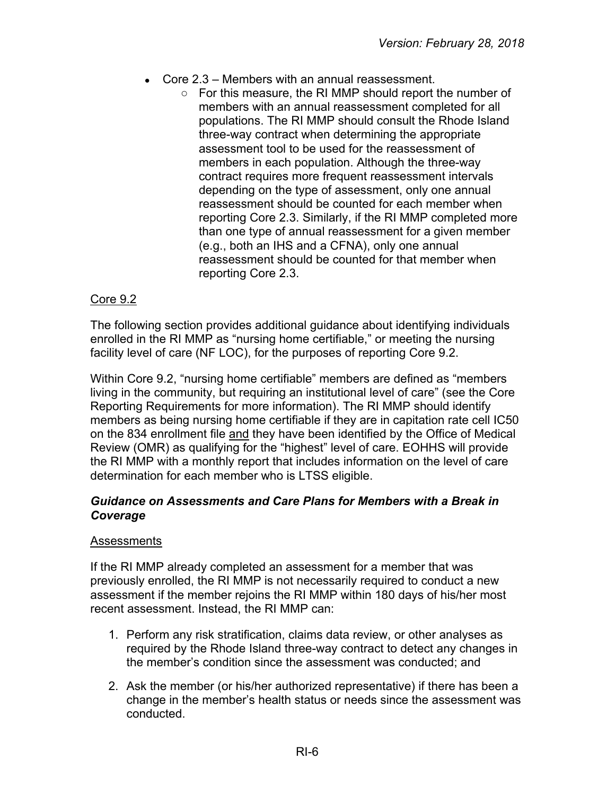- $\bullet$  Core 2.3 Members with an annual reassessment.
	- For this measure, the RI MMP should report the number of members with an annual reassessment completed for all populations. The RI MMP should consult the Rhode Island three-way contract when determining the appropriate assessment tool to be used for the reassessment of members in each population. Although the three-way contract requires more frequent reassessment intervals depending on the type of assessment, only one annual reassessment should be counted for each member when reporting Core 2.3. Similarly, if the RI MMP completed more than one type of annual reassessment for a given member (e.g., both an IHS and a CFNA), only one annual reassessment should be counted for that member when reporting Core 2.3.

#### Core 9.2

The following section provides additional guidance about identifying individuals enrolled in the RI MMP as "nursing home certifiable," or meeting the nursing facility level of care (NF LOC), for the purposes of reporting Core 9.2.

Within Core 9.2, "nursing home certifiable" members are defined as "members living in the community, but requiring an institutional level of care" (see the Core Reporting Requirements for more information). The RI MMP should identify members as being nursing home certifiable if they are in capitation rate cell IC50 on the 834 enrollment file and they have been identified by the Office of Medical Review (OMR) as qualifying for the "highest" level of care. EOHHS will provide the RI MMP with a monthly report that includes information on the level of care determination for each member who is LTSS eligible.

#### <span id="page-5-0"></span>*Guidance on Assessments and Care Plans for Members with a Break in Coverage*

#### **Assessments**

If the RI MMP already completed an assessment for a member that was previously enrolled, the RI MMP is not necessarily required to conduct a new assessment if the member rejoins the RI MMP within 180 days of his/her most recent assessment. Instead, the RI MMP can:

- 1. Perform any risk stratification, claims data review, or other analyses as required by the Rhode Island three-way contract to detect any changes in the member's condition since the assessment was conducted; and
- 2. Ask the member (or his/her authorized representative) if there has been a change in the member's health status or needs since the assessment was conducted.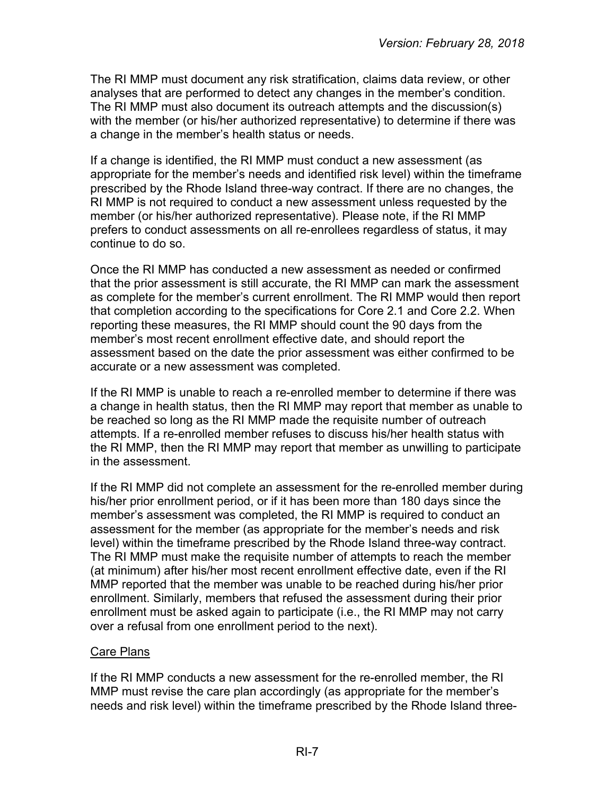The RI MMP must document any risk stratification, claims data review, or other analyses that are performed to detect any changes in the member's condition. The RI MMP must also document its outreach attempts and the discussion(s) with the member (or his/her authorized representative) to determine if there was a change in the member's health status or needs.

If a change is identified, the RI MMP must conduct a new assessment (as appropriate for the member's needs and identified risk level) within the timeframe prescribed by the Rhode Island three-way contract. If there are no changes, the RI MMP is not required to conduct a new assessment unless requested by the member (or his/her authorized representative). Please note, if the RI MMP prefers to conduct assessments on all re-enrollees regardless of status, it may continue to do so.

Once the RI MMP has conducted a new assessment as needed or confirmed that the prior assessment is still accurate, the RI MMP can mark the assessment as complete for the member's current enrollment. The RI MMP would then report that completion according to the specifications for Core 2.1 and Core 2.2. When reporting these measures, the RI MMP should count the 90 days from the member's most recent enrollment effective date, and should report the assessment based on the date the prior assessment was either confirmed to be accurate or a new assessment was completed.

If the RI MMP is unable to reach a re-enrolled member to determine if there was a change in health status, then the RI MMP may report that member as unable to be reached so long as the RI MMP made the requisite number of outreach attempts. If a re-enrolled member refuses to discuss his/her health status with the RI MMP, then the RI MMP may report that member as unwilling to participate in the assessment.

If the RI MMP did not complete an assessment for the re-enrolled member during his/her prior enrollment period, or if it has been more than 180 days since the member's assessment was completed, the RI MMP is required to conduct an assessment for the member (as appropriate for the member's needs and risk level) within the timeframe prescribed by the Rhode Island three-way contract. The RI MMP must make the requisite number of attempts to reach the member (at minimum) after his/her most recent enrollment effective date, even if the RI MMP reported that the member was unable to be reached during his/her prior enrollment. Similarly, members that refused the assessment during their prior enrollment must be asked again to participate (i.e., the RI MMP may not carry over a refusal from one enrollment period to the next).

#### Care Plans

If the RI MMP conducts a new assessment for the re-enrolled member, the RI MMP must revise the care plan accordingly (as appropriate for the member's needs and risk level) within the timeframe prescribed by the Rhode Island three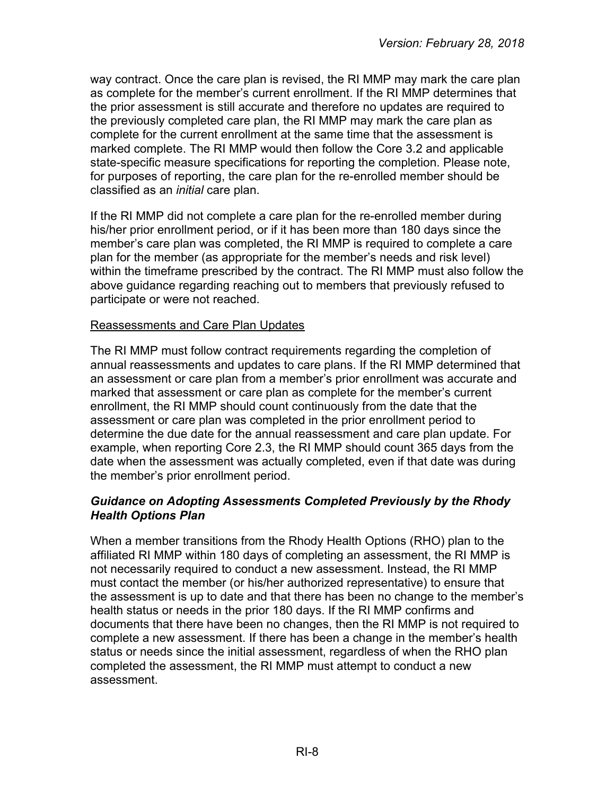way contract. Once the care plan is revised, the RI MMP may mark the care plan as complete for the member's current enrollment. If the RI MMP determines that the prior assessment is still accurate and therefore no updates are required to the previously completed care plan, the RI MMP may mark the care plan as complete for the current enrollment at the same time that the assessment is marked complete. The RI MMP would then follow the Core 3.2 and applicable state-specific measure specifications for reporting the completion. Please note, for purposes of reporting, the care plan for the re-enrolled member should be classified as an *initial* care plan.

If the RI MMP did not complete a care plan for the re-enrolled member during his/her prior enrollment period, or if it has been more than 180 days since the member's care plan was completed, the RI MMP is required to complete a care plan for the member (as appropriate for the member's needs and risk level) within the timeframe prescribed by the contract. The RI MMP must also follow the above guidance regarding reaching out to members that previously refused to participate or were not reached.

#### Reassessments and Care Plan Updates

The RI MMP must follow contract requirements regarding the completion of annual reassessments and updates to care plans. If the RI MMP determined that an assessment or care plan from a member's prior enrollment was accurate and marked that assessment or care plan as complete for the member's current enrollment, the RI MMP should count continuously from the date that the assessment or care plan was completed in the prior enrollment period to determine the due date for the annual reassessment and care plan update. For example, when reporting Core 2.3, the RI MMP should count 365 days from the date when the assessment was actually completed, even if that date was during the member's prior enrollment period.

#### <span id="page-7-0"></span>*Guidance on Adopting Assessments Completed Previously by the Rhody Health Options Plan*

When a member transitions from the Rhody Health Options (RHO) plan to the affiliated RI MMP within 180 days of completing an assessment, the RI MMP is not necessarily required to conduct a new assessment. Instead, the RI MMP must contact the member (or his/her authorized representative) to ensure that the assessment is up to date and that there has been no change to the member's health status or needs in the prior 180 days. If the RI MMP confirms and documents that there have been no changes, then the RI MMP is not required to complete a new assessment. If there has been a change in the member's health status or needs since the initial assessment, regardless of when the RHO plan completed the assessment, the RI MMP must attempt to conduct a new assessment.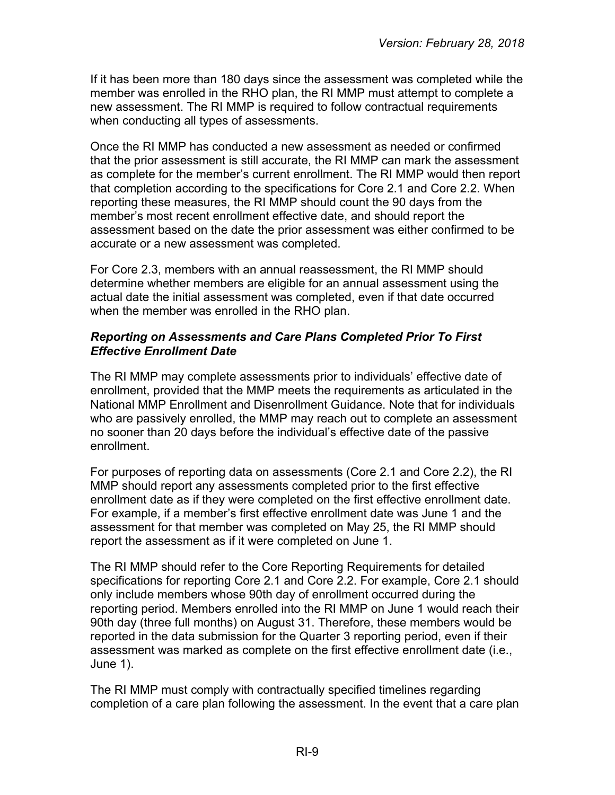If it has been more than 180 days since the assessment was completed while the member was enrolled in the RHO plan, the RI MMP must attempt to complete a new assessment. The RI MMP is required to follow contractual requirements when conducting all types of assessments.

Once the RI MMP has conducted a new assessment as needed or confirmed that the prior assessment is still accurate, the RI MMP can mark the assessment as complete for the member's current enrollment. The RI MMP would then report that completion according to the specifications for Core 2.1 and Core 2.2. When reporting these measures, the RI MMP should count the 90 days from the member's most recent enrollment effective date, and should report the assessment based on the date the prior assessment was either confirmed to be accurate or a new assessment was completed.

For Core 2.3, members with an annual reassessment, the RI MMP should determine whether members are eligible for an annual assessment using the actual date the initial assessment was completed, even if that date occurred when the member was enrolled in the RHO plan.

#### <span id="page-8-0"></span>*Reporting on Assessments and Care Plans Completed Prior To First Effective Enrollment Date*

The RI MMP may complete assessments prior to individuals' effective date of enrollment, provided that the MMP meets the requirements as articulated in the National MMP Enrollment and Disenrollment Guidance. Note that for individuals who are passively enrolled, the MMP may reach out to complete an assessment no sooner than 20 days before the individual's effective date of the passive enrollment.

For purposes of reporting data on assessments (Core 2.1 and Core 2.2), the RI MMP should report any assessments completed prior to the first effective enrollment date as if they were completed on the first effective enrollment date. For example, if a member's first effective enrollment date was June 1 and the assessment for that member was completed on May 25, the RI MMP should report the assessment as if it were completed on June 1.

The RI MMP should refer to the Core Reporting Requirements for detailed specifications for reporting Core 2.1 and Core 2.2. For example, Core 2.1 should only include members whose 90th day of enrollment occurred during the reporting period. Members enrolled into the RI MMP on June 1 would reach their 90th day (three full months) on August 31. Therefore, these members would be reported in the data submission for the Quarter 3 reporting period, even if their assessment was marked as complete on the first effective enrollment date (i.e., June 1).

The RI MMP must comply with contractually specified timelines regarding completion of a care plan following the assessment. In the event that a care plan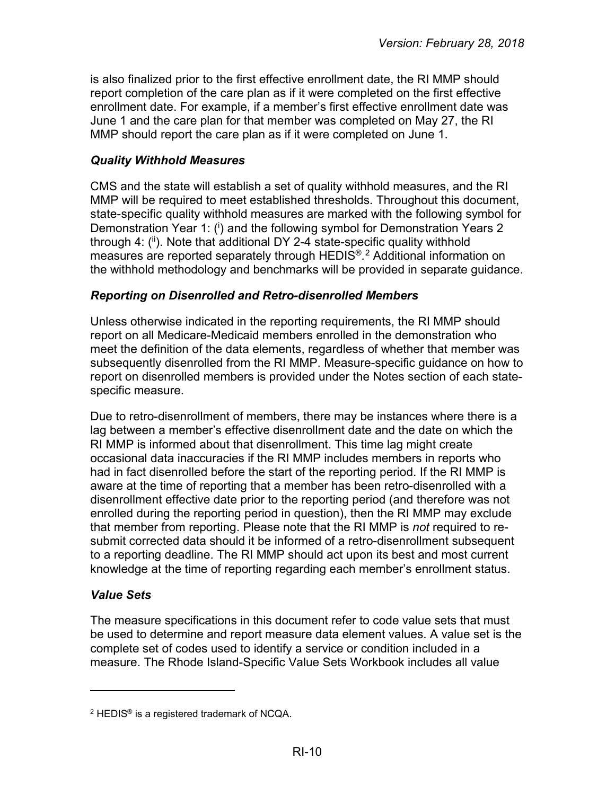is also finalized prior to the first effective enrollment date, the RI MMP should report completion of the care plan as if it were completed on the first effective enrollment date. For example, if a member's first effective enrollment date was June 1 and the care plan for that member was completed on May 27, the RI MMP should report the care plan as if it were completed on June 1.

# <span id="page-9-0"></span>*Quality Withhold Measures*

CMS and the state will establish a set of quality withhold measures, and the RI MMP will be required to meet established thresholds. Throughout this document, state-specific quality withhold measures are marked with the following symbol for Demonstration Year 1: (i) and the following symbol for Demonstration Years 2 through 4: (ii). Note that additional DY 2-4 state-specific quality withhold measures are reported separately through HEDIS®. [2](#page-9-3) Additional information on the withhold methodology and benchmarks will be provided in separate guidance.

# <span id="page-9-1"></span>*Reporting on Disenrolled and Retro-disenrolled Members*

Unless otherwise indicated in the reporting requirements, the RI MMP should report on all Medicare-Medicaid members enrolled in the demonstration who meet the definition of the data elements, regardless of whether that member was subsequently disenrolled from the RI MMP. Measure-specific guidance on how to report on disenrolled members is provided under the Notes section of each statespecific measure.

Due to retro-disenrollment of members, there may be instances where there is a lag between a member's effective disenrollment date and the date on which the RI MMP is informed about that disenrollment. This time lag might create occasional data inaccuracies if the RI MMP includes members in reports who had in fact disenrolled before the start of the reporting period. If the RI MMP is aware at the time of reporting that a member has been retro-disenrolled with a disenrollment effective date prior to the reporting period (and therefore was not enrolled during the reporting period in question), then the RI MMP may exclude that member from reporting. Please note that the RI MMP is *not* required to resubmit corrected data should it be informed of a retro-disenrollment subsequent to a reporting deadline. The RI MMP should act upon its best and most current knowledge at the time of reporting regarding each member's enrollment status.

# <span id="page-9-2"></span>*Value Sets*

 $\overline{a}$ 

The measure specifications in this document refer to code value sets that must be used to determine and report measure data element values. A value set is the complete set of codes used to identify a service or condition included in a measure. The Rhode Island-Specific Value Sets Workbook includes all value

<span id="page-9-3"></span> $2$  HEDIS<sup>®</sup> is a registered trademark of NCQA.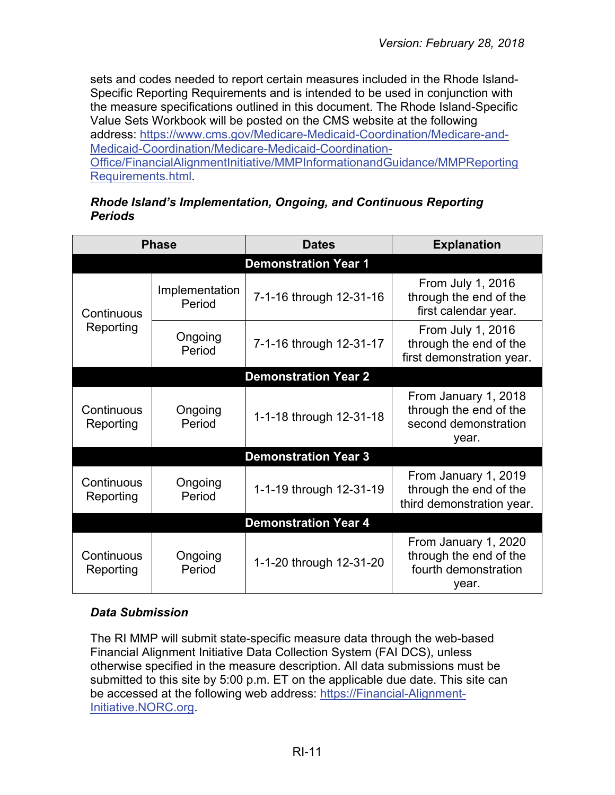sets and codes needed to report certain measures included in the Rhode Island-Specific Reporting Requirements and is intended to be used in conjunction with the measure specifications outlined in this document. The Rhode Island-Specific Value Sets Workbook will be posted on the CMS website at the following address: [https://www.cms.gov/Medicare-Medicaid-Coordination/Medicare-and-](https://www.cms.gov/Medicare-Medicaid-Coordination/Medicare-and-Medicaid-Coordination/Medicare-Medicaid-Coordination-Office/FinancialAlignmentInitiative/MMPInformationandGuidance/MMPReportingRequirements.html)[Medicaid-Coordination/Medicare-Medicaid-Coordination-](https://www.cms.gov/Medicare-Medicaid-Coordination/Medicare-and-Medicaid-Coordination/Medicare-Medicaid-Coordination-Office/FinancialAlignmentInitiative/MMPInformationandGuidance/MMPReportingRequirements.html)[Office/FinancialAlignmentInitiative/MMPInformationandGuidance/MMPReporting](https://www.cms.gov/Medicare-Medicaid-Coordination/Medicare-and-Medicaid-Coordination/Medicare-Medicaid-Coordination-Office/FinancialAlignmentInitiative/MMPInformationandGuidance/MMPReportingRequirements.html) [Requirements.html.](https://www.cms.gov/Medicare-Medicaid-Coordination/Medicare-and-Medicaid-Coordination/Medicare-Medicaid-Coordination-Office/FinancialAlignmentInitiative/MMPInformationandGuidance/MMPReportingRequirements.html)

#### *Rhode Island's Implementation, Ongoing, and Continuous Reporting Periods*

<span id="page-10-0"></span>

|                             | <b>Phase</b>             | <b>Dates</b>                | <b>Explanation</b>                                                              |
|-----------------------------|--------------------------|-----------------------------|---------------------------------------------------------------------------------|
|                             |                          | <b>Demonstration Year 1</b> |                                                                                 |
| Continuous                  | Implementation<br>Period | 7-1-16 through 12-31-16     | From July 1, 2016<br>through the end of the<br>first calendar year.             |
| Reporting                   | Ongoing<br>Period        | 7-1-16 through 12-31-17     | From July 1, 2016<br>through the end of the<br>first demonstration year.        |
|                             |                          | <b>Demonstration Year 2</b> |                                                                                 |
| Continuous<br>Reporting     | Ongoing<br>Period        | 1-1-18 through 12-31-18     | From January 1, 2018<br>through the end of the<br>second demonstration<br>year. |
|                             |                          | <b>Demonstration Year 3</b> |                                                                                 |
| Continuous<br>Reporting     | Ongoing<br>Period        | 1-1-19 through 12-31-19     | From January 1, 2019<br>through the end of the<br>third demonstration year.     |
| <b>Demonstration Year 4</b> |                          |                             |                                                                                 |
| Continuous<br>Reporting     | Ongoing<br>Period        | 1-1-20 through 12-31-20     | From January 1, 2020<br>through the end of the<br>fourth demonstration<br>year. |

# <span id="page-10-1"></span>*Data Submission*

The RI MMP will submit state-specific measure data through the web-based Financial Alignment Initiative Data Collection System (FAI DCS), unless otherwise specified in the measure description. All data submissions must be submitted to this site by 5:00 p.m. ET on the applicable due date. This site can be accessed at the following web address: [https://Financial-Alignment-](https://financial-alignment-initiative.norc.org/)[Initiative.NORC.org.](https://financial-alignment-initiative.norc.org/)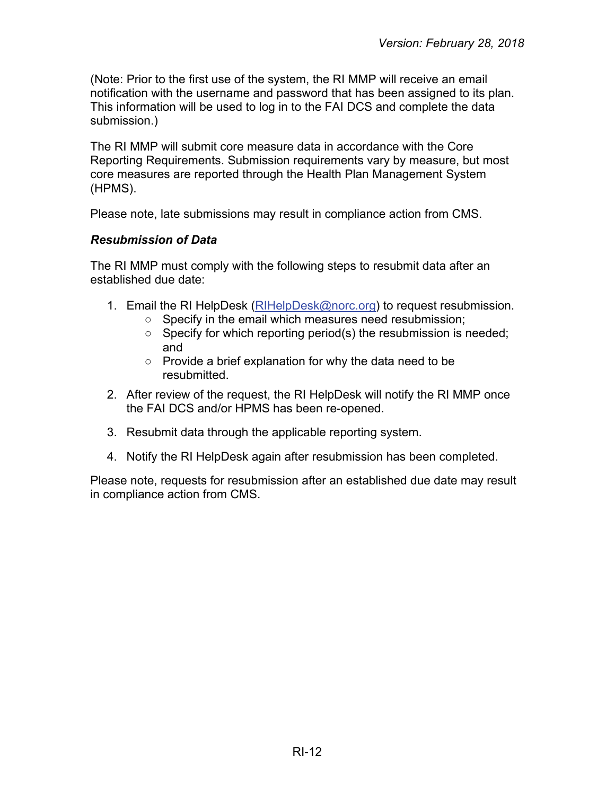(Note: Prior to the first use of the system, the RI MMP will receive an email notification with the username and password that has been assigned to its plan. This information will be used to log in to the FAI DCS and complete the data submission.)

The RI MMP will submit core measure data in accordance with the Core Reporting Requirements. Submission requirements vary by measure, but most core measures are reported through the Health Plan Management System (HPMS).

Please note, late submissions may result in compliance action from CMS.

#### <span id="page-11-0"></span>*Resubmission of Data*

The RI MMP must comply with the following steps to resubmit data after an established due date:

- 1. Email the RI HelpDesk [\(RIHelpDesk@norc.org\)](mailto:RIHelpDesk@norc.org) to request resubmission.
	- Specify in the email which measures need resubmission;
	- Specify for which reporting period(s) the resubmission is needed; and
	- Provide a brief explanation for why the data need to be resubmitted.
- 2. After review of the request, the RI HelpDesk will notify the RI MMP once the FAI DCS and/or HPMS has been re-opened.
- 3. Resubmit data through the applicable reporting system.
- 4. Notify the RI HelpDesk again after resubmission has been completed.

Please note, requests for resubmission after an established due date may result in compliance action from CMS.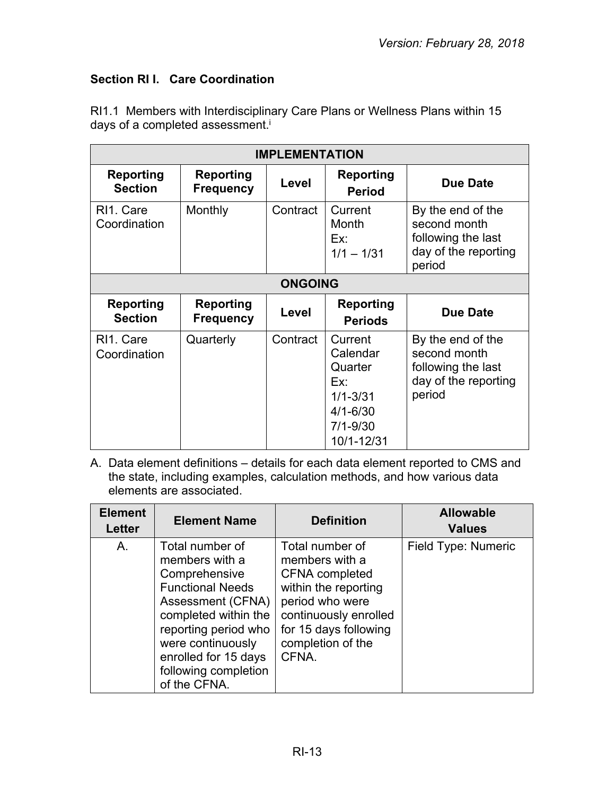# <span id="page-12-0"></span>**Section RI I. Care Coordination**

RI1.1 Members with Interdisciplinary Care Plans or Wellness Plans within 15 days of a completed assessment. i

| <b>IMPLEMENTATION</b>                  |                                      |          |                                                                                                     |                                                                                           |
|----------------------------------------|--------------------------------------|----------|-----------------------------------------------------------------------------------------------------|-------------------------------------------------------------------------------------------|
| Reporting<br><b>Section</b>            | Reporting<br><b>Frequency</b>        | Level    | <b>Reporting</b><br><b>Period</b>                                                                   | <b>Due Date</b>                                                                           |
| RI <sub>1</sub> . Care<br>Coordination | Monthly                              | Contract | Current<br>Month<br>Ex:<br>$1/1 - 1/31$                                                             | By the end of the<br>second month<br>following the last<br>day of the reporting<br>period |
| <b>ONGOING</b>                         |                                      |          |                                                                                                     |                                                                                           |
| <b>Reporting</b><br><b>Section</b>     | <b>Reporting</b><br><b>Frequency</b> | Level    | <b>Reporting</b><br><b>Periods</b>                                                                  | <b>Due Date</b>                                                                           |
| RI <sub>1</sub> . Care<br>Coordination | Quarterly                            | Contract | Current<br>Calendar<br>Quarter<br>Ex:<br>$1/1 - 3/31$<br>$4/1 - 6/30$<br>$7/1 - 9/30$<br>10/1-12/31 | By the end of the<br>second month<br>following the last<br>day of the reporting<br>period |

| <b>Element</b><br><b>Letter</b> | <b>Element Name</b>                                                                                                                                                                                                                     | <b>Definition</b>                                                                                                                                                                     | <b>Allowable</b><br><b>Values</b> |
|---------------------------------|-----------------------------------------------------------------------------------------------------------------------------------------------------------------------------------------------------------------------------------------|---------------------------------------------------------------------------------------------------------------------------------------------------------------------------------------|-----------------------------------|
| A.                              | Total number of<br>members with a<br>Comprehensive<br><b>Functional Needs</b><br>Assessment (CFNA)<br>completed within the<br>reporting period who<br>were continuously<br>enrolled for 15 days<br>following completion<br>of the CFNA. | Total number of<br>members with a<br><b>CFNA</b> completed<br>within the reporting<br>period who were<br>continuously enrolled<br>for 15 days following<br>completion of the<br>CFNA. | Field Type: Numeric               |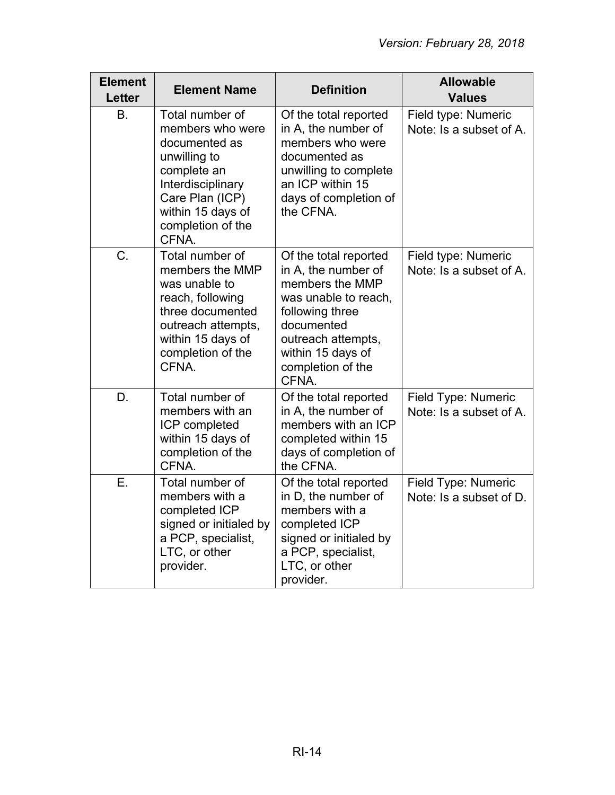| <b>Element</b><br>Letter | <b>Element Name</b>                                                                                                                                                            | <b>Definition</b>                                                                                                                                                                                 | <b>Allowable</b><br><b>Values</b>              |
|--------------------------|--------------------------------------------------------------------------------------------------------------------------------------------------------------------------------|---------------------------------------------------------------------------------------------------------------------------------------------------------------------------------------------------|------------------------------------------------|
| <b>B.</b>                | Total number of<br>members who were<br>documented as<br>unwilling to<br>complete an<br>Interdisciplinary<br>Care Plan (ICP)<br>within 15 days of<br>completion of the<br>CFNA. | Of the total reported<br>in A, the number of<br>members who were<br>documented as<br>unwilling to complete<br>an ICP within 15<br>days of completion of<br>the CFNA.                              | Field type: Numeric<br>Note: Is a subset of A. |
| C.                       | Total number of<br>members the MMP<br>was unable to<br>reach, following<br>three documented<br>outreach attempts,<br>within 15 days of<br>completion of the<br>CFNA.           | Of the total reported<br>in A, the number of<br>members the MMP<br>was unable to reach,<br>following three<br>documented<br>outreach attempts,<br>within 15 days of<br>completion of the<br>CFNA. | Field type: Numeric<br>Note: Is a subset of A. |
| D.                       | Total number of<br>members with an<br>ICP completed<br>within 15 days of<br>completion of the<br>CFNA.                                                                         | Of the total reported<br>in A, the number of<br>members with an ICP<br>completed within 15<br>days of completion of<br>the CFNA.                                                                  | Field Type: Numeric<br>Note: Is a subset of A. |
| E.                       | Total number of<br>members with a<br>completed ICP<br>signed or initialed by<br>a PCP, specialist,<br>LTC, or other<br>provider.                                               | Of the total reported<br>in D, the number of<br>members with a<br>completed ICP<br>signed or initialed by<br>a PCP, specialist,<br>LTC, or other<br>provider.                                     | Field Type: Numeric<br>Note: Is a subset of D. |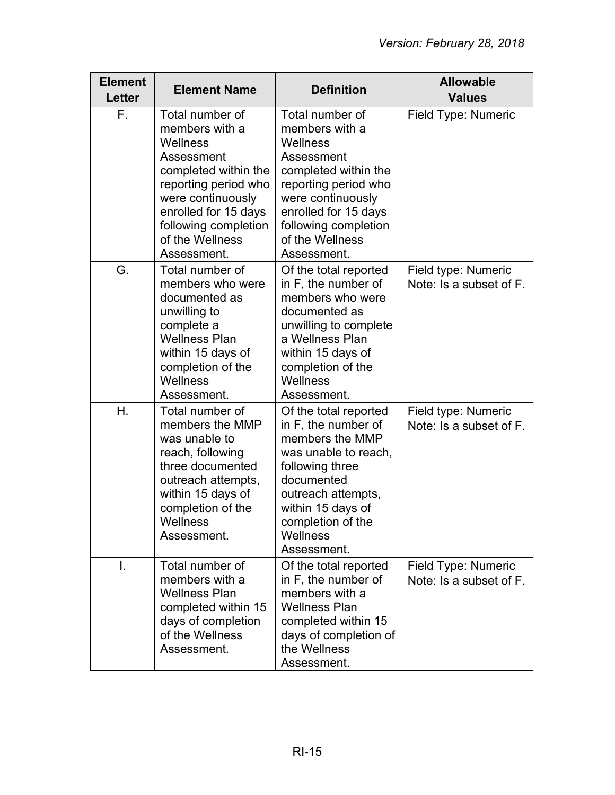| <b>Element</b><br><b>Letter</b> | <b>Element Name</b>                                                                                                                                                                                                | <b>Definition</b>                                                                                                                                                                                                          | <b>Allowable</b><br><b>Values</b>              |
|---------------------------------|--------------------------------------------------------------------------------------------------------------------------------------------------------------------------------------------------------------------|----------------------------------------------------------------------------------------------------------------------------------------------------------------------------------------------------------------------------|------------------------------------------------|
| F.                              | Total number of<br>members with a<br>Wellness<br>Assessment<br>completed within the<br>reporting period who<br>were continuously<br>enrolled for 15 days<br>following completion<br>of the Wellness<br>Assessment. | Total number of<br>members with a<br><b>Wellness</b><br>Assessment<br>completed within the<br>reporting period who<br>were continuously<br>enrolled for 15 days<br>following completion<br>of the Wellness<br>Assessment.  | Field Type: Numeric                            |
| G.                              | Total number of<br>members who were<br>documented as<br>unwilling to<br>complete a<br><b>Wellness Plan</b><br>within 15 days of<br>completion of the<br>Wellness<br>Assessment.                                    | Of the total reported<br>in F, the number of<br>members who were<br>documented as<br>unwilling to complete<br>a Wellness Plan<br>within 15 days of<br>completion of the<br>Wellness<br>Assessment.                         | Field type: Numeric<br>Note: Is a subset of F. |
| Η.                              | Total number of<br>members the MMP<br>was unable to<br>reach, following<br>three documented<br>outreach attempts,<br>within 15 days of<br>completion of the<br>Wellness<br>Assessment.                             | Of the total reported<br>in F, the number of<br>members the MMP<br>was unable to reach,<br>following three<br>documented<br>outreach attempts,<br>within 15 days of<br>completion of the<br><b>Wellness</b><br>Assessment. | Field type: Numeric<br>Note: Is a subset of F. |
| T.                              | Total number of<br>members with a<br><b>Wellness Plan</b><br>completed within 15<br>days of completion<br>of the Wellness<br>Assessment.                                                                           | Of the total reported<br>in F, the number of<br>members with a<br><b>Wellness Plan</b><br>completed within 15<br>days of completion of<br>the Wellness<br>Assessment.                                                      | Field Type: Numeric<br>Note: Is a subset of F. |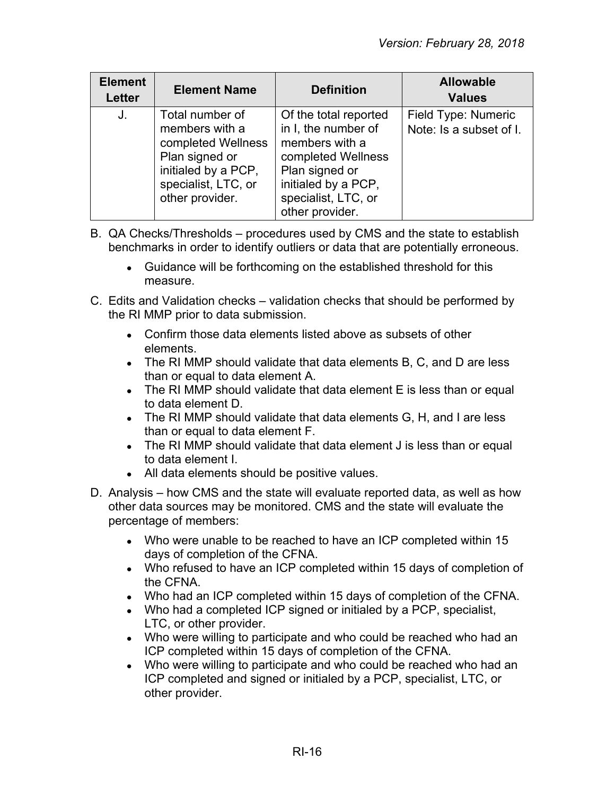| <b>Element</b><br><b>Letter</b> | <b>Element Name</b>                                                                                                                        | <b>Definition</b>                                                                                                                                                       | <b>Allowable</b><br><b>Values</b>              |
|---------------------------------|--------------------------------------------------------------------------------------------------------------------------------------------|-------------------------------------------------------------------------------------------------------------------------------------------------------------------------|------------------------------------------------|
| J.                              | Total number of<br>members with a<br>completed Wellness<br>Plan signed or<br>initialed by a PCP,<br>specialist, LTC, or<br>other provider. | Of the total reported<br>in I, the number of<br>members with a<br>completed Wellness<br>Plan signed or<br>initialed by a PCP,<br>specialist, LTC, or<br>other provider. | Field Type: Numeric<br>Note: Is a subset of I. |

- B. QA Checks/Thresholds procedures used by CMS and the state to establish benchmarks in order to identify outliers or data that are potentially erroneous.
	- Guidance will be forthcoming on the established threshold for this measure.
- C. Edits and Validation checks validation checks that should be performed by the RI MMP prior to data submission.
	- Confirm those data elements listed above as subsets of other elements.
	- The RI MMP should validate that data elements B, C, and D are less than or equal to data element A.
	- The RI MMP should validate that data element E is less than or equal to data element D.
	- $\bullet$  The RI MMP should validate that data elements G, H, and I are less than or equal to data element F.
	- The RI MMP should validate that data element J is less than or equal to data element I.
	- All data elements should be positive values.
- D. Analysis how CMS and the state will evaluate reported data, as well as how other data sources may be monitored. CMS and the state will evaluate the percentage of members:
	- Who were unable to be reached to have an ICP completed within 15 days of completion of the CFNA.
	- Who refused to have an ICP completed within 15 days of completion of the CFNA.
	- Who had an ICP completed within 15 days of completion of the CFNA.
	- Who had a completed ICP signed or initialed by a PCP, specialist, LTC, or other provider.
	- Who were willing to participate and who could be reached who had an ICP completed within 15 days of completion of the CFNA.
	- Who were willing to participate and who could be reached who had an ICP completed and signed or initialed by a PCP, specialist, LTC, or other provider.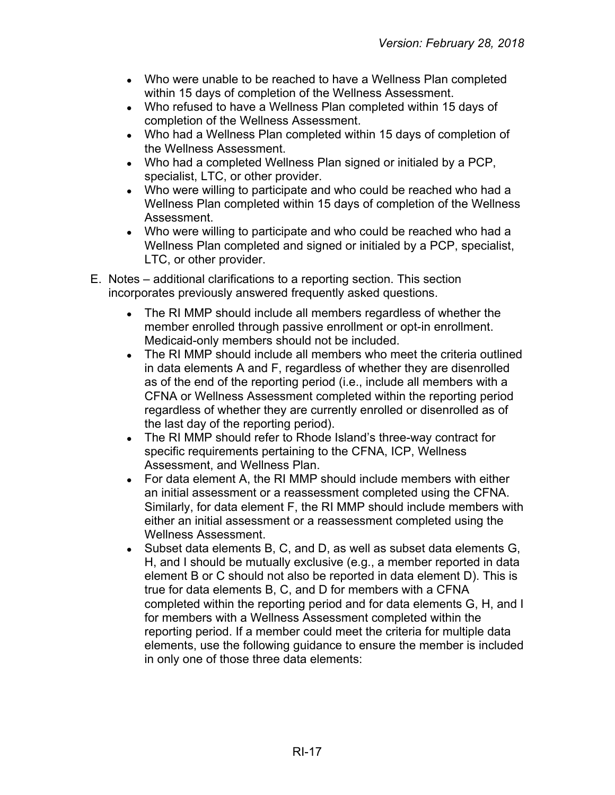- Who were unable to be reached to have a Wellness Plan completed within 15 days of completion of the Wellness Assessment.
- Who refused to have a Wellness Plan completed within 15 days of completion of the Wellness Assessment.
- Who had a Wellness Plan completed within 15 days of completion of the Wellness Assessment.
- Who had a completed Wellness Plan signed or initialed by a PCP, specialist, LTC, or other provider.
- Who were willing to participate and who could be reached who had a Wellness Plan completed within 15 days of completion of the Wellness Assessment.
- Who were willing to participate and who could be reached who had a Wellness Plan completed and signed or initialed by a PCP, specialist, LTC, or other provider.
- E. Notes additional clarifications to a reporting section. This section incorporates previously answered frequently asked questions.
	- The RI MMP should include all members regardless of whether the member enrolled through passive enrollment or opt-in enrollment. Medicaid-only members should not be included.
	- The RI MMP should include all members who meet the criteria outlined in data elements A and F, regardless of whether they are disenrolled as of the end of the reporting period (i.e., include all members with a CFNA or Wellness Assessment completed within the reporting period regardless of whether they are currently enrolled or disenrolled as of the last day of the reporting period).
	- The RI MMP should refer to Rhode Island's three-way contract for specific requirements pertaining to the CFNA, ICP, Wellness Assessment, and Wellness Plan.
	- For data element A, the RI MMP should include members with either an initial assessment or a reassessment completed using the CFNA. Similarly, for data element F, the RI MMP should include members with either an initial assessment or a reassessment completed using the Wellness Assessment.
	- Subset data elements B, C, and D, as well as subset data elements G, H, and I should be mutually exclusive (e.g., a member reported in data element B or C should not also be reported in data element D). This is true for data elements B, C, and D for members with a CFNA completed within the reporting period and for data elements G, H, and I for members with a Wellness Assessment completed within the reporting period. If a member could meet the criteria for multiple data elements, use the following guidance to ensure the member is included in only one of those three data elements: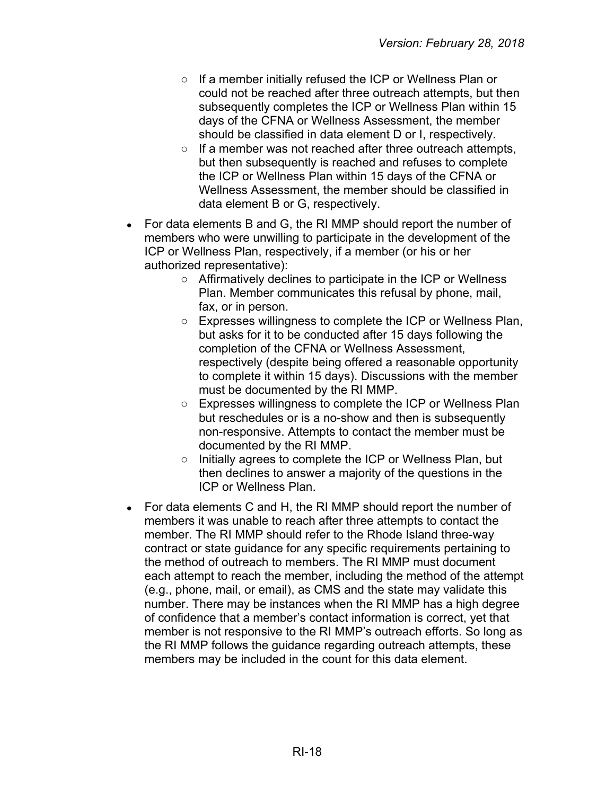- If a member initially refused the ICP or Wellness Plan or could not be reached after three outreach attempts, but then subsequently completes the ICP or Wellness Plan within 15 days of the CFNA or Wellness Assessment, the member should be classified in data element D or I, respectively.
- If a member was not reached after three outreach attempts, but then subsequently is reached and refuses to complete the ICP or Wellness Plan within 15 days of the CFNA or Wellness Assessment, the member should be classified in data element B or G, respectively.
- For data elements B and G, the RI MMP should report the number of members who were unwilling to participate in the development of the ICP or Wellness Plan, respectively, if a member (or his or her authorized representative):
	- Affirmatively declines to participate in the ICP or Wellness Plan. Member communicates this refusal by phone, mail, fax, or in person.
	- Expresses willingness to complete the ICP or Wellness Plan, but asks for it to be conducted after 15 days following the completion of the CFNA or Wellness Assessment, respectively (despite being offered a reasonable opportunity to complete it within 15 days). Discussions with the member must be documented by the RI MMP.
	- Expresses willingness to complete the ICP or Wellness Plan but reschedules or is a no-show and then is subsequently non-responsive. Attempts to contact the member must be documented by the RI MMP.
	- Initially agrees to complete the ICP or Wellness Plan, but then declines to answer a majority of the questions in the ICP or Wellness Plan.
- For data elements C and H, the RI MMP should report the number of members it was unable to reach after three attempts to contact the member. The RI MMP should refer to the Rhode Island three-way contract or state guidance for any specific requirements pertaining to the method of outreach to members. The RI MMP must document each attempt to reach the member, including the method of the attempt (e.g., phone, mail, or email), as CMS and the state may validate this number. There may be instances when the RI MMP has a high degree of confidence that a member's contact information is correct, yet that member is not responsive to the RI MMP's outreach efforts. So long as the RI MMP follows the guidance regarding outreach attempts, these members may be included in the count for this data element.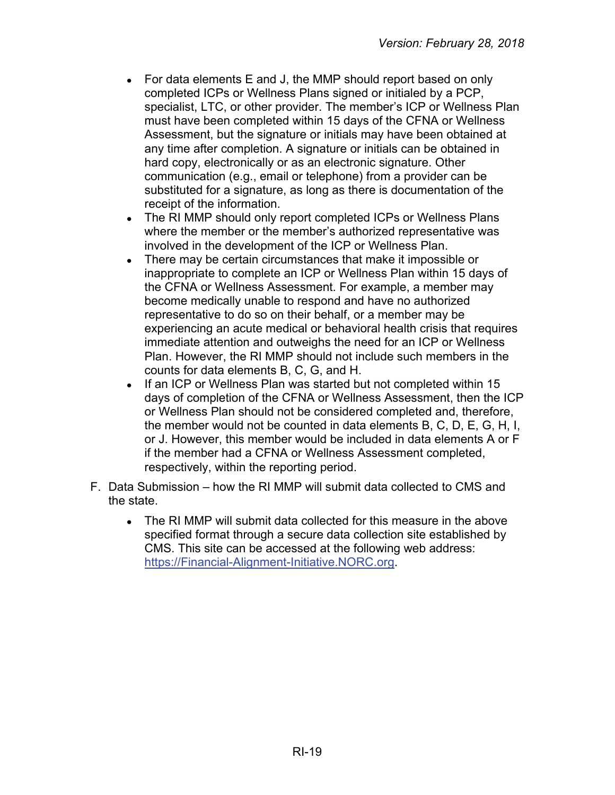- For data elements E and J, the MMP should report based on only completed ICPs or Wellness Plans signed or initialed by a PCP, specialist, LTC, or other provider. The member's ICP or Wellness Plan must have been completed within 15 days of the CFNA or Wellness Assessment, but the signature or initials may have been obtained at any time after completion. A signature or initials can be obtained in hard copy, electronically or as an electronic signature. Other communication (e.g., email or telephone) from a provider can be substituted for a signature, as long as there is documentation of the receipt of the information.
- The RI MMP should only report completed ICPs or Wellness Plans where the member or the member's authorized representative was involved in the development of the ICP or Wellness Plan.
- There may be certain circumstances that make it impossible or inappropriate to complete an ICP or Wellness Plan within 15 days of the CFNA or Wellness Assessment. For example, a member may become medically unable to respond and have no authorized representative to do so on their behalf, or a member may be experiencing an acute medical or behavioral health crisis that requires immediate attention and outweighs the need for an ICP or Wellness Plan. However, the RI MMP should not include such members in the counts for data elements B, C, G, and H.
- If an ICP or Wellness Plan was started but not completed within 15 days of completion of the CFNA or Wellness Assessment, then the ICP or Wellness Plan should not be considered completed and, therefore, the member would not be counted in data elements B, C, D, E, G, H, I, or J. However, this member would be included in data elements A or F if the member had a CFNA or Wellness Assessment completed, respectively, within the reporting period.
- F. Data Submission how the RI MMP will submit data collected to CMS and the state.
	- The RI MMP will submit data collected for this measure in the above specified format through a secure data collection site established by CMS. This site can be accessed at the following web address: [https://Financial-Alignment-Initiative.NORC.org.](https://financial-alignment-initiative.norc.org/)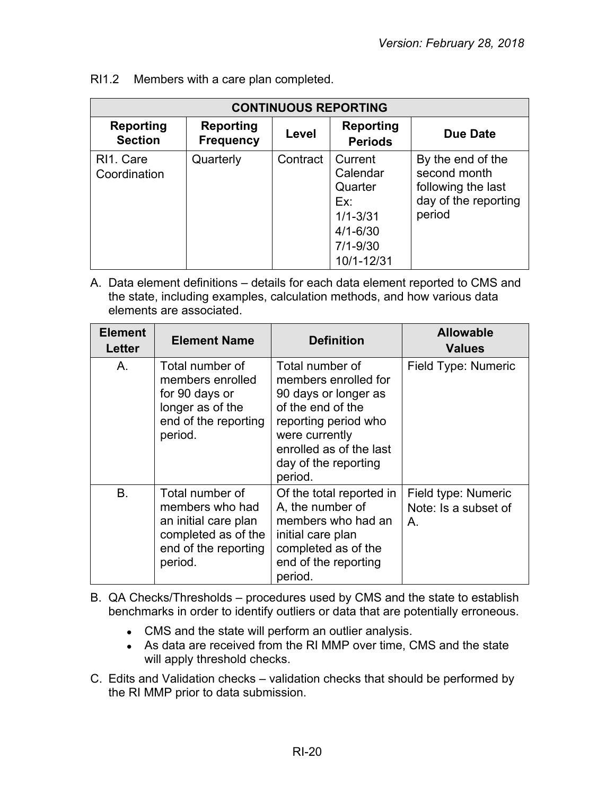|                                    | <b>CONTINUOUS REPORTING</b>          |          |                                                                                                     |                                                                                           |  |  |
|------------------------------------|--------------------------------------|----------|-----------------------------------------------------------------------------------------------------|-------------------------------------------------------------------------------------------|--|--|
| <b>Reporting</b><br><b>Section</b> | <b>Reporting</b><br><b>Frequency</b> | Level    | <b>Reporting</b><br><b>Periods</b>                                                                  | <b>Due Date</b>                                                                           |  |  |
| RI1. Care<br>Coordination          | Quarterly                            | Contract | Current<br>Calendar<br>Quarter<br>Ex:<br>$1/1 - 3/31$<br>$4/1 - 6/30$<br>$7/1 - 9/30$<br>10/1-12/31 | By the end of the<br>second month<br>following the last<br>day of the reporting<br>period |  |  |

RI1.2 Members with a care plan completed.

| <b>Element</b><br><b>Letter</b> | <b>Element Name</b>                                                                                                  | <b>Definition</b>                                                                                                                                                                            | <b>Allowable</b><br><b>Values</b>                 |
|---------------------------------|----------------------------------------------------------------------------------------------------------------------|----------------------------------------------------------------------------------------------------------------------------------------------------------------------------------------------|---------------------------------------------------|
| A.                              | Total number of<br>members enrolled<br>for 90 days or<br>longer as of the<br>end of the reporting<br>period.         | Total number of<br>members enrolled for<br>90 days or longer as<br>of the end of the<br>reporting period who<br>were currently<br>enrolled as of the last<br>day of the reporting<br>period. | Field Type: Numeric                               |
| <b>B.</b>                       | Total number of<br>members who had<br>an initial care plan<br>completed as of the<br>end of the reporting<br>period. | Of the total reported in<br>A, the number of<br>members who had an<br>initial care plan<br>completed as of the<br>end of the reporting<br>period.                                            | Field type: Numeric<br>Note: Is a subset of<br>Α. |

- B. QA Checks/Thresholds procedures used by CMS and the state to establish benchmarks in order to identify outliers or data that are potentially erroneous.
	- CMS and the state will perform an outlier analysis.
	- As data are received from the RI MMP over time, CMS and the state will apply threshold checks.
- C. Edits and Validation checks validation checks that should be performed by the RI MMP prior to data submission.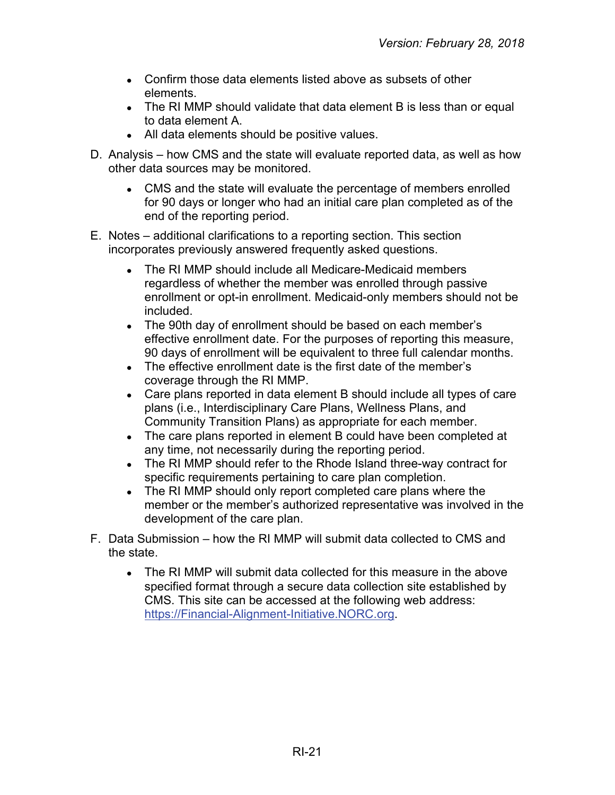- Confirm those data elements listed above as subsets of other elements.
- The RI MMP should validate that data element B is less than or equal to data element A.
- All data elements should be positive values.
- D. Analysis how CMS and the state will evaluate reported data, as well as how other data sources may be monitored.
	- CMS and the state will evaluate the percentage of members enrolled for 90 days or longer who had an initial care plan completed as of the end of the reporting period.
- E. Notes additional clarifications to a reporting section. This section incorporates previously answered frequently asked questions.
	- The RI MMP should include all Medicare-Medicaid members regardless of whether the member was enrolled through passive enrollment or opt-in enrollment. Medicaid-only members should not be included.
	- The 90th day of enrollment should be based on each member's effective enrollment date. For the purposes of reporting this measure, 90 days of enrollment will be equivalent to three full calendar months.
	- The effective enrollment date is the first date of the member's coverage through the RI MMP.
	- Care plans reported in data element B should include all types of care plans (i.e., Interdisciplinary Care Plans, Wellness Plans, and Community Transition Plans) as appropriate for each member.
	- The care plans reported in element B could have been completed at any time, not necessarily during the reporting period.
	- The RI MMP should refer to the Rhode Island three-way contract for specific requirements pertaining to care plan completion.
	- The RI MMP should only report completed care plans where the member or the member's authorized representative was involved in the development of the care plan.
- F. Data Submission how the RI MMP will submit data collected to CMS and the state.
	- The RI MMP will submit data collected for this measure in the above specified format through a secure data collection site established by CMS. This site can be accessed at the following web address: [https://Financial-Alignment-Initiative.NORC.org.](https://financial-alignment-initiative.norc.org/)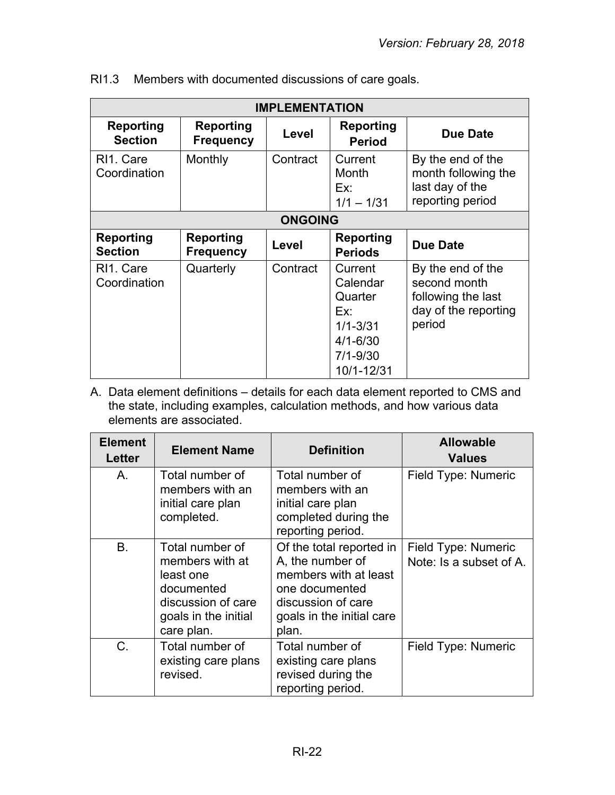| <b>IMPLEMENTATION</b>                  |                                      |          |                                                                                                     |                                                                                           |
|----------------------------------------|--------------------------------------|----------|-----------------------------------------------------------------------------------------------------|-------------------------------------------------------------------------------------------|
| <b>Reporting</b><br><b>Section</b>     | <b>Reporting</b><br><b>Frequency</b> | Level    | Reporting<br><b>Period</b>                                                                          | Due Date                                                                                  |
| RI <sub>1</sub> . Care<br>Coordination | Monthly                              | Contract | Current<br>Month<br>Ex:<br>$1/1 - 1/31$                                                             | By the end of the<br>month following the<br>last day of the<br>reporting period           |
| <b>ONGOING</b>                         |                                      |          |                                                                                                     |                                                                                           |
| <b>Reporting</b><br><b>Section</b>     | <b>Reporting</b><br><b>Frequency</b> | Level    | <b>Reporting</b><br><b>Periods</b>                                                                  | <b>Due Date</b>                                                                           |
| RI <sub>1</sub> . Care<br>Coordination | Quarterly                            | Contract | Current<br>Calendar<br>Quarter<br>Ex:<br>$1/1 - 3/31$<br>$4/1 - 6/30$<br>$7/1 - 9/30$<br>10/1-12/31 | By the end of the<br>second month<br>following the last<br>day of the reporting<br>period |

| Members with documented discussions of care goals. | RI1.3 |  |  |  |  |
|----------------------------------------------------|-------|--|--|--|--|
|----------------------------------------------------|-------|--|--|--|--|

| <b>Element</b><br>Letter | <b>Element Name</b>                                                                                                       | <b>Definition</b>                                                                                                                                   | <b>Allowable</b><br><b>Values</b>              |
|--------------------------|---------------------------------------------------------------------------------------------------------------------------|-----------------------------------------------------------------------------------------------------------------------------------------------------|------------------------------------------------|
| Α.                       | Total number of<br>members with an<br>initial care plan<br>completed.                                                     | Total number of<br>members with an<br>initial care plan<br>completed during the<br>reporting period.                                                | Field Type: Numeric                            |
| <b>B.</b>                | Total number of<br>members with at<br>least one<br>documented<br>discussion of care<br>goals in the initial<br>care plan. | Of the total reported in<br>A, the number of<br>members with at least<br>one documented<br>discussion of care<br>goals in the initial care<br>plan. | Field Type: Numeric<br>Note: Is a subset of A. |
| $C$ .                    | Total number of<br>existing care plans<br>revised.                                                                        | Total number of<br>existing care plans<br>revised during the<br>reporting period.                                                                   | Field Type: Numeric                            |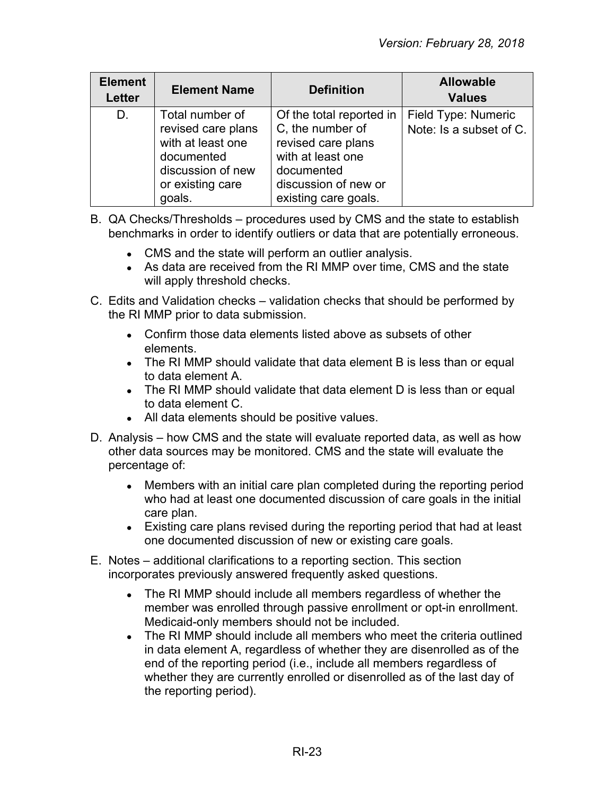| <b>Element</b><br><b>Letter</b> | <b>Element Name</b>                                                                                                         | <b>Definition</b>                                                                                                                                     | <b>Allowable</b><br><b>Values</b>              |
|---------------------------------|-----------------------------------------------------------------------------------------------------------------------------|-------------------------------------------------------------------------------------------------------------------------------------------------------|------------------------------------------------|
| D.                              | Total number of<br>revised care plans<br>with at least one<br>documented<br>discussion of new<br>or existing care<br>goals. | Of the total reported in<br>C, the number of<br>revised care plans<br>with at least one<br>documented<br>discussion of new or<br>existing care goals. | Field Type: Numeric<br>Note: Is a subset of C. |

- B. QA Checks/Thresholds procedures used by CMS and the state to establish benchmarks in order to identify outliers or data that are potentially erroneous.
	- CMS and the state will perform an outlier analysis.
	- As data are received from the RI MMP over time, CMS and the state will apply threshold checks.
- C. Edits and Validation checks validation checks that should be performed by the RI MMP prior to data submission.
	- Confirm those data elements listed above as subsets of other elements.
	- The RI MMP should validate that data element B is less than or equal to data element A.
	- The RI MMP should validate that data element D is less than or equal to data element C.
	- All data elements should be positive values.
- D. Analysis how CMS and the state will evaluate reported data, as well as how other data sources may be monitored. CMS and the state will evaluate the percentage of:
	- Members with an initial care plan completed during the reporting period who had at least one documented discussion of care goals in the initial care plan.
	- Existing care plans revised during the reporting period that had at least one documented discussion of new or existing care goals.
- E. Notes additional clarifications to a reporting section. This section incorporates previously answered frequently asked questions.
	- The RI MMP should include all members regardless of whether the member was enrolled through passive enrollment or opt-in enrollment. Medicaid-only members should not be included.
	- The RI MMP should include all members who meet the criteria outlined in data element A, regardless of whether they are disenrolled as of the end of the reporting period (i.e., include all members regardless of whether they are currently enrolled or disenrolled as of the last day of the reporting period).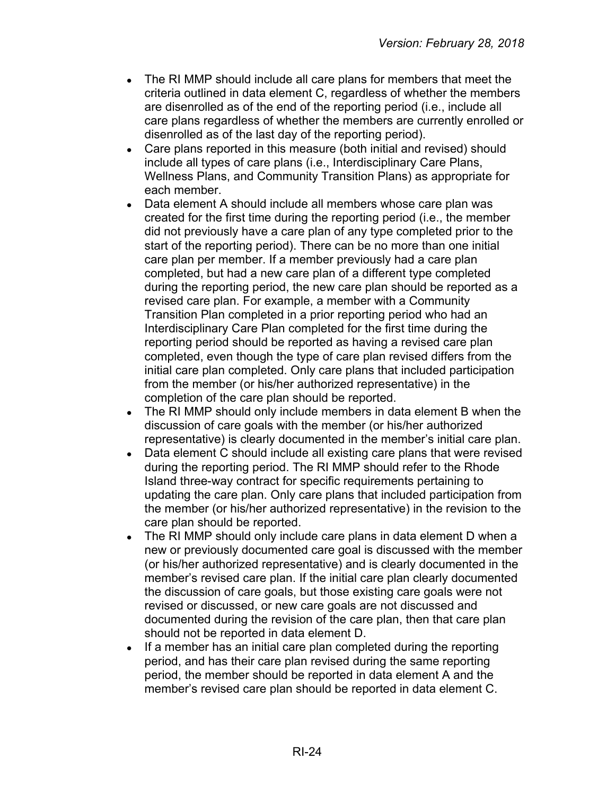- The RI MMP should include all care plans for members that meet the criteria outlined in data element C, regardless of whether the members are disenrolled as of the end of the reporting period (i.e., include all care plans regardless of whether the members are currently enrolled or disenrolled as of the last day of the reporting period).
- Care plans reported in this measure (both initial and revised) should include all types of care plans (i.e., Interdisciplinary Care Plans, Wellness Plans, and Community Transition Plans) as appropriate for each member.
- Data element A should include all members whose care plan was created for the first time during the reporting period (i.e., the member did not previously have a care plan of any type completed prior to the start of the reporting period). There can be no more than one initial care plan per member. If a member previously had a care plan completed, but had a new care plan of a different type completed during the reporting period, the new care plan should be reported as a revised care plan. For example, a member with a Community Transition Plan completed in a prior reporting period who had an Interdisciplinary Care Plan completed for the first time during the reporting period should be reported as having a revised care plan completed, even though the type of care plan revised differs from the initial care plan completed. Only care plans that included participation from the member (or his/her authorized representative) in the completion of the care plan should be reported.
- The RI MMP should only include members in data element B when the discussion of care goals with the member (or his/her authorized representative) is clearly documented in the member's initial care plan.
- Data element C should include all existing care plans that were revised during the reporting period. The RI MMP should refer to the Rhode Island three-way contract for specific requirements pertaining to updating the care plan. Only care plans that included participation from the member (or his/her authorized representative) in the revision to the care plan should be reported.
- The RI MMP should only include care plans in data element D when a new or previously documented care goal is discussed with the member (or his/her authorized representative) and is clearly documented in the member's revised care plan. If the initial care plan clearly documented the discussion of care goals, but those existing care goals were not revised or discussed, or new care goals are not discussed and documented during the revision of the care plan, then that care plan should not be reported in data element D.
- If a member has an initial care plan completed during the reporting period, and has their care plan revised during the same reporting period, the member should be reported in data element A and the member's revised care plan should be reported in data element C.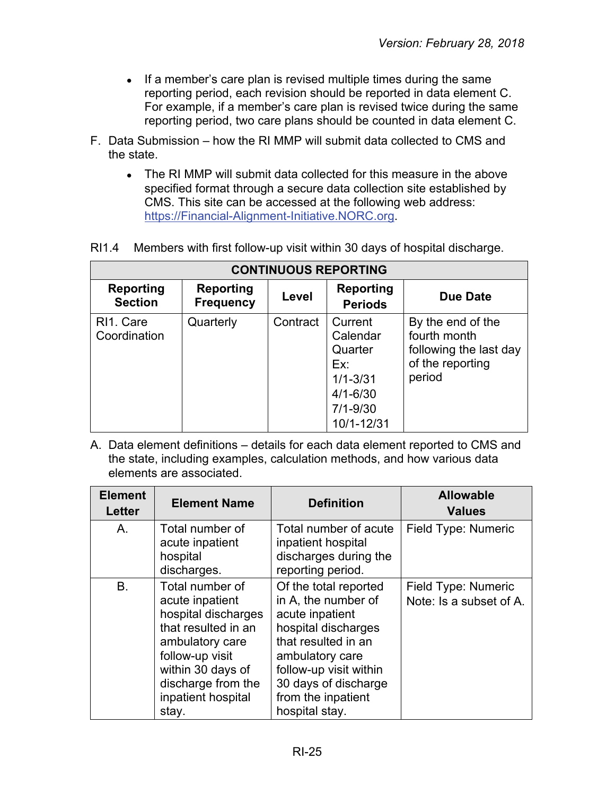- If a member's care plan is revised multiple times during the same reporting period, each revision should be reported in data element C. For example, if a member's care plan is revised twice during the same reporting period, two care plans should be counted in data element C.
- F. Data Submission how the RI MMP will submit data collected to CMS and the state.
	- The RI MMP will submit data collected for this measure in the above specified format through a secure data collection site established by CMS. This site can be accessed at the following web address: [https://Financial-Alignment-Initiative.NORC.org.](https://financial-alignment-initiative.norc.org/)

| <b>CONTINUOUS REPORTING</b> |                                      |          |                                                                                                     |                                                                                           |  |
|-----------------------------|--------------------------------------|----------|-----------------------------------------------------------------------------------------------------|-------------------------------------------------------------------------------------------|--|
| Reporting<br><b>Section</b> | <b>Reporting</b><br><b>Frequency</b> | Level    | <b>Reporting</b><br><b>Periods</b>                                                                  | Due Date                                                                                  |  |
| RI1. Care<br>Coordination   | Quarterly                            | Contract | Current<br>Calendar<br>Quarter<br>Ex:<br>$1/1 - 3/31$<br>$4/1 - 6/30$<br>$7/1 - 9/30$<br>10/1-12/31 | By the end of the<br>fourth month<br>following the last day<br>of the reporting<br>period |  |

#### RI1.4 Members with first follow-up visit within 30 days of hospital discharge.

| <b>Element</b><br><b>Letter</b> | <b>Element Name</b>                                                                                                                                                                              | <b>Definition</b>                                                                                                                                                                                                          | <b>Allowable</b><br><b>Values</b>              |
|---------------------------------|--------------------------------------------------------------------------------------------------------------------------------------------------------------------------------------------------|----------------------------------------------------------------------------------------------------------------------------------------------------------------------------------------------------------------------------|------------------------------------------------|
| A.                              | Total number of<br>acute inpatient<br>hospital<br>discharges.                                                                                                                                    | Total number of acute<br>inpatient hospital<br>discharges during the<br>reporting period.                                                                                                                                  | Field Type: Numeric                            |
| B.                              | Total number of<br>acute inpatient<br>hospital discharges<br>that resulted in an<br>ambulatory care<br>follow-up visit<br>within 30 days of<br>discharge from the<br>inpatient hospital<br>stay. | Of the total reported<br>in A, the number of<br>acute inpatient<br>hospital discharges<br>that resulted in an<br>ambulatory care<br>follow-up visit within<br>30 days of discharge<br>from the inpatient<br>hospital stay. | Field Type: Numeric<br>Note: Is a subset of A. |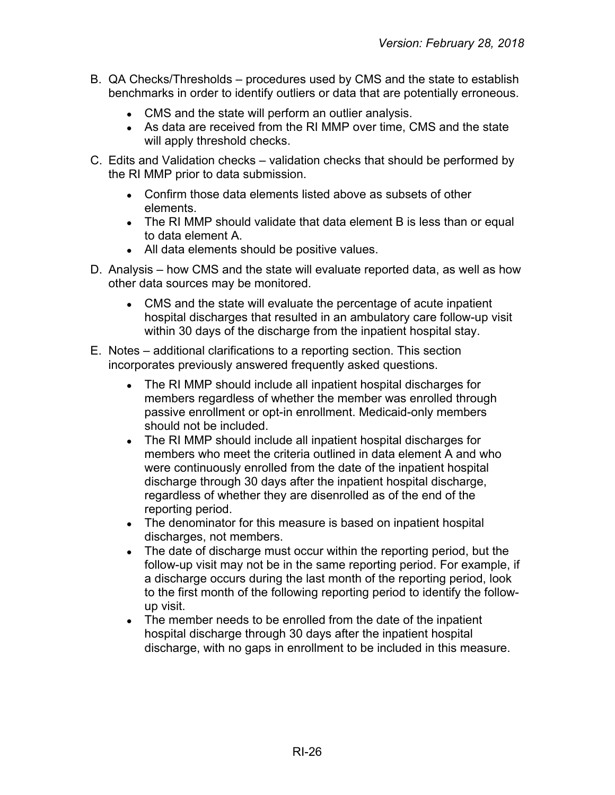- B. QA Checks/Thresholds procedures used by CMS and the state to establish benchmarks in order to identify outliers or data that are potentially erroneous.
	- CMS and the state will perform an outlier analysis.
	- As data are received from the RI MMP over time, CMS and the state will apply threshold checks.
- C. Edits and Validation checks validation checks that should be performed by the RI MMP prior to data submission.
	- Confirm those data elements listed above as subsets of other elements.
	- The RI MMP should validate that data element B is less than or equal to data element A.
	- All data elements should be positive values.
- D. Analysis how CMS and the state will evaluate reported data, as well as how other data sources may be monitored.
	- CMS and the state will evaluate the percentage of acute inpatient hospital discharges that resulted in an ambulatory care follow-up visit within 30 days of the discharge from the inpatient hospital stay.
- E. Notes additional clarifications to a reporting section. This section incorporates previously answered frequently asked questions.
	- The RI MMP should include all inpatient hospital discharges for members regardless of whether the member was enrolled through passive enrollment or opt-in enrollment. Medicaid-only members should not be included.
	- The RI MMP should include all inpatient hospital discharges for members who meet the criteria outlined in data element A and who were continuously enrolled from the date of the inpatient hospital discharge through 30 days after the inpatient hospital discharge, regardless of whether they are disenrolled as of the end of the reporting period.
	- The denominator for this measure is based on inpatient hospital discharges, not members.
	- The date of discharge must occur within the reporting period, but the follow-up visit may not be in the same reporting period. For example, if a discharge occurs during the last month of the reporting period, look to the first month of the following reporting period to identify the followup visit.
	- The member needs to be enrolled from the date of the inpatient hospital discharge through 30 days after the inpatient hospital discharge, with no gaps in enrollment to be included in this measure.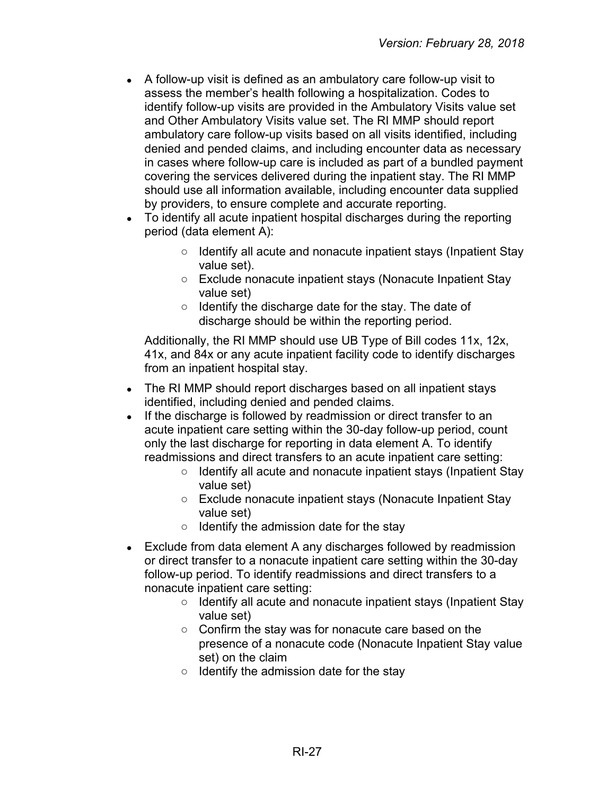- A follow-up visit is defined as an ambulatory care follow-up visit to assess the member's health following a hospitalization. Codes to identify follow-up visits are provided in the Ambulatory Visits value set and Other Ambulatory Visits value set. The RI MMP should report ambulatory care follow-up visits based on all visits identified, including denied and pended claims, and including encounter data as necessary in cases where follow-up care is included as part of a bundled payment covering the services delivered during the inpatient stay. The RI MMP should use all information available, including encounter data supplied by providers, to ensure complete and accurate reporting.
- To identify all acute inpatient hospital discharges during the reporting period (data element A):
	- Identify all acute and nonacute inpatient stays (Inpatient Stay value set).
	- Exclude nonacute inpatient stays (Nonacute Inpatient Stay value set)
	- Identify the discharge date for the stay. The date of discharge should be within the reporting period.

Additionally, the RI MMP should use UB Type of Bill codes 11x, 12x, 41x, and 84x or any acute inpatient facility code to identify discharges from an inpatient hospital stay.

- The RI MMP should report discharges based on all inpatient stays identified, including denied and pended claims.
- If the discharge is followed by readmission or direct transfer to an acute inpatient care setting within the 30-day follow-up period, count only the last discharge for reporting in data element A. To identify readmissions and direct transfers to an acute inpatient care setting:
	- Identify all acute and nonacute inpatient stays (Inpatient Stay value set)
	- Exclude nonacute inpatient stays (Nonacute Inpatient Stay value set)
	- Identify the admission date for the stay
- Exclude from data element A any discharges followed by readmission or direct transfer to a nonacute inpatient care setting within the 30-day follow-up period. To identify readmissions and direct transfers to a nonacute inpatient care setting:
	- Identify all acute and nonacute inpatient stays (Inpatient Stay value set)
	- Confirm the stay was for nonacute care based on the presence of a nonacute code (Nonacute Inpatient Stay value set) on the claim
	- Identify the admission date for the stay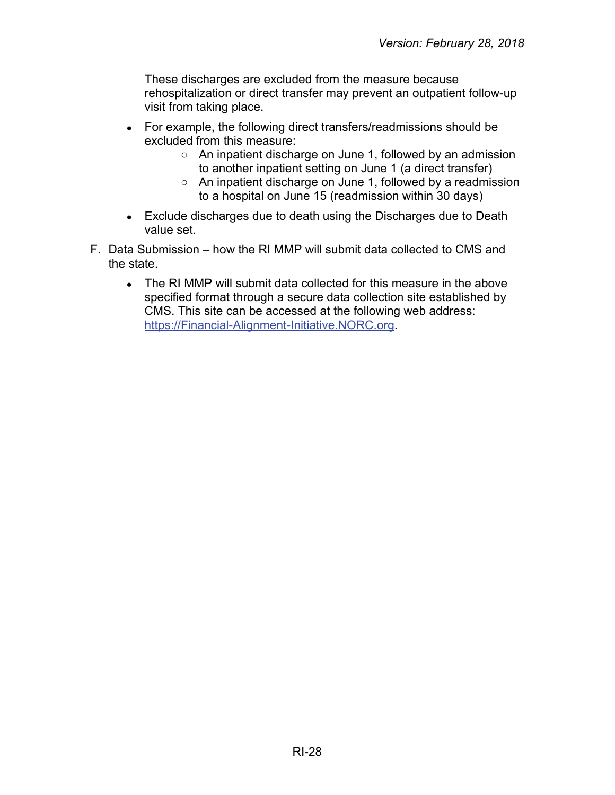These discharges are excluded from the measure because rehospitalization or direct transfer may prevent an outpatient follow-up visit from taking place.

- For example, the following direct transfers/readmissions should be excluded from this measure:
	- An inpatient discharge on June 1, followed by an admission to another inpatient setting on June 1 (a direct transfer)
	- An inpatient discharge on June 1, followed by a readmission to a hospital on June 15 (readmission within 30 days)
- Exclude discharges due to death using the Discharges due to Death value set.
- F. Data Submission how the RI MMP will submit data collected to CMS and the state.
	- The RI MMP will submit data collected for this measure in the above specified format through a secure data collection site established by CMS. This site can be accessed at the following web address: [https://Financial-Alignment-Initiative.NORC.org.](https://financial-alignment-initiative.norc.org/)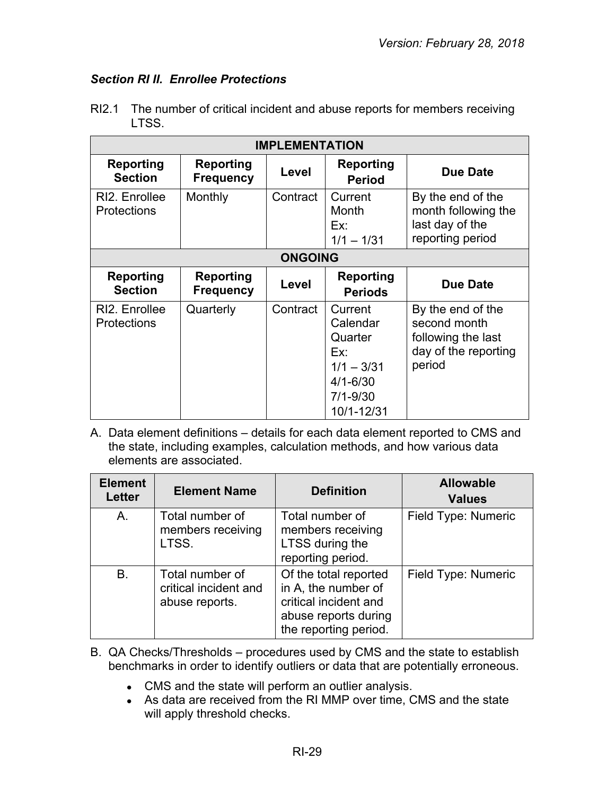# <span id="page-28-0"></span>*Section RI II. Enrollee Protections*

| <b>IMPLEMENTATION</b>               |                                      |                |                                                                                                     |                                                                                           |  |
|-------------------------------------|--------------------------------------|----------------|-----------------------------------------------------------------------------------------------------|-------------------------------------------------------------------------------------------|--|
| <b>Reporting</b><br><b>Section</b>  | <b>Reporting</b><br><b>Frequency</b> | Level          | <b>Reporting</b><br><b>Period</b>                                                                   | <b>Due Date</b>                                                                           |  |
| RI2. Enrollee<br><b>Protections</b> | Monthly                              | Contract       | Current<br>Month<br>Ex:<br>$1/1 - 1/31$                                                             | By the end of the<br>month following the<br>last day of the<br>reporting period           |  |
|                                     |                                      | <b>ONGOING</b> |                                                                                                     |                                                                                           |  |
| Reporting<br><b>Section</b>         | Reporting<br><b>Frequency</b>        | Level          | <b>Reporting</b><br><b>Periods</b>                                                                  | <b>Due Date</b>                                                                           |  |
| RI2. Enrollee<br><b>Protections</b> | Quarterly                            | Contract       | Current<br>Calendar<br>Quarter<br>Ex:<br>$1/1 - 3/31$<br>$4/1 - 6/30$<br>$7/1 - 9/30$<br>10/1-12/31 | By the end of the<br>second month<br>following the last<br>day of the reporting<br>period |  |

RI2.1 The number of critical incident and abuse reports for members receiving LTSS.

| <b>Element</b><br><b>Letter</b> | <b>Element Name</b>                                        | <b>Definition</b>                                                                                                      | <b>Allowable</b><br><b>Values</b> |
|---------------------------------|------------------------------------------------------------|------------------------------------------------------------------------------------------------------------------------|-----------------------------------|
| A.                              | Total number of<br>members receiving<br>LTSS.              | Total number of<br>members receiving<br>LTSS during the<br>reporting period.                                           | Field Type: Numeric               |
| <b>B.</b>                       | Total number of<br>critical incident and<br>abuse reports. | Of the total reported<br>in A, the number of<br>critical incident and<br>abuse reports during<br>the reporting period. | Field Type: Numeric               |

- B. QA Checks/Thresholds procedures used by CMS and the state to establish benchmarks in order to identify outliers or data that are potentially erroneous.
	- CMS and the state will perform an outlier analysis.
	- As data are received from the RI MMP over time, CMS and the state will apply threshold checks.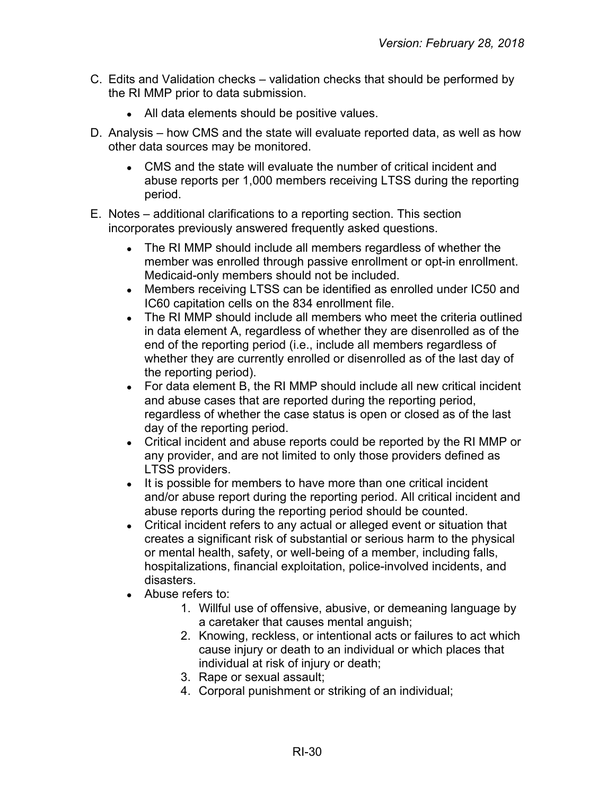- C. Edits and Validation checks validation checks that should be performed by the RI MMP prior to data submission.
	- All data elements should be positive values.
- D. Analysis how CMS and the state will evaluate reported data, as well as how other data sources may be monitored.
	- CMS and the state will evaluate the number of critical incident and abuse reports per 1,000 members receiving LTSS during the reporting period.
- E. Notes additional clarifications to a reporting section. This section incorporates previously answered frequently asked questions.
	- The RI MMP should include all members regardless of whether the member was enrolled through passive enrollment or opt-in enrollment. Medicaid-only members should not be included.
	- Members receiving LTSS can be identified as enrolled under IC50 and IC60 capitation cells on the 834 enrollment file.
	- The RI MMP should include all members who meet the criteria outlined in data element A, regardless of whether they are disenrolled as of the end of the reporting period (i.e., include all members regardless of whether they are currently enrolled or disenrolled as of the last day of the reporting period).
	- For data element B, the RI MMP should include all new critical incident and abuse cases that are reported during the reporting period, regardless of whether the case status is open or closed as of the last day of the reporting period.
	- Critical incident and abuse reports could be reported by the RI MMP or any provider, and are not limited to only those providers defined as LTSS providers.
	- It is possible for members to have more than one critical incident and/or abuse report during the reporting period. All critical incident and abuse reports during the reporting period should be counted.
	- Critical incident refers to any actual or alleged event or situation that creates a significant risk of substantial or serious harm to the physical or mental health, safety, or well-being of a member, including falls, hospitalizations, financial exploitation, police-involved incidents, and disasters.
	- Abuse refers to:
		- 1. Willful use of offensive, abusive, or demeaning language by a caretaker that causes mental anguish;
		- 2. Knowing, reckless, or intentional acts or failures to act which cause injury or death to an individual or which places that individual at risk of injury or death;
		- 3. Rape or sexual assault;
		- 4. Corporal punishment or striking of an individual;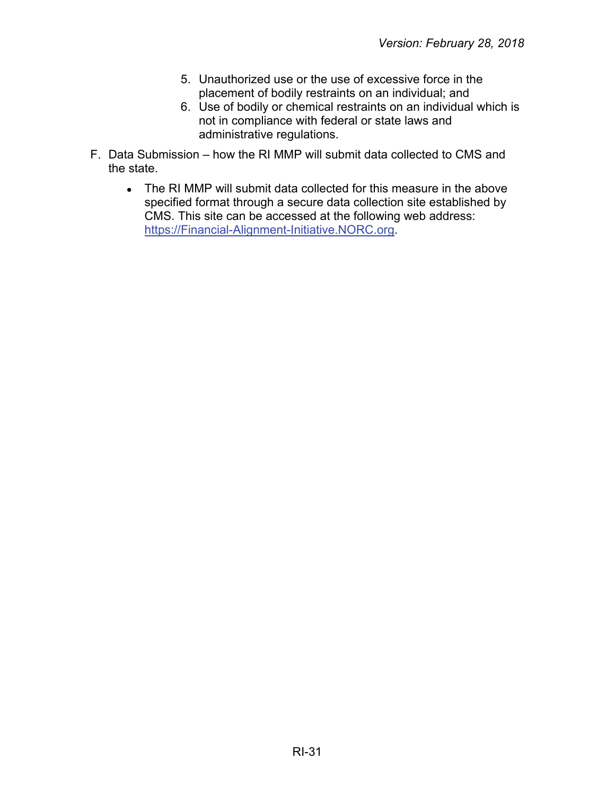- 5. Unauthorized use or the use of excessive force in the placement of bodily restraints on an individual; and
- 6. Use of bodily or chemical restraints on an individual which is not in compliance with federal or state laws and administrative regulations.
- F. Data Submission how the RI MMP will submit data collected to CMS and the state.
	- The RI MMP will submit data collected for this measure in the above specified format through a secure data collection site established by CMS. This site can be accessed at the following web address: [https://Financial-Alignment-Initiative.NORC.org.](https://financial-alignment-initiative.norc.org/)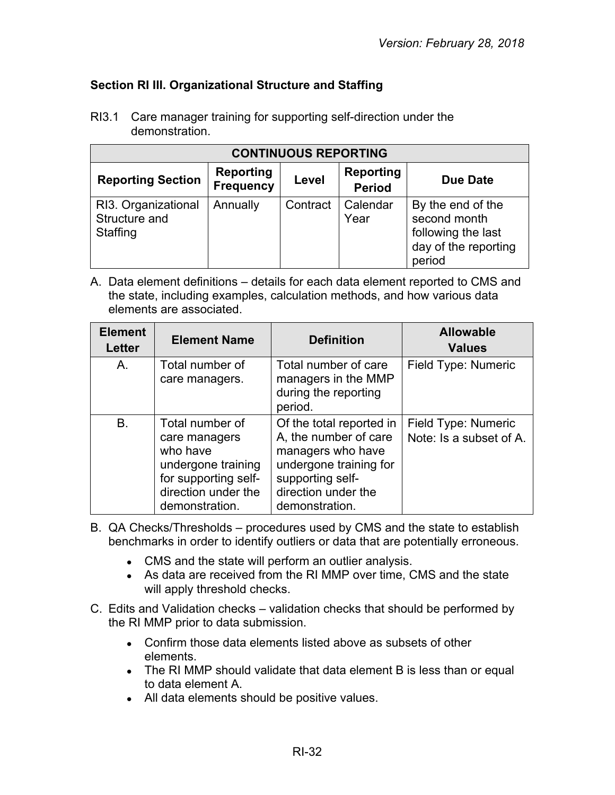# <span id="page-31-0"></span>**Section RI III. Organizational Structure and Staffing**

| <b>CONTINUOUS REPORTING</b>                      |                                      |          |                                   |                                                                                           |
|--------------------------------------------------|--------------------------------------|----------|-----------------------------------|-------------------------------------------------------------------------------------------|
| <b>Reporting Section</b>                         | <b>Reporting</b><br><b>Frequency</b> | Level    | <b>Reporting</b><br><b>Period</b> | Due Date                                                                                  |
| RI3. Organizational<br>Structure and<br>Staffing | Annually                             | Contract | Calendar<br>Year                  | By the end of the<br>second month<br>following the last<br>day of the reporting<br>period |

RI3.1 Care manager training for supporting self-direction under the demonstration.

| <b>Element</b><br><b>Letter</b> | <b>Element Name</b>                                                                                                                 | <b>Definition</b>                                                                                                                                             | <b>Allowable</b><br><b>Values</b>              |
|---------------------------------|-------------------------------------------------------------------------------------------------------------------------------------|---------------------------------------------------------------------------------------------------------------------------------------------------------------|------------------------------------------------|
| A.                              | Total number of<br>care managers.                                                                                                   | Total number of care<br>managers in the MMP<br>during the reporting<br>period.                                                                                | Field Type: Numeric                            |
| <b>B.</b>                       | Total number of<br>care managers<br>who have<br>undergone training<br>for supporting self-<br>direction under the<br>demonstration. | Of the total reported in<br>A, the number of care<br>managers who have<br>undergone training for<br>supporting self-<br>direction under the<br>demonstration. | Field Type: Numeric<br>Note: Is a subset of A. |

- B. QA Checks/Thresholds procedures used by CMS and the state to establish benchmarks in order to identify outliers or data that are potentially erroneous.
	- CMS and the state will perform an outlier analysis.
	- As data are received from the RI MMP over time, CMS and the state will apply threshold checks.
- C. Edits and Validation checks validation checks that should be performed by the RI MMP prior to data submission.
	- Confirm those data elements listed above as subsets of other elements.
	- The RI MMP should validate that data element B is less than or equal to data element A.
	- All data elements should be positive values.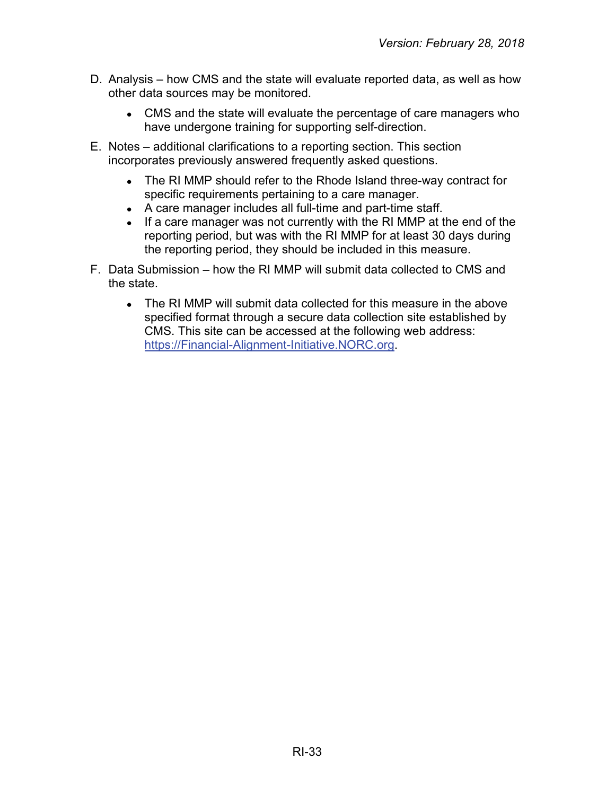- D. Analysis how CMS and the state will evaluate reported data, as well as how other data sources may be monitored.
	- CMS and the state will evaluate the percentage of care managers who have undergone training for supporting self-direction.
- E. Notes additional clarifications to a reporting section. This section incorporates previously answered frequently asked questions.
	- The RI MMP should refer to the Rhode Island three-way contract for specific requirements pertaining to a care manager.
	- A care manager includes all full-time and part-time staff.
	- If a care manager was not currently with the RI MMP at the end of the reporting period, but was with the RI MMP for at least 30 days during the reporting period, they should be included in this measure.
- F. Data Submission how the RI MMP will submit data collected to CMS and the state.
	- The RI MMP will submit data collected for this measure in the above specified format through a secure data collection site established by CMS. This site can be accessed at the following web address: [https://Financial-Alignment-Initiative.NORC.org.](https://financial-alignment-initiative.norc.org/)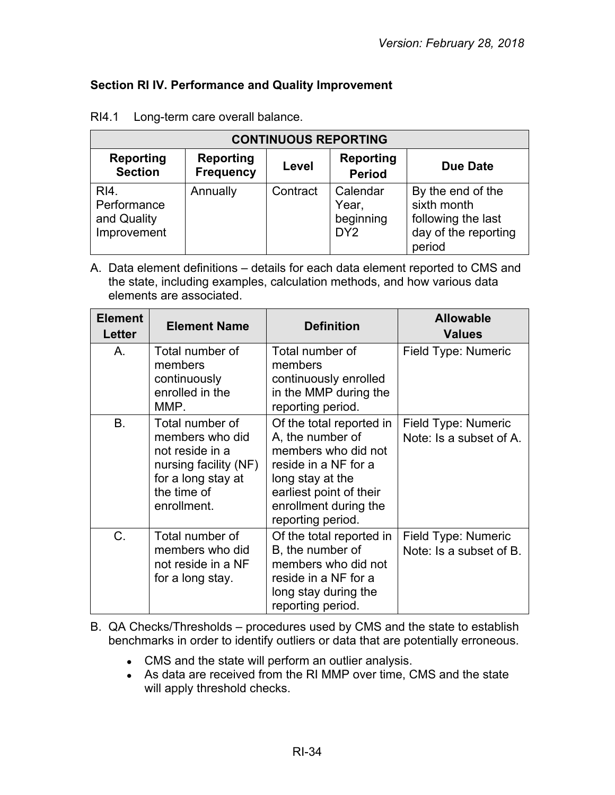# <span id="page-33-0"></span>**Section RI IV. Performance and Quality Improvement**

| <b>CONTINUOUS REPORTING</b>                       |                                      |          |                                                   |                                                                                          |
|---------------------------------------------------|--------------------------------------|----------|---------------------------------------------------|------------------------------------------------------------------------------------------|
| <b>Reporting</b><br><b>Section</b>                | <b>Reporting</b><br><b>Frequency</b> | Level    | <b>Reporting</b><br><b>Period</b>                 | <b>Due Date</b>                                                                          |
| RI4.<br>Performance<br>and Quality<br>Improvement | Annually                             | Contract | Calendar<br>Year,<br>beginning<br>DY <sub>2</sub> | By the end of the<br>sixth month<br>following the last<br>day of the reporting<br>period |

RI4.1 Long-term care overall balance.

A. Data element definitions – details for each data element reported to CMS and the state, including examples, calculation methods, and how various data elements are associated.

| <b>Element</b><br>Letter | <b>Element Name</b>                                                                                                                | <b>Definition</b>                                                                                                                                                                        | <b>Allowable</b><br><b>Values</b>              |
|--------------------------|------------------------------------------------------------------------------------------------------------------------------------|------------------------------------------------------------------------------------------------------------------------------------------------------------------------------------------|------------------------------------------------|
| Α.                       | Total number of<br>members<br>continuously<br>enrolled in the<br>MMP.                                                              | Total number of<br>members<br>continuously enrolled<br>in the MMP during the<br>reporting period.                                                                                        | Field Type: Numeric                            |
| <b>B.</b>                | Total number of<br>members who did<br>not reside in a<br>nursing facility (NF)<br>for a long stay at<br>the time of<br>enrollment. | Of the total reported in<br>A, the number of<br>members who did not<br>reside in a NF for a<br>long stay at the<br>earliest point of their<br>enrollment during the<br>reporting period. | Field Type: Numeric<br>Note: Is a subset of A. |
| $C_{\cdot}$              | Total number of<br>members who did<br>not reside in a NF<br>for a long stay.                                                       | Of the total reported in<br>B, the number of<br>members who did not<br>reside in a NF for a<br>long stay during the<br>reporting period.                                                 | Field Type: Numeric<br>Note: Is a subset of B. |

B. QA Checks/Thresholds – procedures used by CMS and the state to establish benchmarks in order to identify outliers or data that are potentially erroneous.

- CMS and the state will perform an outlier analysis.
- As data are received from the RI MMP over time, CMS and the state will apply threshold checks.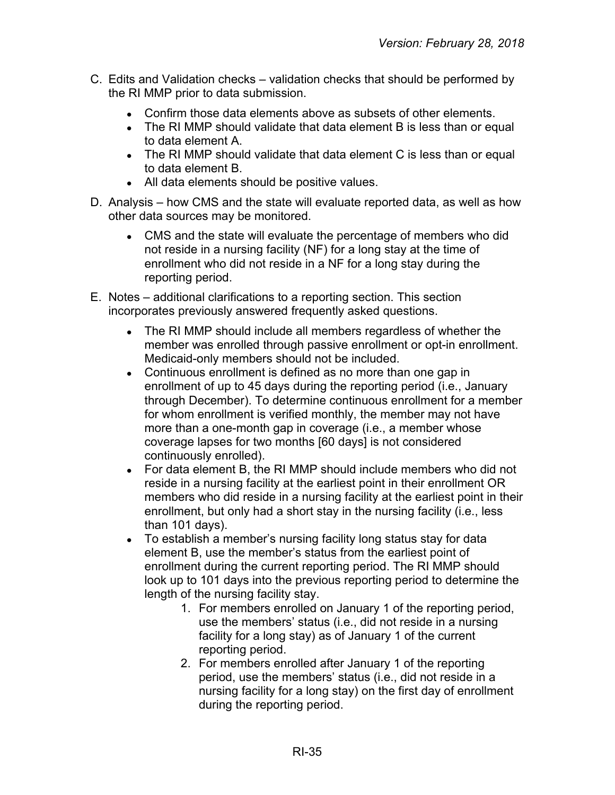- C. Edits and Validation checks validation checks that should be performed by the RI MMP prior to data submission.
	- Confirm those data elements above as subsets of other elements.
	- The RI MMP should validate that data element B is less than or equal to data element A.
	- The RI MMP should validate that data element C is less than or equal to data element B.
	- All data elements should be positive values.
- D. Analysis how CMS and the state will evaluate reported data, as well as how other data sources may be monitored.
	- CMS and the state will evaluate the percentage of members who did not reside in a nursing facility (NF) for a long stay at the time of enrollment who did not reside in a NF for a long stay during the reporting period.
- E. Notes additional clarifications to a reporting section. This section incorporates previously answered frequently asked questions.
	- The RI MMP should include all members regardless of whether the member was enrolled through passive enrollment or opt-in enrollment. Medicaid-only members should not be included.
	- Continuous enrollment is defined as no more than one gap in enrollment of up to 45 days during the reporting period (i.e., January through December). To determine continuous enrollment for a member for whom enrollment is verified monthly, the member may not have more than a one-month gap in coverage (i.e., a member whose coverage lapses for two months [60 days] is not considered continuously enrolled).
	- For data element B, the RI MMP should include members who did not reside in a nursing facility at the earliest point in their enrollment OR members who did reside in a nursing facility at the earliest point in their enrollment, but only had a short stay in the nursing facility (i.e., less than 101 days).
	- To establish a member's nursing facility long status stay for data element B, use the member's status from the earliest point of enrollment during the current reporting period. The RI MMP should look up to 101 days into the previous reporting period to determine the length of the nursing facility stay.
		- 1. For members enrolled on January 1 of the reporting period, use the members' status (i.e., did not reside in a nursing facility for a long stay) as of January 1 of the current reporting period.
		- 2. For members enrolled after January 1 of the reporting period, use the members' status (i.e., did not reside in a nursing facility for a long stay) on the first day of enrollment during the reporting period.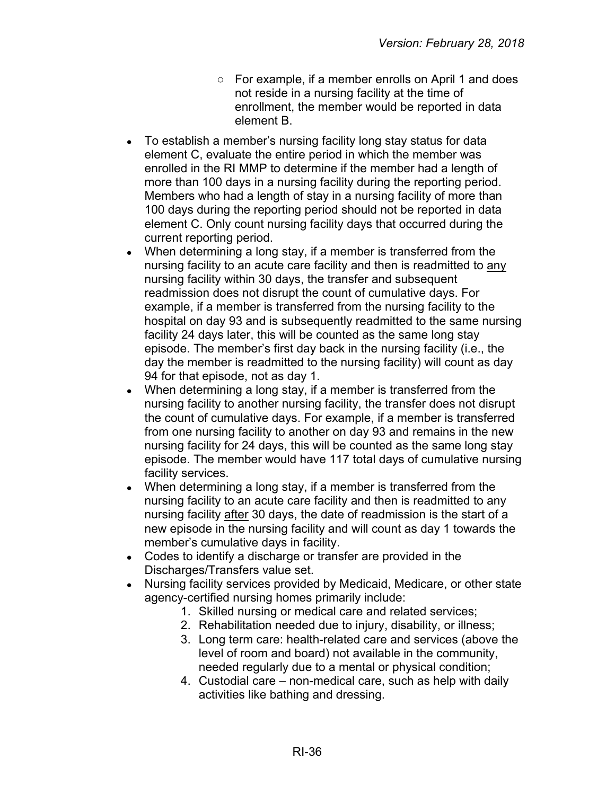- For example, if a member enrolls on April 1 and does not reside in a nursing facility at the time of enrollment, the member would be reported in data element B.
- To establish a member's nursing facility long stay status for data element C, evaluate the entire period in which the member was enrolled in the RI MMP to determine if the member had a length of more than 100 days in a nursing facility during the reporting period. Members who had a length of stay in a nursing facility of more than 100 days during the reporting period should not be reported in data element C. Only count nursing facility days that occurred during the current reporting period.
- When determining a long stay, if a member is transferred from the nursing facility to an acute care facility and then is readmitted to any nursing facility within 30 days, the transfer and subsequent readmission does not disrupt the count of cumulative days. For example, if a member is transferred from the nursing facility to the hospital on day 93 and is subsequently readmitted to the same nursing facility 24 days later, this will be counted as the same long stay episode. The member's first day back in the nursing facility (i.e., the day the member is readmitted to the nursing facility) will count as day 94 for that episode, not as day 1.
- When determining a long stay, if a member is transferred from the nursing facility to another nursing facility, the transfer does not disrupt the count of cumulative days. For example, if a member is transferred from one nursing facility to another on day 93 and remains in the new nursing facility for 24 days, this will be counted as the same long stay episode. The member would have 117 total days of cumulative nursing facility services.
- When determining a long stay, if a member is transferred from the nursing facility to an acute care facility and then is readmitted to any nursing facility after 30 days, the date of readmission is the start of a new episode in the nursing facility and will count as day 1 towards the member's cumulative days in facility.
- Codes to identify a discharge or transfer are provided in the Discharges/Transfers value set.
- Nursing facility services provided by Medicaid, Medicare, or other state agency-certified nursing homes primarily include:
	- 1. Skilled nursing or medical care and related services;
	- 2. Rehabilitation needed due to injury, disability, or illness;
	- 3. Long term care: health-related care and services (above the level of room and board) not available in the community, needed regularly due to a mental or physical condition;
	- 4. Custodial care non-medical care, such as help with daily activities like bathing and dressing.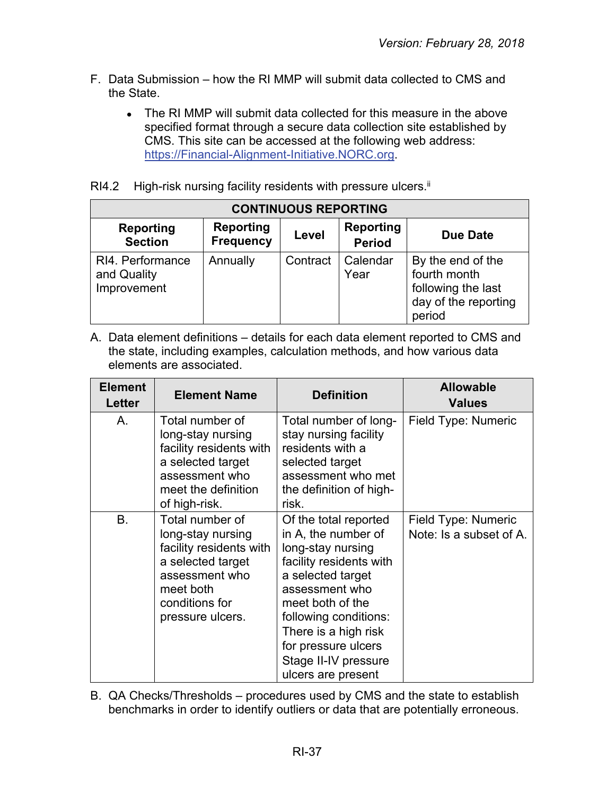- F. Data Submission how the RI MMP will submit data collected to CMS and the State.
	- The RI MMP will submit data collected for this measure in the above specified format through a secure data collection site established by CMS. This site can be accessed at the following web address: [https://Financial-Alignment-Initiative.NORC.org.](https://financial-alignment-initiative.norc.org/)
- RI4.2 High-risk nursing facility residents with pressure ulcers.<sup>ii</sup>

| <b>CONTINUOUS REPORTING</b>                    |                                      |          |                                   |                                                                                           |
|------------------------------------------------|--------------------------------------|----------|-----------------------------------|-------------------------------------------------------------------------------------------|
| <b>Reporting</b><br><b>Section</b>             | <b>Reporting</b><br><b>Frequency</b> | Level    | <b>Reporting</b><br><b>Period</b> | Due Date                                                                                  |
| RI4. Performance<br>and Quality<br>Improvement | Annually                             | Contract | Calendar<br>Year                  | By the end of the<br>fourth month<br>following the last<br>day of the reporting<br>period |

A. Data element definitions – details for each data element reported to CMS and the state, including examples, calculation methods, and how various data elements are associated.

| <b>Element</b><br>Letter | <b>Element Name</b>                                                                                                                                       | <b>Definition</b>                                                                                                                                                                                                                                                             | <b>Allowable</b><br><b>Values</b>              |
|--------------------------|-----------------------------------------------------------------------------------------------------------------------------------------------------------|-------------------------------------------------------------------------------------------------------------------------------------------------------------------------------------------------------------------------------------------------------------------------------|------------------------------------------------|
| Α.                       | Total number of<br>long-stay nursing<br>facility residents with<br>a selected target<br>assessment who<br>meet the definition<br>of high-risk.            | Total number of long-<br>stay nursing facility<br>residents with a<br>selected target<br>assessment who met<br>the definition of high-<br>risk.                                                                                                                               | Field Type: Numeric                            |
| <b>B.</b>                | Total number of<br>long-stay nursing<br>facility residents with<br>a selected target<br>assessment who<br>meet both<br>conditions for<br>pressure ulcers. | Of the total reported<br>in A, the number of<br>long-stay nursing<br>facility residents with<br>a selected target<br>assessment who<br>meet both of the<br>following conditions:<br>There is a high risk<br>for pressure ulcers<br>Stage II-IV pressure<br>ulcers are present | Field Type: Numeric<br>Note: Is a subset of A. |

B. QA Checks/Thresholds – procedures used by CMS and the state to establish benchmarks in order to identify outliers or data that are potentially erroneous.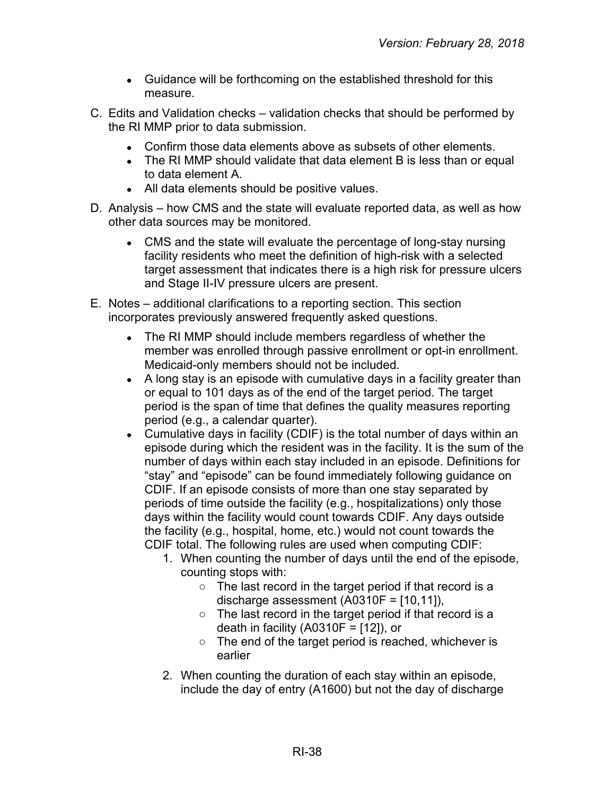- Guidance will be forthcoming on the established threshold for this measure.
- C. Edits and Validation checks validation checks that should be performed by the RI MMP prior to data submission.
	- Confirm those data elements above as subsets of other elements.
	- The RI MMP should validate that data element B is less than or equal to data element A.
	- All data elements should be positive values.
- D. Analysis how CMS and the state will evaluate reported data, as well as how other data sources may be monitored.
	- CMS and the state will evaluate the percentage of long-stay nursing facility residents who meet the definition of high-risk with a selected target assessment that indicates there is a high risk for pressure ulcers and Stage II-IV pressure ulcers are present.
- E. Notes additional clarifications to a reporting section. This section incorporates previously answered frequently asked questions.
	- The RI MMP should include members regardless of whether the member was enrolled through passive enrollment or opt-in enrollment. Medicaid-only members should not be included.
	- A long stay is an episode with cumulative days in a facility greater than or equal to 101 days as of the end of the target period. The target period is the span of time that defines the quality measures reporting period (e.g., a calendar quarter).
	- Cumulative days in facility (CDIF) is the total number of days within an episode during which the resident was in the facility. It is the sum of the number of days within each stay included in an episode. Definitions for "stay" and "episode" can be found immediately following guidance on CDIF. If an episode consists of more than one stay separated by periods of time outside the facility (e.g., hospitalizations) only those days within the facility would count towards CDIF. Any days outside the facility (e.g., hospital, home, etc.) would not count towards the CDIF total. The following rules are used when computing CDIF:
		- 1. When counting the number of days until the end of the episode, counting stops with:
			- The last record in the target period if that record is a discharge assessment (A0310F = [10,11]),
			- The last record in the target period if that record is a death in facility (A0310F =  $[12]$ ), or
			- The end of the target period is reached, whichever is earlier
		- 2. When counting the duration of each stay within an episode, include the day of entry (A1600) but not the day of discharge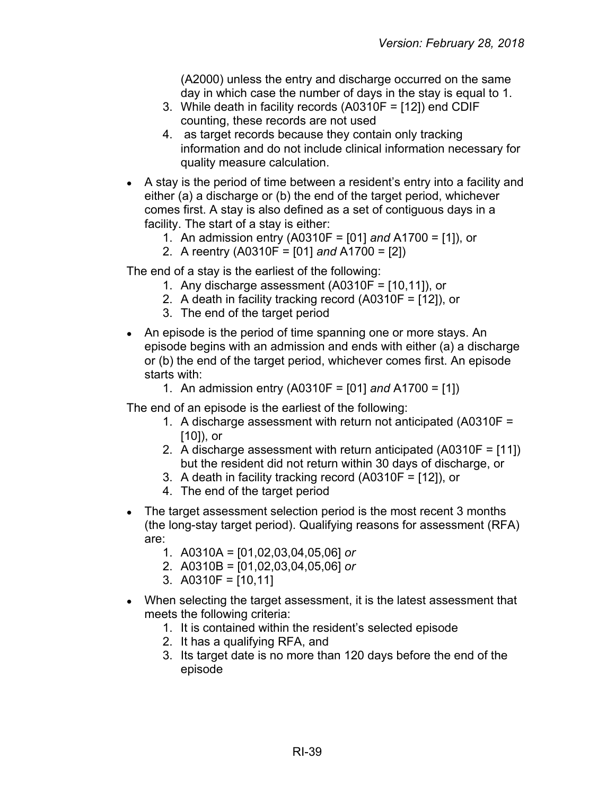(A2000) unless the entry and discharge occurred on the same day in which case the number of days in the stay is equal to 1.

- 3. While death in facility records (A0310F = [12]) end CDIF counting, these records are not used
- 4. as target records because they contain only tracking information and do not include clinical information necessary for quality measure calculation.
- A stay is the period of time between a resident's entry into a facility and either (a) a discharge or (b) the end of the target period, whichever comes first. A stay is also defined as a set of contiguous days in a facility. The start of a stay is either:
	- 1. An admission entry (A0310F = [01] *and* A1700 = [1]), or
	- 2. A reentry (A0310F = [01] *and* A1700 = [2])

The end of a stay is the earliest of the following:

- 1. Any discharge assessment (A0310F = [10,11]), or
- 2. A death in facility tracking record (A0310F = [12]), or
- 3. The end of the target period
- An episode is the period of time spanning one or more stays. An episode begins with an admission and ends with either (a) a discharge or (b) the end of the target period, whichever comes first. An episode starts with:
	- 1. An admission entry (A0310F = [01] *and* A1700 = [1])

The end of an episode is the earliest of the following:

- 1. A discharge assessment with return not anticipated (A0310F = [10]), or
- 2. A discharge assessment with return anticipated (A0310F = [11]) but the resident did not return within 30 days of discharge, or
- 3. A death in facility tracking record (A0310F = [12]), or
- 4. The end of the target period
- The target assessment selection period is the most recent 3 months (the long-stay target period). Qualifying reasons for assessment (RFA) are:
	- 1. A0310A = [01,02,03,04,05,06] *or*
	- 2. A0310B = [01,02,03,04,05,06] *or*
	- 3. A0310F = [10,11]
- When selecting the target assessment, it is the latest assessment that meets the following criteria:
	- 1. It is contained within the resident's selected episode
	- 2. It has a qualifying RFA, and
	- 3. Its target date is no more than 120 days before the end of the episode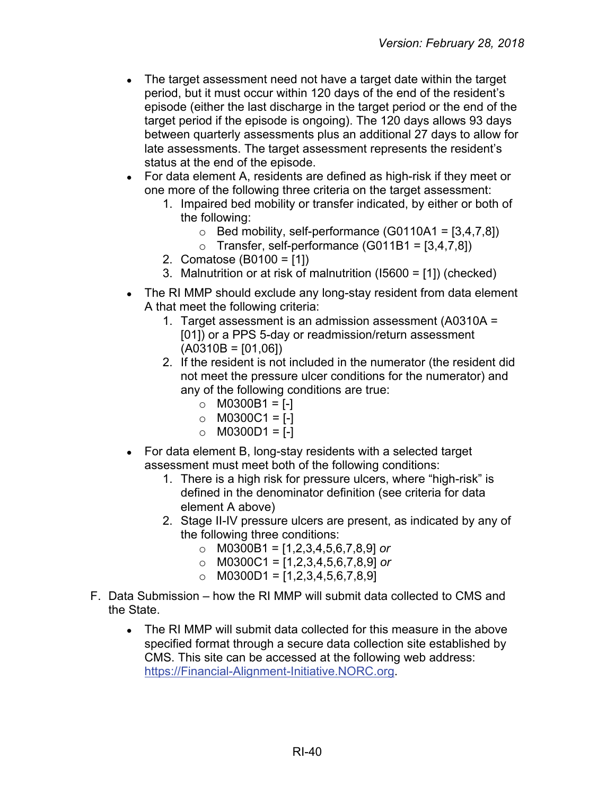- The target assessment need not have a target date within the target period, but it must occur within 120 days of the end of the resident's episode (either the last discharge in the target period or the end of the target period if the episode is ongoing). The 120 days allows 93 days between quarterly assessments plus an additional 27 days to allow for late assessments. The target assessment represents the resident's status at the end of the episode.
- For data element A, residents are defined as high-risk if they meet or one more of the following three criteria on the target assessment:
	- 1. Impaired bed mobility or transfer indicated, by either or both of the following:
		- $\circ$  Bed mobility, self-performance (G0110A1 = [3,4,7,8])
		- $\circ$  Transfer, self-performance (G011B1 = [3,4,7,8])
	- 2. Comatose (B0100 = [1])
	- 3. Malnutrition or at risk of malnutrition (I5600 = [1]) (checked)
- The RI MMP should exclude any long-stay resident from data element A that meet the following criteria:
	- 1. Target assessment is an admission assessment (A0310A = [01]) or a PPS 5-day or readmission/return assessment  $(A0310B = [01,06])$
	- 2. If the resident is not included in the numerator (the resident did not meet the pressure ulcer conditions for the numerator) and any of the following conditions are true:
		- $\circ$  M0300B1 = [-]
		- $\circ$  M0300C1 = [-]
		- $\circ$  M0300D1 = [-]
- For data element B, long-stay residents with a selected target assessment must meet both of the following conditions:
	- 1. There is a high risk for pressure ulcers, where "high-risk" is defined in the denominator definition (see criteria for data element A above)
	- 2. Stage II-IV pressure ulcers are present, as indicated by any of the following three conditions:
		- o M0300B1 = [1,2,3,4,5,6,7,8,9] *or*
		- o M0300C1 = [1,2,3,4,5,6,7,8,9] *or*
		- $\circ$  M0300D1 = [1,2,3,4,5,6,7,8,9]
- F. Data Submission how the RI MMP will submit data collected to CMS and the State.
	- The RI MMP will submit data collected for this measure in the above specified format through a secure data collection site established by CMS. This site can be accessed at the following web address: [https://Financial-Alignment-Initiative.NORC.org.](https://financial-alignment-initiative.norc.org/)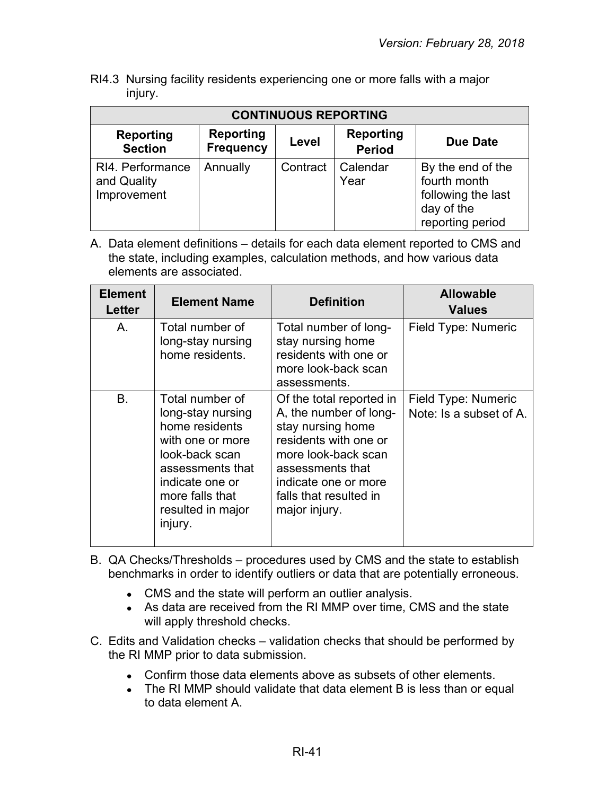RI4.3 Nursing facility residents experiencing one or more falls with a major injury.

| <b>CONTINUOUS REPORTING</b>                    |                                      |          |                                   |                                                                                           |
|------------------------------------------------|--------------------------------------|----------|-----------------------------------|-------------------------------------------------------------------------------------------|
| <b>Reporting</b><br><b>Section</b>             | <b>Reporting</b><br><b>Frequency</b> | Level    | <b>Reporting</b><br><b>Period</b> | Due Date                                                                                  |
| RI4. Performance<br>and Quality<br>Improvement | Annually                             | Contract | Calendar<br>Year                  | By the end of the<br>fourth month<br>following the last<br>day of the<br>reporting period |

| <b>Element</b><br>Letter | <b>Element Name</b>                                                                                                                                                                    | <b>Definition</b>                                                                                                                                                                                              | <b>Allowable</b><br><b>Values</b>              |
|--------------------------|----------------------------------------------------------------------------------------------------------------------------------------------------------------------------------------|----------------------------------------------------------------------------------------------------------------------------------------------------------------------------------------------------------------|------------------------------------------------|
| Α.                       | Total number of<br>long-stay nursing<br>home residents.                                                                                                                                | Total number of long-<br>stay nursing home<br>residents with one or<br>more look-back scan<br>assessments.                                                                                                     | Field Type: Numeric                            |
| <b>B.</b>                | Total number of<br>long-stay nursing<br>home residents<br>with one or more<br>look-back scan<br>assessments that<br>indicate one or<br>more falls that<br>resulted in major<br>injury. | Of the total reported in<br>A, the number of long-<br>stay nursing home<br>residents with one or<br>more look-back scan<br>assessments that<br>indicate one or more<br>falls that resulted in<br>major injury. | Field Type: Numeric<br>Note: Is a subset of A. |

- B. QA Checks/Thresholds procedures used by CMS and the state to establish benchmarks in order to identify outliers or data that are potentially erroneous.
	- CMS and the state will perform an outlier analysis.
	- As data are received from the RI MMP over time, CMS and the state will apply threshold checks.
- C. Edits and Validation checks validation checks that should be performed by the RI MMP prior to data submission.
	- Confirm those data elements above as subsets of other elements.
	- The RI MMP should validate that data element B is less than or equal to data element A.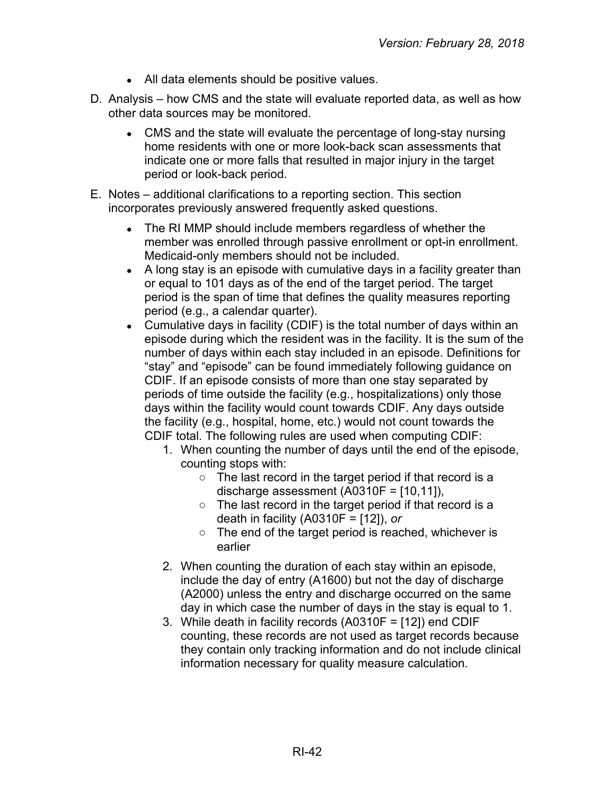- All data elements should be positive values.
- D. Analysis how CMS and the state will evaluate reported data, as well as how other data sources may be monitored.
	- CMS and the state will evaluate the percentage of long-stay nursing home residents with one or more look-back scan assessments that indicate one or more falls that resulted in major injury in the target period or look-back period.
- E. Notes additional clarifications to a reporting section. This section incorporates previously answered frequently asked questions.
	- The RI MMP should include members regardless of whether the member was enrolled through passive enrollment or opt-in enrollment. Medicaid-only members should not be included.
	- A long stay is an episode with cumulative days in a facility greater than or equal to 101 days as of the end of the target period. The target period is the span of time that defines the quality measures reporting period (e.g., a calendar quarter).
	- Cumulative days in facility (CDIF) is the total number of days within an episode during which the resident was in the facility. It is the sum of the number of days within each stay included in an episode. Definitions for "stay" and "episode" can be found immediately following guidance on CDIF. If an episode consists of more than one stay separated by periods of time outside the facility (e.g., hospitalizations) only those days within the facility would count towards CDIF. Any days outside the facility (e.g., hospital, home, etc.) would not count towards the CDIF total. The following rules are used when computing CDIF:
		- 1. When counting the number of days until the end of the episode, counting stops with:
			- $\circ$  The last record in the target period if that record is a discharge assessment (A0310F = [10,11]),
			- The last record in the target period if that record is a death in facility (A0310F = [12]), *or*
			- The end of the target period is reached, whichever is earlier
		- 2. When counting the duration of each stay within an episode, include the day of entry (A1600) but not the day of discharge (A2000) unless the entry and discharge occurred on the same day in which case the number of days in the stay is equal to 1.
		- 3. While death in facility records (A0310F = [12]) end CDIF counting, these records are not used as target records because they contain only tracking information and do not include clinical information necessary for quality measure calculation.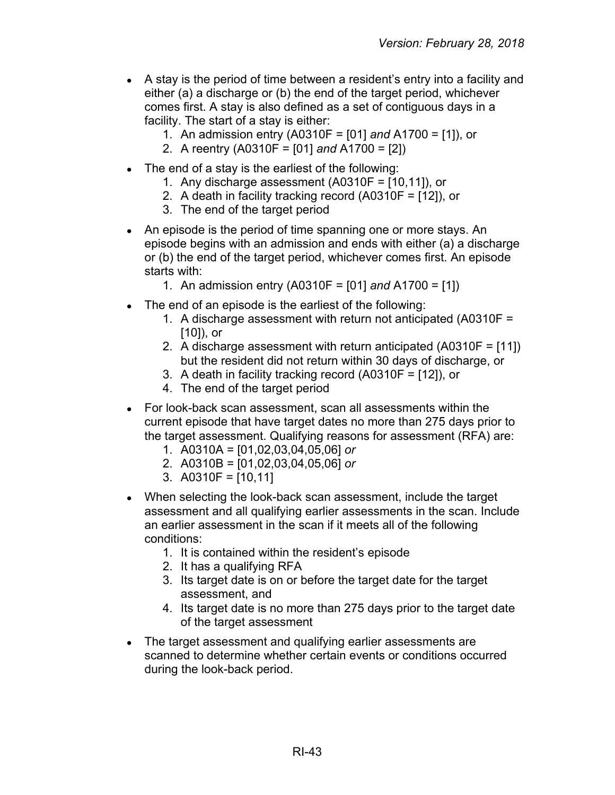- A stay is the period of time between a resident's entry into a facility and either (a) a discharge or (b) the end of the target period, whichever comes first. A stay is also defined as a set of contiguous days in a facility. The start of a stay is either:
	- 1. An admission entry (A0310F = [01] *and* A1700 = [1]), or
	- 2. A reentry (A0310F = [01] *and* A1700 = [2])
- $\bullet$  The end of a stay is the earliest of the following:
	- 1. Any discharge assessment  $(A0310F = [10, 11])$ , or
	- 2. A death in facility tracking record (A0310F = [12]), or
	- 3. The end of the target period
- An episode is the period of time spanning one or more stays. An episode begins with an admission and ends with either (a) a discharge or (b) the end of the target period, whichever comes first. An episode starts with:
	- 1. An admission entry (A0310F = [01] *and* A1700 = [1])
- The end of an episode is the earliest of the following:
	- 1. A discharge assessment with return not anticipated (A0310F = [10]), or
	- 2. A discharge assessment with return anticipated (A0310F = [11]) but the resident did not return within 30 days of discharge, or
	- 3. A death in facility tracking record (A0310F = [12]), or
	- 4. The end of the target period
- For look-back scan assessment, scan all assessments within the current episode that have target dates no more than 275 days prior to the target assessment. Qualifying reasons for assessment (RFA) are:
	- 1. A0310A = [01,02,03,04,05,06] *or*
	- 2. A0310B = [01,02,03,04,05,06] *or*
	- 3. A0310F = [10,11]
- When selecting the look-back scan assessment, include the target assessment and all qualifying earlier assessments in the scan. Include an earlier assessment in the scan if it meets all of the following conditions:
	- 1. It is contained within the resident's episode
	- 2. It has a qualifying RFA
	- 3. Its target date is on or before the target date for the target assessment, and
	- 4. Its target date is no more than 275 days prior to the target date of the target assessment
- The target assessment and qualifying earlier assessments are scanned to determine whether certain events or conditions occurred during the look-back period.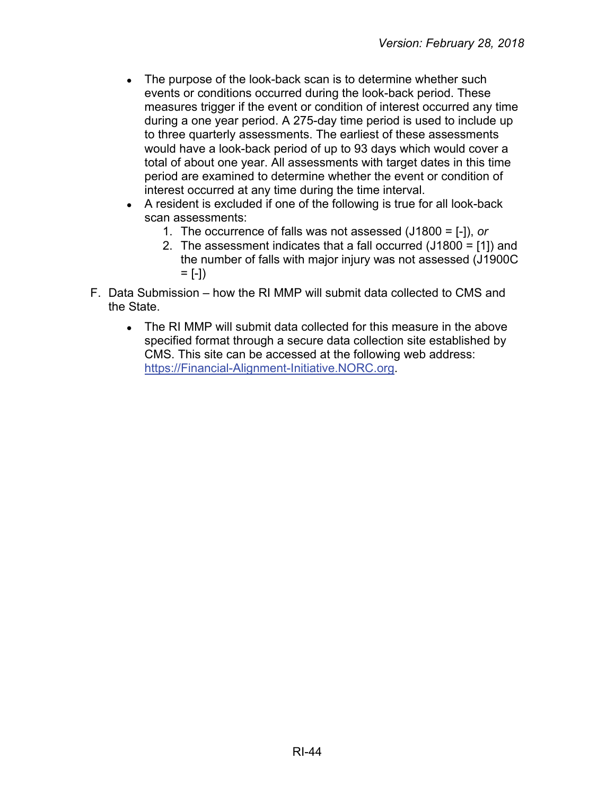- The purpose of the look-back scan is to determine whether such events or conditions occurred during the look-back period. These measures trigger if the event or condition of interest occurred any time during a one year period. A 275-day time period is used to include up to three quarterly assessments. The earliest of these assessments would have a look-back period of up to 93 days which would cover a total of about one year. All assessments with target dates in this time period are examined to determine whether the event or condition of interest occurred at any time during the time interval.
- A resident is excluded if one of the following is true for all look-back scan assessments:
	- 1. The occurrence of falls was not assessed (J1800 = [-]), *or*
	- 2. The assessment indicates that a fall occurred (J1800 = [1]) and the number of falls with major injury was not assessed (J1900C  $= [-1)$
- F. Data Submission how the RI MMP will submit data collected to CMS and the State.
	- The RI MMP will submit data collected for this measure in the above specified format through a secure data collection site established by CMS. This site can be accessed at the following web address: [https://Financial-Alignment-Initiative.NORC.org.](https://financial-alignment-initiative.norc.org/)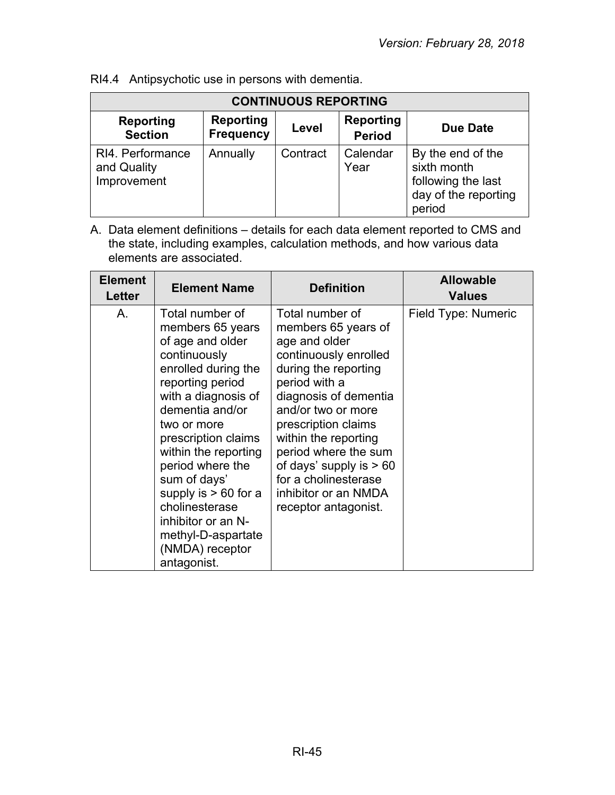| <b>CONTINUOUS REPORTING</b>                    |                                      |          |                                   |                                                                                          |  |
|------------------------------------------------|--------------------------------------|----------|-----------------------------------|------------------------------------------------------------------------------------------|--|
| <b>Reporting</b><br><b>Section</b>             | <b>Reporting</b><br><b>Frequency</b> | Level    | <b>Reporting</b><br><b>Period</b> | Due Date                                                                                 |  |
| RI4. Performance<br>and Quality<br>Improvement | Annually                             | Contract | Calendar<br>Year                  | By the end of the<br>sixth month<br>following the last<br>day of the reporting<br>period |  |

RI4.4 Antipsychotic use in persons with dementia.

| <b>Element</b><br><b>Letter</b> | <b>Element Name</b>                                                                                                                                                                                                                                                                                                                                                                      | <b>Definition</b>                                                                                                                                                                                                                                                                                                                                    | <b>Allowable</b><br><b>Values</b> |
|---------------------------------|------------------------------------------------------------------------------------------------------------------------------------------------------------------------------------------------------------------------------------------------------------------------------------------------------------------------------------------------------------------------------------------|------------------------------------------------------------------------------------------------------------------------------------------------------------------------------------------------------------------------------------------------------------------------------------------------------------------------------------------------------|-----------------------------------|
| Α.                              | Total number of<br>members 65 years<br>of age and older<br>continuously<br>enrolled during the<br>reporting period<br>with a diagnosis of<br>dementia and/or<br>two or more<br>prescription claims<br>within the reporting<br>period where the<br>sum of days'<br>supply is $> 60$ for a<br>cholinesterase<br>inhibitor or an N-<br>methyl-D-aspartate<br>(NMDA) receptor<br>antagonist. | Total number of<br>members 65 years of<br>age and older<br>continuously enrolled<br>during the reporting<br>period with a<br>diagnosis of dementia<br>and/or two or more<br>prescription claims<br>within the reporting<br>period where the sum<br>of days' supply is $> 60$<br>for a cholinesterase<br>inhibitor or an NMDA<br>receptor antagonist. | Field Type: Numeric               |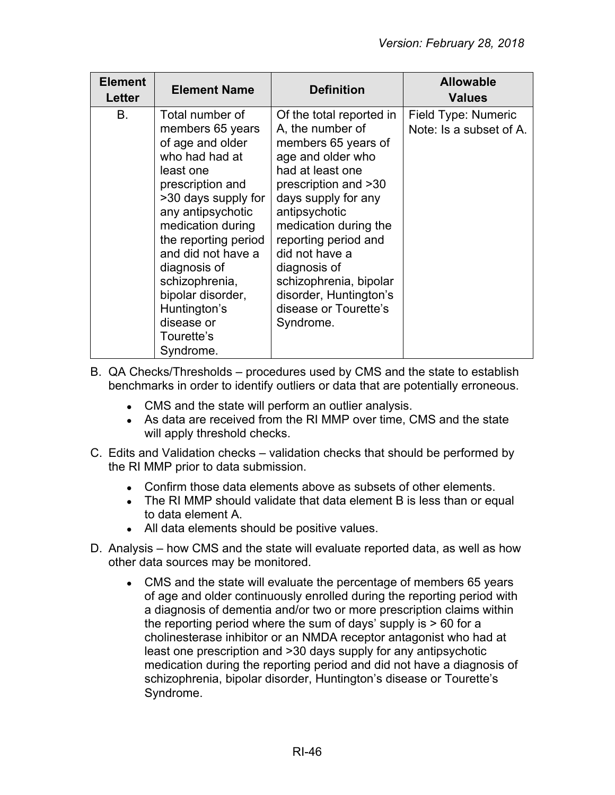| <b>Element</b><br>Letter | <b>Element Name</b>                                                                                                                                                                                                                                                                                                                       | <b>Definition</b>                                                                                                                                                                                                                                                                                                                                         | <b>Allowable</b><br><b>Values</b>              |
|--------------------------|-------------------------------------------------------------------------------------------------------------------------------------------------------------------------------------------------------------------------------------------------------------------------------------------------------------------------------------------|-----------------------------------------------------------------------------------------------------------------------------------------------------------------------------------------------------------------------------------------------------------------------------------------------------------------------------------------------------------|------------------------------------------------|
| <b>B.</b>                | Total number of<br>members 65 years<br>of age and older<br>who had had at<br>least one<br>prescription and<br>>30 days supply for<br>any antipsychotic<br>medication during<br>the reporting period<br>and did not have a<br>diagnosis of<br>schizophrenia,<br>bipolar disorder,<br>Huntington's<br>disease or<br>Tourette's<br>Syndrome. | Of the total reported in<br>A, the number of<br>members 65 years of<br>age and older who<br>had at least one<br>prescription and >30<br>days supply for any<br>antipsychotic<br>medication during the<br>reporting period and<br>did not have a<br>diagnosis of<br>schizophrenia, bipolar<br>disorder, Huntington's<br>disease or Tourette's<br>Syndrome. | Field Type: Numeric<br>Note: Is a subset of A. |

B. QA Checks/Thresholds – procedures used by CMS and the state to establish benchmarks in order to identify outliers or data that are potentially erroneous.

- CMS and the state will perform an outlier analysis.
- As data are received from the RI MMP over time, CMS and the state will apply threshold checks.
- C. Edits and Validation checks validation checks that should be performed by the RI MMP prior to data submission.
	- Confirm those data elements above as subsets of other elements.
	- The RI MMP should validate that data element B is less than or equal to data element A.
	- All data elements should be positive values.
- D. Analysis how CMS and the state will evaluate reported data, as well as how other data sources may be monitored.
	- CMS and the state will evaluate the percentage of members 65 years of age and older continuously enrolled during the reporting period with a diagnosis of dementia and/or two or more prescription claims within the reporting period where the sum of days' supply is > 60 for a cholinesterase inhibitor or an NMDA receptor antagonist who had at least one prescription and >30 days supply for any antipsychotic medication during the reporting period and did not have a diagnosis of schizophrenia, bipolar disorder, Huntington's disease or Tourette's Syndrome.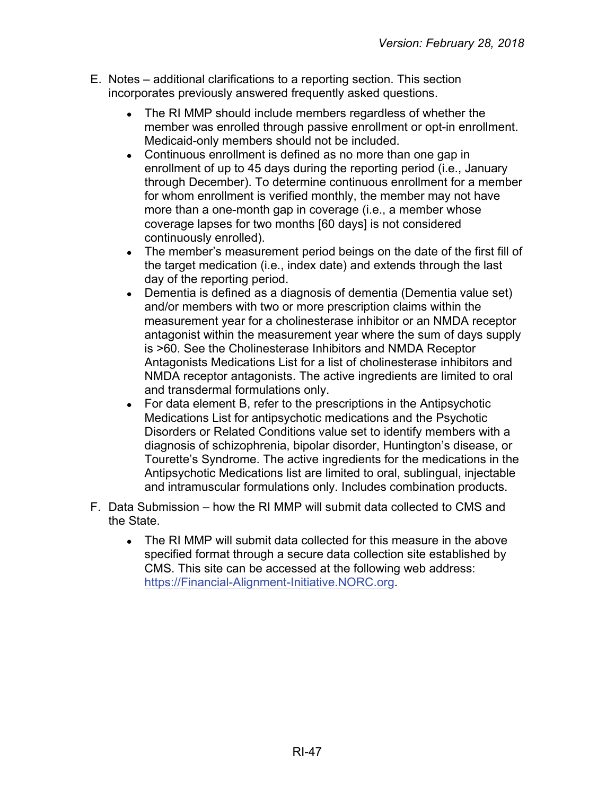- E. Notes additional clarifications to a reporting section. This section incorporates previously answered frequently asked questions.
	- The RI MMP should include members regardless of whether the member was enrolled through passive enrollment or opt-in enrollment. Medicaid-only members should not be included.
	- Continuous enrollment is defined as no more than one gap in enrollment of up to 45 days during the reporting period (i.e., January through December). To determine continuous enrollment for a member for whom enrollment is verified monthly, the member may not have more than a one-month gap in coverage (i.e., a member whose coverage lapses for two months [60 days] is not considered continuously enrolled).
	- The member's measurement period beings on the date of the first fill of the target medication (i.e., index date) and extends through the last day of the reporting period.
	- Dementia is defined as a diagnosis of dementia (Dementia value set) and/or members with two or more prescription claims within the measurement year for a cholinesterase inhibitor or an NMDA receptor antagonist within the measurement year where the sum of days supply is >60. See the Cholinesterase Inhibitors and NMDA Receptor Antagonists Medications List for a list of cholinesterase inhibitors and NMDA receptor antagonists. The active ingredients are limited to oral and transdermal formulations only.
	- For data element B, refer to the prescriptions in the Antipsychotic Medications List for antipsychotic medications and the Psychotic Disorders or Related Conditions value set to identify members with a diagnosis of schizophrenia, bipolar disorder, Huntington's disease, or Tourette's Syndrome. The active ingredients for the medications in the Antipsychotic Medications list are limited to oral, sublingual, injectable and intramuscular formulations only. Includes combination products.
- F. Data Submission how the RI MMP will submit data collected to CMS and the State.
	- The RI MMP will submit data collected for this measure in the above specified format through a secure data collection site established by CMS. This site can be accessed at the following web address: [https://Financial-Alignment-Initiative.NORC.org.](https://financial-alignment-initiative.norc.org/)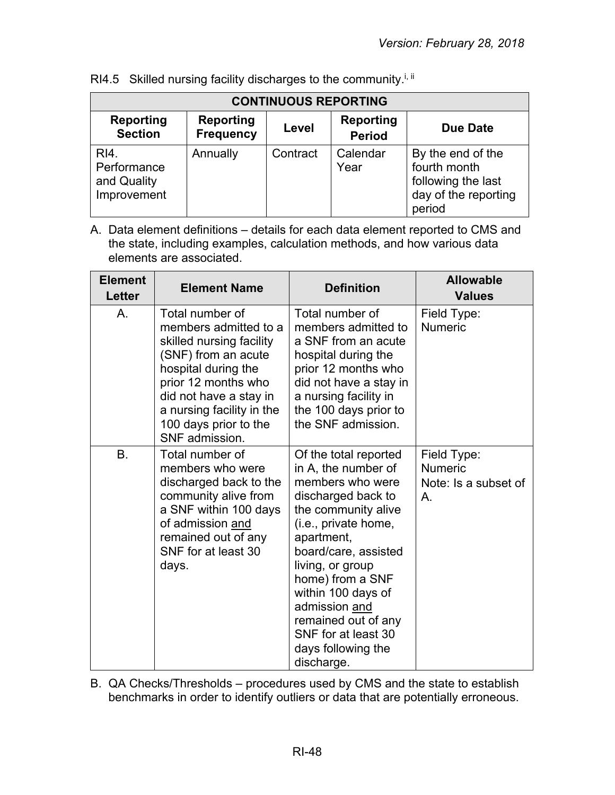| <b>CONTINUOUS REPORTING</b>                       |                                      |          |                                   |                                                                                           |
|---------------------------------------------------|--------------------------------------|----------|-----------------------------------|-------------------------------------------------------------------------------------------|
| <b>Reporting</b><br><b>Section</b>                | <b>Reporting</b><br><b>Frequency</b> | Level    | <b>Reporting</b><br><b>Period</b> | <b>Due Date</b>                                                                           |
| RI4.<br>Performance<br>and Quality<br>Improvement | Annually                             | Contract | Calendar<br>Year                  | By the end of the<br>fourth month<br>following the last<br>day of the reporting<br>period |

RI4.5 Skilled nursing facility discharges to the community.<sup>i, ii</sup>

A. Data element definitions – details for each data element reported to CMS and the state, including examples, calculation methods, and how various data elements are associated.

| <b>Element</b><br><b>Letter</b> | <b>Element Name</b>                                                                                                                                                                                                                         | <b>Definition</b>                                                                                                                                                                                                                                                                                                                            | <b>Allowable</b><br><b>Values</b>                           |
|---------------------------------|---------------------------------------------------------------------------------------------------------------------------------------------------------------------------------------------------------------------------------------------|----------------------------------------------------------------------------------------------------------------------------------------------------------------------------------------------------------------------------------------------------------------------------------------------------------------------------------------------|-------------------------------------------------------------|
| A.                              | Total number of<br>members admitted to a<br>skilled nursing facility<br>(SNF) from an acute<br>hospital during the<br>prior 12 months who<br>did not have a stay in<br>a nursing facility in the<br>100 days prior to the<br>SNF admission. | Total number of<br>members admitted to<br>a SNF from an acute<br>hospital during the<br>prior 12 months who<br>did not have a stay in<br>a nursing facility in<br>the 100 days prior to<br>the SNF admission.                                                                                                                                | Field Type:<br><b>Numeric</b>                               |
| B.                              | Total number of<br>members who were<br>discharged back to the<br>community alive from<br>a SNF within 100 days<br>of admission and<br>remained out of any<br>SNF for at least 30<br>days.                                                   | Of the total reported<br>in A, the number of<br>members who were<br>discharged back to<br>the community alive<br>(i.e., private home,<br>apartment,<br>board/care, assisted<br>living, or group<br>home) from a SNF<br>within 100 days of<br>admission and<br>remained out of any<br>SNF for at least 30<br>days following the<br>discharge. | Field Type:<br><b>Numeric</b><br>Note: Is a subset of<br>Α. |

B. QA Checks/Thresholds – procedures used by CMS and the state to establish benchmarks in order to identify outliers or data that are potentially erroneous.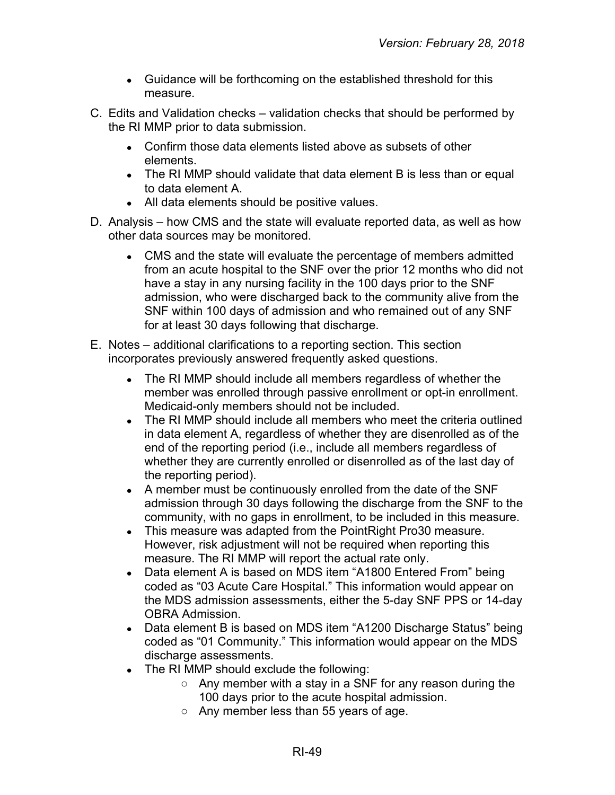- Guidance will be forthcoming on the established threshold for this measure.
- C. Edits and Validation checks validation checks that should be performed by the RI MMP prior to data submission.
	- Confirm those data elements listed above as subsets of other elements.
	- The RI MMP should validate that data element B is less than or equal to data element A.
	- All data elements should be positive values.
- D. Analysis how CMS and the state will evaluate reported data, as well as how other data sources may be monitored.
	- CMS and the state will evaluate the percentage of members admitted from an acute hospital to the SNF over the prior 12 months who did not have a stay in any nursing facility in the 100 days prior to the SNF admission, who were discharged back to the community alive from the SNF within 100 days of admission and who remained out of any SNF for at least 30 days following that discharge.
- E. Notes additional clarifications to a reporting section. This section incorporates previously answered frequently asked questions.
	- The RI MMP should include all members regardless of whether the member was enrolled through passive enrollment or opt-in enrollment. Medicaid-only members should not be included.
	- The RI MMP should include all members who meet the criteria outlined in data element A, regardless of whether they are disenrolled as of the end of the reporting period (i.e., include all members regardless of whether they are currently enrolled or disenrolled as of the last day of the reporting period).
	- A member must be continuously enrolled from the date of the SNF admission through 30 days following the discharge from the SNF to the community, with no gaps in enrollment, to be included in this measure.
	- This measure was adapted from the Point Right Pro30 measure. However, risk adjustment will not be required when reporting this measure. The RI MMP will report the actual rate only.
	- Data element A is based on MDS item "A1800 Entered From" being coded as "03 Acute Care Hospital." This information would appear on the MDS admission assessments, either the 5-day SNF PPS or 14-day OBRA Admission.
	- Data element B is based on MDS item "A1200 Discharge Status" being coded as "01 Community." This information would appear on the MDS discharge assessments.
	- The RI MMP should exclude the following:
		- Any member with a stay in a SNF for any reason during the 100 days prior to the acute hospital admission.
		- Any member less than 55 years of age.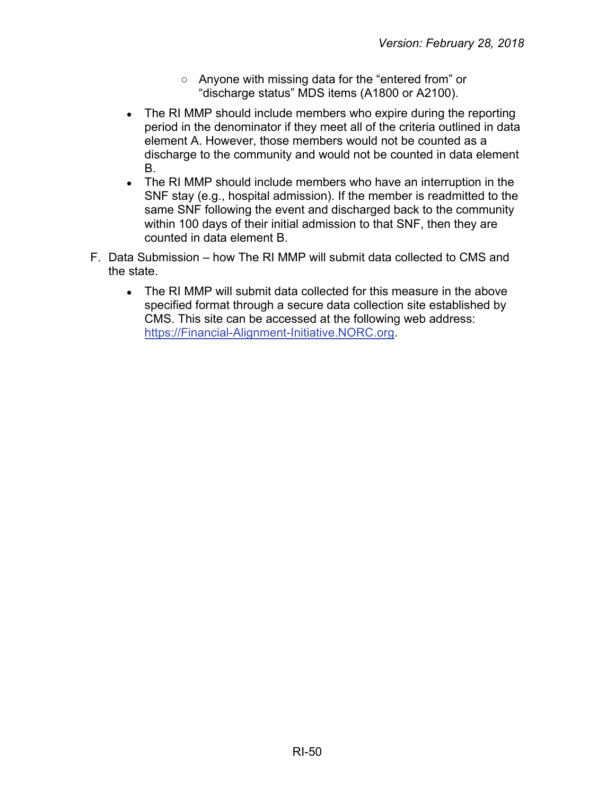- Anyone with missing data for the "entered from" or "discharge status" MDS items (A1800 or A2100).
- The RI MMP should include members who expire during the reporting period in the denominator if they meet all of the criteria outlined in data element A. However, those members would not be counted as a discharge to the community and would not be counted in data element B.
- The RI MMP should include members who have an interruption in the SNF stay (e.g., hospital admission). If the member is readmitted to the same SNF following the event and discharged back to the community within 100 days of their initial admission to that SNF, then they are counted in data element B.
- F. Data Submission how The RI MMP will submit data collected to CMS and the state.
	- The RI MMP will submit data collected for this measure in the above specified format through a secure data collection site established by CMS. This site can be accessed at the following web address: [https://Financial-Alignment-Initiative.NORC.org.](https://financial-alignment-initiative.norc.org/)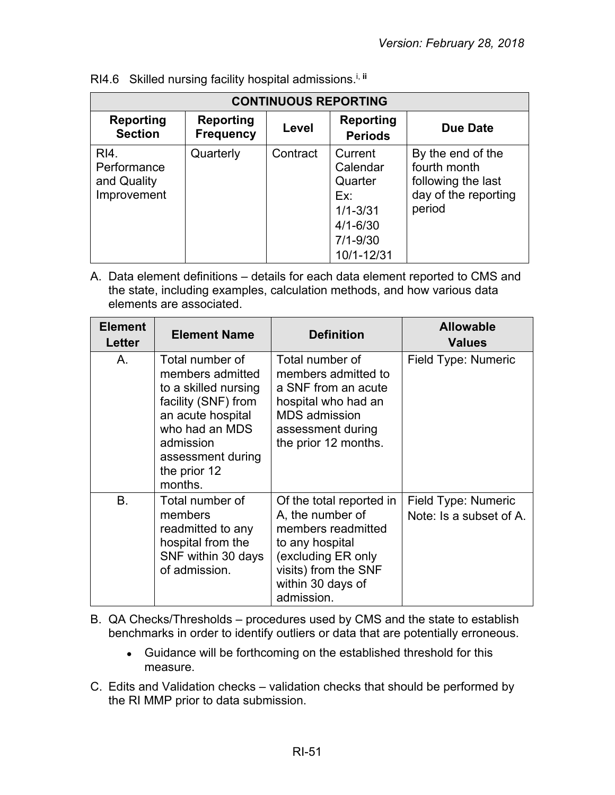| <b>CONTINUOUS REPORTING</b>                       |                               |          |                                                                                                     |                                                                                           |  |
|---------------------------------------------------|-------------------------------|----------|-----------------------------------------------------------------------------------------------------|-------------------------------------------------------------------------------------------|--|
| <b>Reporting</b><br><b>Section</b>                | Reporting<br><b>Frequency</b> | Level    | <b>Reporting</b><br><b>Periods</b>                                                                  | Due Date                                                                                  |  |
| RI4.<br>Performance<br>and Quality<br>Improvement | Quarterly                     | Contract | Current<br>Calendar<br>Quarter<br>Ex:<br>$1/1 - 3/31$<br>$4/1 - 6/30$<br>$7/1 - 9/30$<br>10/1-12/31 | By the end of the<br>fourth month<br>following the last<br>day of the reporting<br>period |  |

| RI4.6 Skilled nursing facility hospital admissions. <sup>i, ii</sup> |  |  |  |
|----------------------------------------------------------------------|--|--|--|
|----------------------------------------------------------------------|--|--|--|

| <b>Element</b><br><b>Letter</b> | <b>Element Name</b>                                                                                                                                                                    | <b>Definition</b>                                                                                                                                                      | <b>Allowable</b><br><b>Values</b>              |
|---------------------------------|----------------------------------------------------------------------------------------------------------------------------------------------------------------------------------------|------------------------------------------------------------------------------------------------------------------------------------------------------------------------|------------------------------------------------|
| A.                              | Total number of<br>members admitted<br>to a skilled nursing<br>facility (SNF) from<br>an acute hospital<br>who had an MDS<br>admission<br>assessment during<br>the prior 12<br>months. | Total number of<br>members admitted to<br>a SNF from an acute<br>hospital who had an<br><b>MDS</b> admission<br>assessment during<br>the prior 12 months.              | Field Type: Numeric                            |
| <b>B.</b>                       | Total number of<br>members<br>readmitted to any<br>hospital from the<br>SNF within 30 days<br>of admission.                                                                            | Of the total reported in<br>A, the number of<br>members readmitted<br>to any hospital<br>(excluding ER only<br>visits) from the SNF<br>within 30 days of<br>admission. | Field Type: Numeric<br>Note: Is a subset of A. |

- B. QA Checks/Thresholds procedures used by CMS and the state to establish benchmarks in order to identify outliers or data that are potentially erroneous.
	- Guidance will be forthcoming on the established threshold for this measure.
- C. Edits and Validation checks validation checks that should be performed by the RI MMP prior to data submission.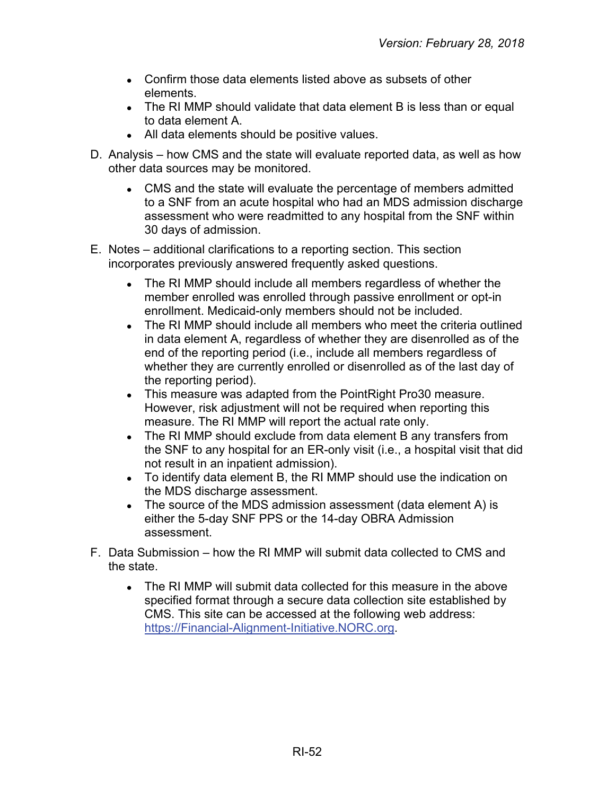- Confirm those data elements listed above as subsets of other elements.
- The RI MMP should validate that data element B is less than or equal to data element A.
- All data elements should be positive values.
- D. Analysis how CMS and the state will evaluate reported data, as well as how other data sources may be monitored.
	- CMS and the state will evaluate the percentage of members admitted to a SNF from an acute hospital who had an MDS admission discharge assessment who were readmitted to any hospital from the SNF within 30 days of admission.
- E. Notes additional clarifications to a reporting section. This section incorporates previously answered frequently asked questions.
	- The RI MMP should include all members regardless of whether the member enrolled was enrolled through passive enrollment or opt-in enrollment. Medicaid-only members should not be included.
	- The RI MMP should include all members who meet the criteria outlined in data element A, regardless of whether they are disenrolled as of the end of the reporting period (i.e., include all members regardless of whether they are currently enrolled or disenrolled as of the last day of the reporting period).
	- This measure was adapted from the Point Right Pro30 measure. However, risk adjustment will not be required when reporting this measure. The RI MMP will report the actual rate only.
	- The RI MMP should exclude from data element B any transfers from the SNF to any hospital for an ER-only visit (i.e., a hospital visit that did not result in an inpatient admission).
	- To identify data element B, the RI MMP should use the indication on the MDS discharge assessment.
	- The source of the MDS admission assessment (data element A) is either the 5-day SNF PPS or the 14-day OBRA Admission assessment.
- F. Data Submission how the RI MMP will submit data collected to CMS and the state.
	- The RI MMP will submit data collected for this measure in the above specified format through a secure data collection site established by CMS. This site can be accessed at the following web address: [https://Financial-Alignment-Initiative.NORC.org.](https://financial-alignment-initiative.norc.org/)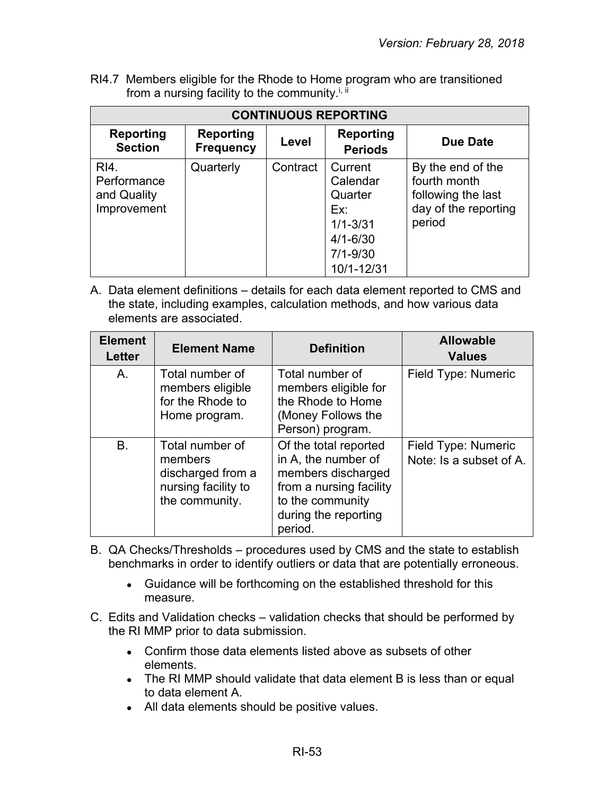RI4.7 Members eligible for the Rhode to Home program who are transitioned from a nursing facility to the community.<sup>i, ii</sup>

| <b>CONTINUOUS REPORTING</b>                       |                               |          |                                                                                                     |                                                                                           |  |
|---------------------------------------------------|-------------------------------|----------|-----------------------------------------------------------------------------------------------------|-------------------------------------------------------------------------------------------|--|
| <b>Reporting</b><br><b>Section</b>                | Reporting<br><b>Frequency</b> | Level    | <b>Reporting</b><br><b>Periods</b>                                                                  | Due Date                                                                                  |  |
| RI4.<br>Performance<br>and Quality<br>Improvement | Quarterly                     | Contract | Current<br>Calendar<br>Quarter<br>Ex:<br>$1/1 - 3/31$<br>$4/1 - 6/30$<br>$7/1 - 9/30$<br>10/1-12/31 | By the end of the<br>fourth month<br>following the last<br>day of the reporting<br>period |  |

| <b>Element</b><br><b>Letter</b> | <b>Element Name</b>                                                                      | <b>Definition</b>                                                                                                                                    | <b>Allowable</b><br><b>Values</b>              |
|---------------------------------|------------------------------------------------------------------------------------------|------------------------------------------------------------------------------------------------------------------------------------------------------|------------------------------------------------|
| A.                              | Total number of<br>members eligible<br>for the Rhode to<br>Home program.                 | Total number of<br>members eligible for<br>the Rhode to Home<br>(Money Follows the<br>Person) program.                                               | Field Type: Numeric                            |
| B.                              | Total number of<br>members<br>discharged from a<br>nursing facility to<br>the community. | Of the total reported<br>in A, the number of<br>members discharged<br>from a nursing facility<br>to the community<br>during the reporting<br>period. | Field Type: Numeric<br>Note: Is a subset of A. |

- B. QA Checks/Thresholds procedures used by CMS and the state to establish benchmarks in order to identify outliers or data that are potentially erroneous.
	- Guidance will be forthcoming on the established threshold for this measure.
- C. Edits and Validation checks validation checks that should be performed by the RI MMP prior to data submission.
	- Confirm those data elements listed above as subsets of other elements.
	- The RI MMP should validate that data element B is less than or equal to data element A.
	- All data elements should be positive values.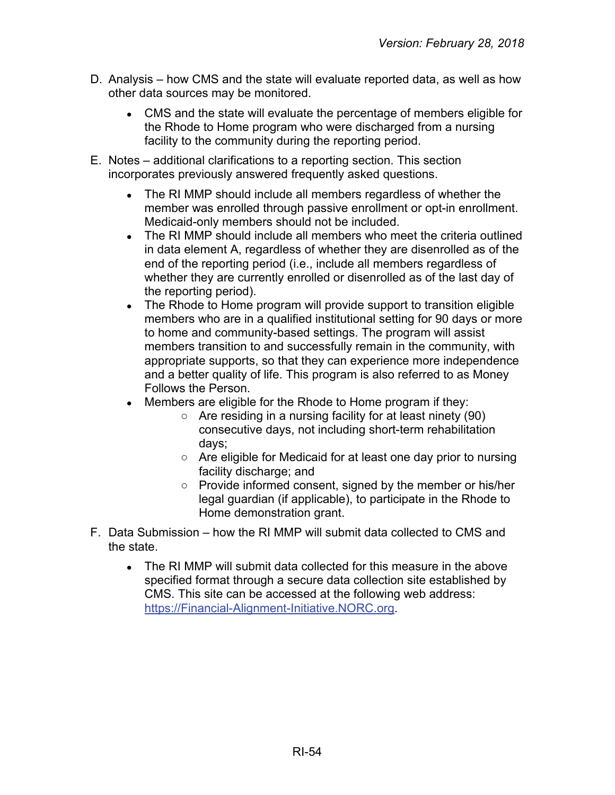- D. Analysis how CMS and the state will evaluate reported data, as well as how other data sources may be monitored.
	- CMS and the state will evaluate the percentage of members eligible for the Rhode to Home program who were discharged from a nursing facility to the community during the reporting period.
- E. Notes additional clarifications to a reporting section. This section incorporates previously answered frequently asked questions.
	- The RI MMP should include all members regardless of whether the member was enrolled through passive enrollment or opt-in enrollment. Medicaid-only members should not be included.
	- The RI MMP should include all members who meet the criteria outlined in data element A, regardless of whether they are disenrolled as of the end of the reporting period (i.e., include all members regardless of whether they are currently enrolled or disenrolled as of the last day of the reporting period).
	- The Rhode to Home program will provide support to transition eligible members who are in a qualified institutional setting for 90 days or more to home and community-based settings. The program will assist members transition to and successfully remain in the community, with appropriate supports, so that they can experience more independence and a better quality of life. This program is also referred to as Money Follows the Person.
	- Members are eligible for the Rhode to Home program if they:
		- Are residing in a nursing facility for at least ninety (90) consecutive days, not including short-term rehabilitation days;
		- Are eligible for Medicaid for at least one day prior to nursing facility discharge; and
		- Provide informed consent, signed by the member or his/her legal guardian (if applicable), to participate in the Rhode to Home demonstration grant.
- F. Data Submission how the RI MMP will submit data collected to CMS and the state.
	- The RI MMP will submit data collected for this measure in the above specified format through a secure data collection site established by CMS. This site can be accessed at the following web address: [https://Financial-Alignment-Initiative.NORC.org.](https://financial-alignment-initiative.norc.org/)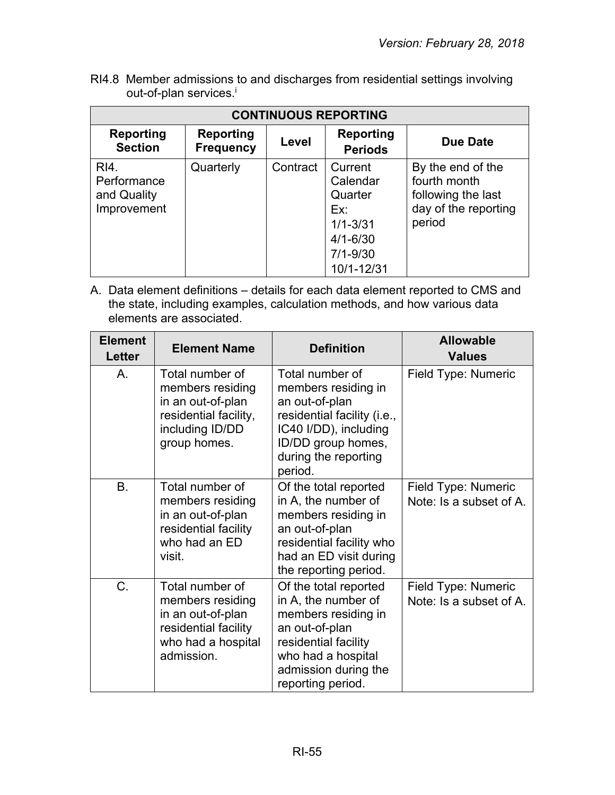RI4.8 Member admissions to and discharges from residential settings involving out-of-plan services.<sup>i</sup>

| <b>CONTINUOUS REPORTING</b>                       |                                      |          |                                                                                                     |                                                                                           |
|---------------------------------------------------|--------------------------------------|----------|-----------------------------------------------------------------------------------------------------|-------------------------------------------------------------------------------------------|
| <b>Reporting</b><br><b>Section</b>                | <b>Reporting</b><br><b>Frequency</b> | Level    | Reporting<br><b>Periods</b>                                                                         | Due Date                                                                                  |
| RI4.<br>Performance<br>and Quality<br>Improvement | Quarterly                            | Contract | Current<br>Calendar<br>Quarter<br>Ex:<br>$1/1 - 3/31$<br>$4/1 - 6/30$<br>$7/1 - 9/30$<br>10/1-12/31 | By the end of the<br>fourth month<br>following the last<br>day of the reporting<br>period |

| <b>Element</b><br><b>Letter</b> | <b>Element Name</b>                                                                                                  | <b>Definition</b>                                                                                                                                                                | <b>Allowable</b><br><b>Values</b>              |
|---------------------------------|----------------------------------------------------------------------------------------------------------------------|----------------------------------------------------------------------------------------------------------------------------------------------------------------------------------|------------------------------------------------|
| Α.                              | Total number of<br>members residing<br>in an out-of-plan<br>residential facility,<br>including ID/DD<br>group homes. | Total number of<br>members residing in<br>an out-of-plan<br>residential facility (i.e.,<br>IC40 I/DD), including<br>ID/DD group homes,<br>during the reporting<br>period.        | Field Type: Numeric                            |
| <b>B.</b>                       | Total number of<br>members residing<br>in an out-of-plan<br>residential facility<br>who had an ED<br>visit.          | Of the total reported<br>in A, the number of<br>members residing in<br>an out-of-plan<br>residential facility who<br>had an ED visit during<br>the reporting period.             | Field Type: Numeric<br>Note: Is a subset of A. |
| C.                              | Total number of<br>members residing<br>in an out-of-plan<br>residential facility<br>who had a hospital<br>admission. | Of the total reported<br>in A, the number of<br>members residing in<br>an out-of-plan<br>residential facility<br>who had a hospital<br>admission during the<br>reporting period. | Field Type: Numeric<br>Note: Is a subset of A. |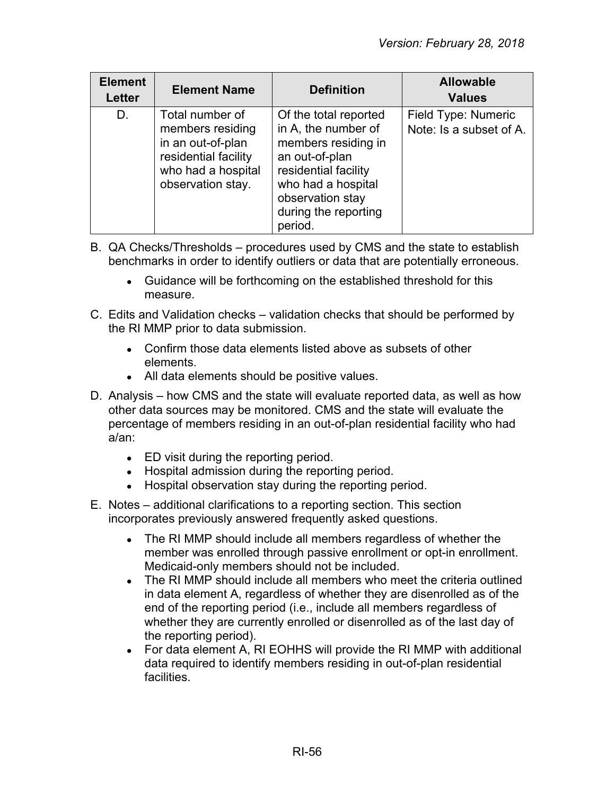| <b>Element</b><br>Letter | <b>Element Name</b>                                                                                                         | <b>Definition</b>                                                                                                                                                                          | <b>Allowable</b><br><b>Values</b>              |
|--------------------------|-----------------------------------------------------------------------------------------------------------------------------|--------------------------------------------------------------------------------------------------------------------------------------------------------------------------------------------|------------------------------------------------|
| D.                       | Total number of<br>members residing<br>in an out-of-plan<br>residential facility<br>who had a hospital<br>observation stay. | Of the total reported<br>in A, the number of<br>members residing in<br>an out-of-plan<br>residential facility<br>who had a hospital<br>observation stay<br>during the reporting<br>period. | Field Type: Numeric<br>Note: Is a subset of A. |

- B. QA Checks/Thresholds procedures used by CMS and the state to establish benchmarks in order to identify outliers or data that are potentially erroneous.
	- Guidance will be forthcoming on the established threshold for this measure.
- C. Edits and Validation checks validation checks that should be performed by the RI MMP prior to data submission.
	- Confirm those data elements listed above as subsets of other elements.
	- All data elements should be positive values.
- D. Analysis how CMS and the state will evaluate reported data, as well as how other data sources may be monitored. CMS and the state will evaluate the percentage of members residing in an out-of-plan residential facility who had a/an:
	- ED visit during the reporting period.
	- Hospital admission during the reporting period.
	- Hospital observation stay during the reporting period.
- E. Notes additional clarifications to a reporting section. This section incorporates previously answered frequently asked questions.
	- The RI MMP should include all members regardless of whether the member was enrolled through passive enrollment or opt-in enrollment. Medicaid-only members should not be included.
	- The RI MMP should include all members who meet the criteria outlined in data element A, regardless of whether they are disenrolled as of the end of the reporting period (i.e., include all members regardless of whether they are currently enrolled or disenrolled as of the last day of the reporting period).
	- For data element A, RI EOHHS will provide the RI MMP with additional data required to identify members residing in out-of-plan residential facilities.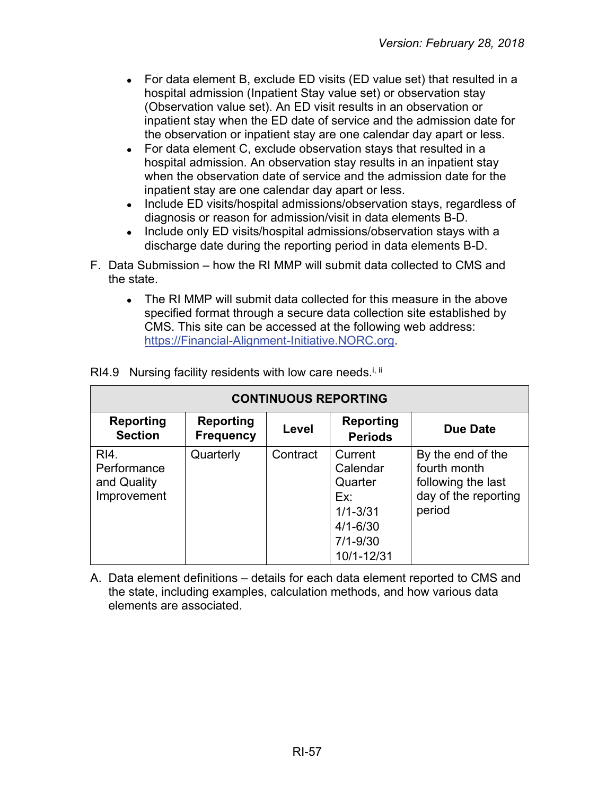- For data element B, exclude ED visits (ED value set) that resulted in a hospital admission (Inpatient Stay value set) or observation stay (Observation value set). An ED visit results in an observation or inpatient stay when the ED date of service and the admission date for the observation or inpatient stay are one calendar day apart or less.
- For data element C, exclude observation stays that resulted in a hospital admission. An observation stay results in an inpatient stay when the observation date of service and the admission date for the inpatient stay are one calendar day apart or less.
- Include ED visits/hospital admissions/observation stays, regardless of diagnosis or reason for admission/visit in data elements B-D.
- Include only ED visits/hospital admissions/observation stays with a discharge date during the reporting period in data elements B-D.
- F. Data Submission how the RI MMP will submit data collected to CMS and the state.
	- The RI MMP will submit data collected for this measure in the above specified format through a secure data collection site established by CMS. This site can be accessed at the following web address: [https://Financial-Alignment-Initiative.NORC.org.](https://financial-alignment-initiative.norc.org/)

| <b>CONTINUOUS REPORTING</b>                       |                                      |          |                                                                                                     |                                                                                           |
|---------------------------------------------------|--------------------------------------|----------|-----------------------------------------------------------------------------------------------------|-------------------------------------------------------------------------------------------|
| <b>Reporting</b><br><b>Section</b>                | <b>Reporting</b><br><b>Frequency</b> | Level    | <b>Reporting</b><br><b>Periods</b>                                                                  | <b>Due Date</b>                                                                           |
| RI4.<br>Performance<br>and Quality<br>Improvement | Quarterly                            | Contract | Current<br>Calendar<br>Quarter<br>Ex:<br>$1/1 - 3/31$<br>$4/1 - 6/30$<br>$7/1 - 9/30$<br>10/1-12/31 | By the end of the<br>fourth month<br>following the last<br>day of the reporting<br>period |

RI4.9 Nursing facility residents with low care needs.<sup>i, ii</sup>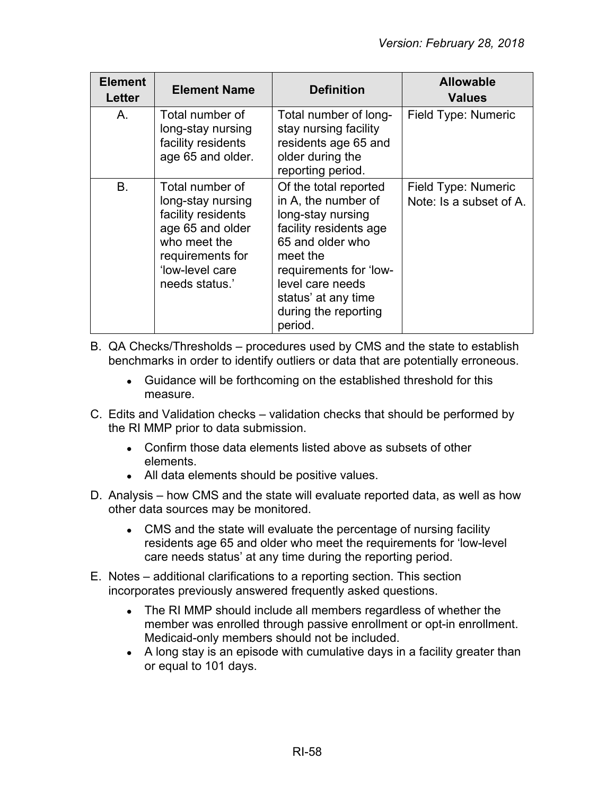| <b>Element</b><br>Letter | <b>Element Name</b>                                                                                                                                     | <b>Definition</b>                                                                                                                                                                                                                   | <b>Allowable</b><br><b>Values</b>              |
|--------------------------|---------------------------------------------------------------------------------------------------------------------------------------------------------|-------------------------------------------------------------------------------------------------------------------------------------------------------------------------------------------------------------------------------------|------------------------------------------------|
| Α.                       | Total number of<br>long-stay nursing<br>facility residents<br>age 65 and older.                                                                         | Total number of long-<br>stay nursing facility<br>residents age 65 and<br>older during the<br>reporting period.                                                                                                                     | Field Type: Numeric                            |
| B <sub>1</sub>           | Total number of<br>long-stay nursing<br>facility residents<br>age 65 and older<br>who meet the<br>requirements for<br>'low-level care<br>needs status.' | Of the total reported<br>in A, the number of<br>long-stay nursing<br>facility residents age<br>65 and older who<br>meet the<br>requirements for 'low-<br>level care needs<br>status' at any time<br>during the reporting<br>period. | Field Type: Numeric<br>Note: Is a subset of A. |

- B. QA Checks/Thresholds procedures used by CMS and the state to establish benchmarks in order to identify outliers or data that are potentially erroneous.
	- Guidance will be forthcoming on the established threshold for this measure.
- C. Edits and Validation checks validation checks that should be performed by the RI MMP prior to data submission.
	- Confirm those data elements listed above as subsets of other elements.
	- All data elements should be positive values.
- D. Analysis how CMS and the state will evaluate reported data, as well as how other data sources may be monitored.
	- CMS and the state will evaluate the percentage of nursing facility residents age 65 and older who meet the requirements for 'low-level care needs status' at any time during the reporting period.
- E. Notes additional clarifications to a reporting section. This section incorporates previously answered frequently asked questions.
	- The RI MMP should include all members regardless of whether the member was enrolled through passive enrollment or opt-in enrollment. Medicaid-only members should not be included.
	- A long stay is an episode with cumulative days in a facility greater than or equal to 101 days.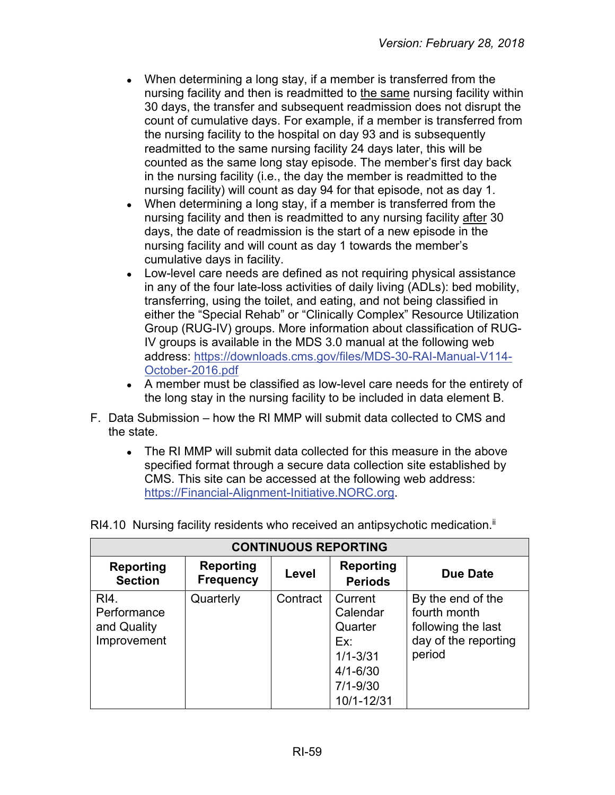- When determining a long stay, if a member is transferred from the nursing facility and then is readmitted to the same nursing facility within 30 days, the transfer and subsequent readmission does not disrupt the count of cumulative days. For example, if a member is transferred from the nursing facility to the hospital on day 93 and is subsequently readmitted to the same nursing facility 24 days later, this will be counted as the same long stay episode. The member's first day back in the nursing facility (i.e., the day the member is readmitted to the nursing facility) will count as day 94 for that episode, not as day 1.
- When determining a long stay, if a member is transferred from the nursing facility and then is readmitted to any nursing facility after 30 days, the date of readmission is the start of a new episode in the nursing facility and will count as day 1 towards the member's cumulative days in facility.
- Low-level care needs are defined as not requiring physical assistance in any of the four late-loss activities of daily living (ADLs): bed mobility, transferring, using the toilet, and eating, and not being classified in either the "Special Rehab" or "Clinically Complex" Resource Utilization Group (RUG-IV) groups. More information about classification of RUG-IV groups is available in the MDS 3.0 manual at the following web address: [https://downloads.cms.gov/files/MDS-30-RAI-Manual-V114-](https://downloads.cms.gov/files/MDS-30-RAI-Manual-V114-October-2016.pdf) [October-2016.pdf](https://downloads.cms.gov/files/MDS-30-RAI-Manual-V114-October-2016.pdf)
- A member must be classified as low-level care needs for the entirety of the long stay in the nursing facility to be included in data element B.
- F. Data Submission how the RI MMP will submit data collected to CMS and the state.
	- The RI MMP will submit data collected for this measure in the above specified format through a secure data collection site established by CMS. This site can be accessed at the following web address: [https://Financial-Alignment-Initiative.NORC.org.](https://financial-alignment-initiative.norc.org/)

| <b>CONTINUOUS REPORTING</b>                       |                               |          |                                                                                                     |                                                                                           |
|---------------------------------------------------|-------------------------------|----------|-----------------------------------------------------------------------------------------------------|-------------------------------------------------------------------------------------------|
| Reporting<br><b>Section</b>                       | Reporting<br><b>Frequency</b> | Level    | <b>Reporting</b><br><b>Periods</b>                                                                  | Due Date                                                                                  |
| RI4.<br>Performance<br>and Quality<br>Improvement | Quarterly                     | Contract | Current<br>Calendar<br>Quarter<br>Ex:<br>$1/1 - 3/31$<br>$4/1 - 6/30$<br>$7/1 - 9/30$<br>10/1-12/31 | By the end of the<br>fourth month<br>following the last<br>day of the reporting<br>period |

RI4.10 Nursing facility residents who received an antipsychotic medication.<sup>ii</sup>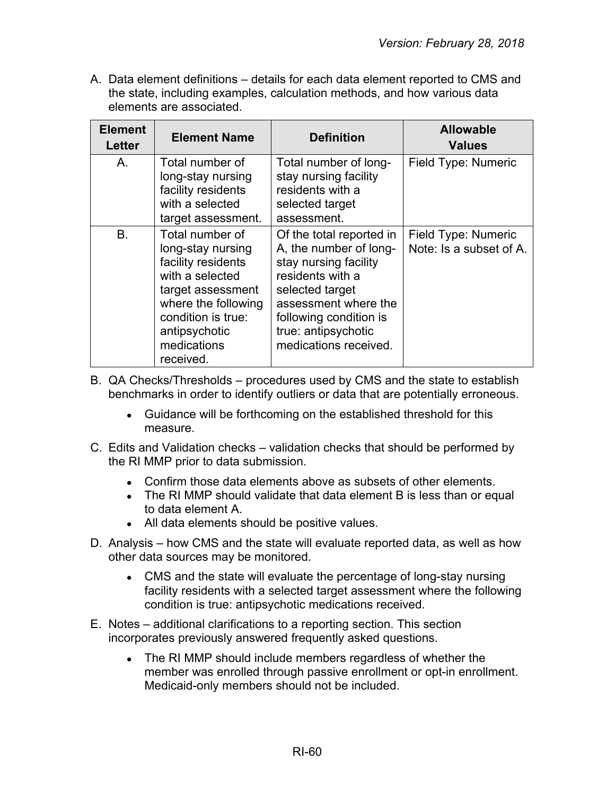| <b>Element</b><br><b>Letter</b> | <b>Element Name</b>                                                                                                                                                                          | <b>Definition</b>                                                                                                                                                                                                    | <b>Allowable</b><br><b>Values</b>              |
|---------------------------------|----------------------------------------------------------------------------------------------------------------------------------------------------------------------------------------------|----------------------------------------------------------------------------------------------------------------------------------------------------------------------------------------------------------------------|------------------------------------------------|
| Α.                              | Total number of<br>long-stay nursing<br>facility residents<br>with a selected<br>target assessment.                                                                                          | Total number of long-<br>stay nursing facility<br>residents with a<br>selected target<br>assessment.                                                                                                                 | Field Type: Numeric                            |
| <b>B.</b>                       | Total number of<br>long-stay nursing<br>facility residents<br>with a selected<br>target assessment<br>where the following<br>condition is true:<br>antipsychotic<br>medications<br>received. | Of the total reported in<br>A, the number of long-<br>stay nursing facility<br>residents with a<br>selected target<br>assessment where the<br>following condition is<br>true: antipsychotic<br>medications received. | Field Type: Numeric<br>Note: Is a subset of A. |

- B. QA Checks/Thresholds procedures used by CMS and the state to establish benchmarks in order to identify outliers or data that are potentially erroneous.
	- Guidance will be forthcoming on the established threshold for this measure.
- C. Edits and Validation checks validation checks that should be performed by the RI MMP prior to data submission.
	- Confirm those data elements above as subsets of other elements.
	- The RI MMP should validate that data element B is less than or equal to data element A.
	- All data elements should be positive values.
- D. Analysis how CMS and the state will evaluate reported data, as well as how other data sources may be monitored.
	- CMS and the state will evaluate the percentage of long-stay nursing facility residents with a selected target assessment where the following condition is true: antipsychotic medications received.
- E. Notes additional clarifications to a reporting section. This section incorporates previously answered frequently asked questions.
	- The RI MMP should include members regardless of whether the member was enrolled through passive enrollment or opt-in enrollment. Medicaid-only members should not be included.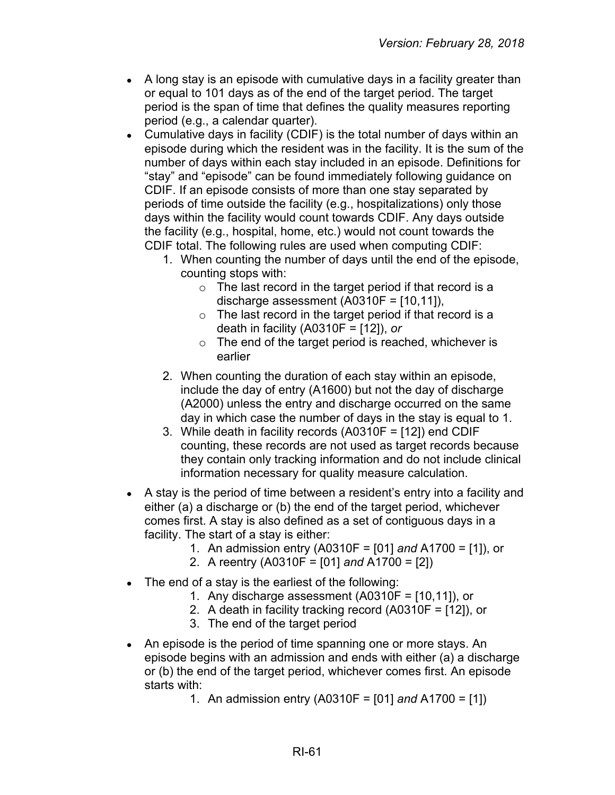- $\bullet$  A long stay is an episode with cumulative days in a facility greater than or equal to 101 days as of the end of the target period. The target period is the span of time that defines the quality measures reporting period (e.g., a calendar quarter).
- Cumulative days in facility (CDIF) is the total number of days within an episode during which the resident was in the facility. It is the sum of the number of days within each stay included in an episode. Definitions for "stay" and "episode" can be found immediately following guidance on CDIF. If an episode consists of more than one stay separated by periods of time outside the facility (e.g., hospitalizations) only those days within the facility would count towards CDIF. Any days outside the facility (e.g., hospital, home, etc.) would not count towards the CDIF total. The following rules are used when computing CDIF:
	- 1. When counting the number of days until the end of the episode, counting stops with:
		- $\circ$  The last record in the target period if that record is a discharge assessment (A0310F = [10,11]),
		- $\circ$  The last record in the target period if that record is a death in facility (A0310F = [12]), *or*
		- $\circ$  The end of the target period is reached, whichever is earlier
	- 2. When counting the duration of each stay within an episode, include the day of entry (A1600) but not the day of discharge (A2000) unless the entry and discharge occurred on the same day in which case the number of days in the stay is equal to 1.
	- 3. While death in facility records (A0310F = [12]) end CDIF counting, these records are not used as target records because they contain only tracking information and do not include clinical information necessary for quality measure calculation.
- A stay is the period of time between a resident's entry into a facility and either (a) a discharge or (b) the end of the target period, whichever comes first. A stay is also defined as a set of contiguous days in a facility. The start of a stay is either:
	- 1. An admission entry (A0310F = [01] *and* A1700 = [1]), or
	- 2. A reentry (A0310F = [01] *and* A1700 = [2])
- $\bullet$  The end of a stay is the earliest of the following:
	- 1. Any discharge assessment  $(A0310F = [10, 11])$ , or
	- 2. A death in facility tracking record (A0310F = [12]), or
	- 3. The end of the target period
- An episode is the period of time spanning one or more stays. An episode begins with an admission and ends with either (a) a discharge or (b) the end of the target period, whichever comes first. An episode starts with:
	- 1. An admission entry (A0310F = [01] *and* A1700 = [1])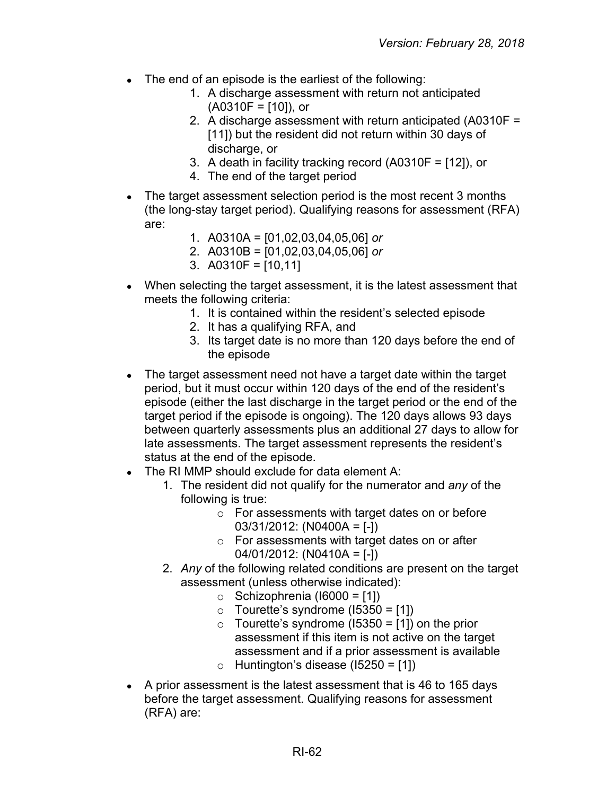- The end of an episode is the earliest of the following:
	- 1. A discharge assessment with return not anticipated  $(A0310F = [10]),$  or
	- 2. A discharge assessment with return anticipated (A0310F = [11]) but the resident did not return within 30 days of discharge, or
	- 3. A death in facility tracking record (A0310F = [12]), or
	- 4. The end of the target period
- The target assessment selection period is the most recent 3 months (the long-stay target period). Qualifying reasons for assessment (RFA) are:
	- 1. A0310A = [01,02,03,04,05,06] *or*
	- 2. A0310B = [01,02,03,04,05,06] *or*
	- 3. A0310F = [10,11]
- When selecting the target assessment, it is the latest assessment that meets the following criteria:
	- 1. It is contained within the resident's selected episode
	- 2. It has a qualifying RFA, and
	- 3. Its target date is no more than 120 days before the end of the episode
- The target assessment need not have a target date within the target period, but it must occur within 120 days of the end of the resident's episode (either the last discharge in the target period or the end of the target period if the episode is ongoing). The 120 days allows 93 days between quarterly assessments plus an additional 27 days to allow for late assessments. The target assessment represents the resident's status at the end of the episode.
- $\bullet$  The RI MMP should exclude for data element A:
	- 1. The resident did not qualify for the numerator and *any* of the following is true:
		- o For assessments with target dates on or before 03/31/2012: (N0400A = [-])
		- o For assessments with target dates on or after 04/01/2012: (N0410A = [-])
	- 2. *Any* of the following related conditions are present on the target assessment (unless otherwise indicated):
		- $\circ$  Schizophrenia (16000 = [1])
		- $\circ$  Tourette's syndrome (15350 = [1])
		- $\circ$  Tourette's syndrome (15350 = [1]) on the prior assessment if this item is not active on the target assessment and if a prior assessment is available
		- $\circ$  Huntington's disease (15250 = [1])
- A prior assessment is the latest assessment that is 46 to 165 days before the target assessment. Qualifying reasons for assessment (RFA) are: